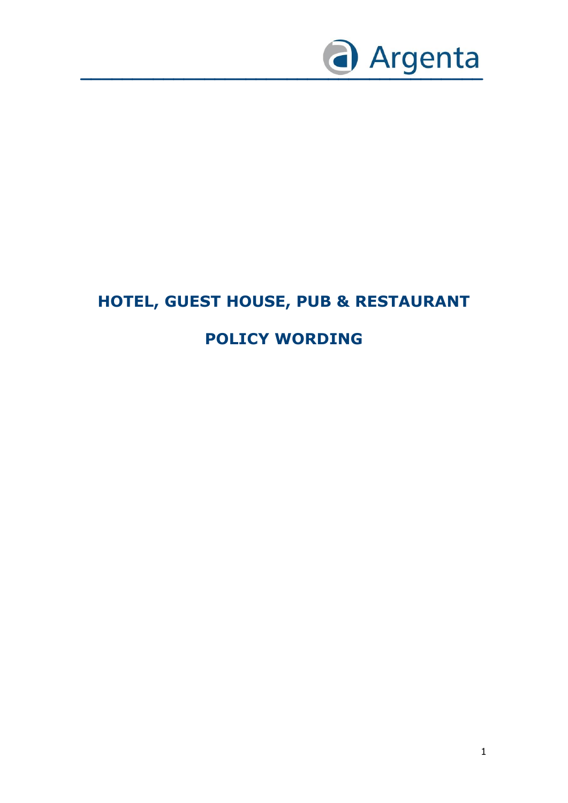

# **HOTEL, GUEST HOUSE, PUB & RESTAURANT POLICY WORDING**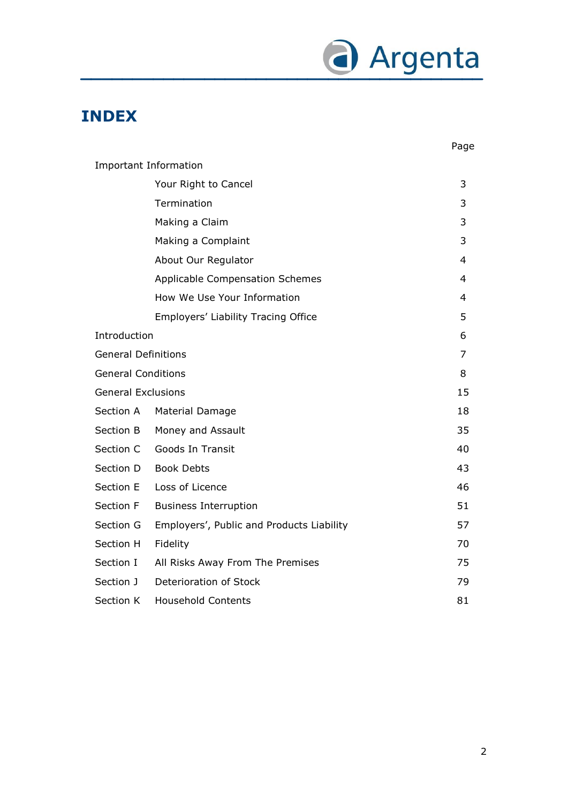

## **INDEX**

|                            |                                           | Page |
|----------------------------|-------------------------------------------|------|
|                            | <b>Important Information</b>              |      |
|                            | Your Right to Cancel                      | 3    |
|                            | Termination                               | 3    |
|                            | Making a Claim                            | 3    |
|                            | Making a Complaint                        | 3    |
|                            | About Our Regulator                       | 4    |
|                            | <b>Applicable Compensation Schemes</b>    | 4    |
|                            | How We Use Your Information               | 4    |
|                            | Employers' Liability Tracing Office       | 5    |
| Introduction               |                                           | 6    |
| <b>General Definitions</b> |                                           | 7    |
| <b>General Conditions</b>  |                                           | 8    |
| <b>General Exclusions</b>  |                                           | 15   |
| Section A                  | Material Damage                           | 18   |
| Section B                  | Money and Assault                         | 35   |
| Section C                  | Goods In Transit                          | 40   |
| Section D                  | <b>Book Debts</b>                         | 43   |
| Section E                  | Loss of Licence                           | 46   |
| Section F                  | <b>Business Interruption</b>              | 51   |
| Section G                  | Employers', Public and Products Liability | 57   |
| Section H                  | Fidelity                                  | 70   |
| Section I                  | All Risks Away From The Premises          | 75   |
| Section J                  | Deterioration of Stock                    | 79   |
| Section K                  | <b>Household Contents</b>                 | 81   |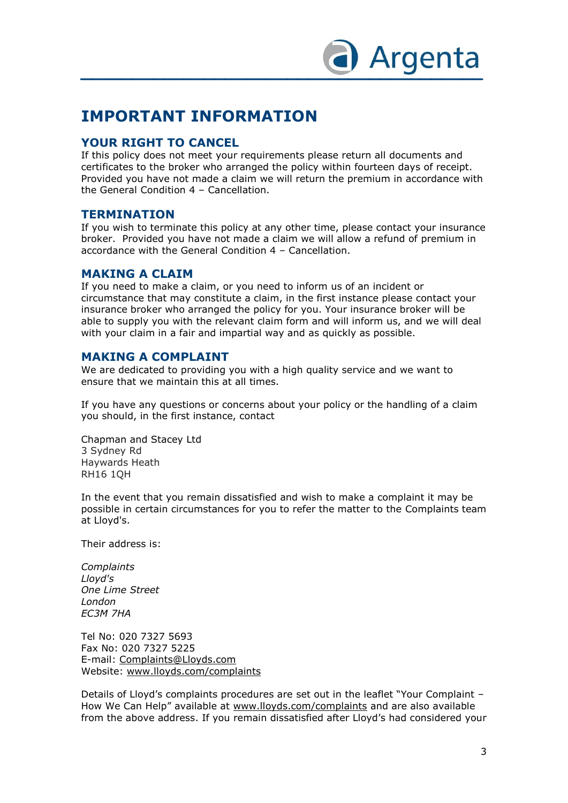

### **IMPORTANT INFORMATION**

#### **YOUR RIGHT TO CANCEL**

If this policy does not meet your requirements please return all documents and certificates to the broker who arranged the policy within fourteen days of receipt. Provided you have not made a claim we will return the premium in accordance with the General Condition 4 – Cancellation.

#### **TERMINATION**

If you wish to terminate this policy at any other time, please contact your insurance broker. Provided you have not made a claim we will allow a refund of premium in accordance with the General Condition 4 – Cancellation.

#### **MAKING A CLAIM**

If you need to make a claim, or you need to inform us of an incident or circumstance that may constitute a claim, in the first instance please contact your insurance broker who arranged the policy for you. Your insurance broker will be able to supply you with the relevant claim form and will inform us, and we will deal with your claim in a fair and impartial way and as quickly as possible.

#### **MAKING A COMPLAINT**

We are dedicated to providing you with a high quality service and we want to ensure that we maintain this at all times.

If you have any questions or concerns about your policy or the handling of a claim you should, in the first instance, contact

Chapman and Stacey Ltd 3 Sydney Rd Haywards Heath RH16 1QH

In the event that you remain dissatisfied and wish to make a complaint it may be possible in certain circumstances for you to refer the matter to the Complaints team at Lloyd's.

Their address is:

*Complaints Lloyd's One Lime Street London EC3M 7HA* 

Tel No: 020 7327 5693 Fax No: 020 7327 5225 E-mail: Complaints@Lloyds.com Website: [www.lloyds.com/complaints](http://www.lloyds.com/complaints)

Details of Lloyd's complaints procedures are set out in the leaflet "Your Complaint – How We Can Help" available at [www.lloyds.com/complaints](http://www.lloyds.com/complaints) and are also available from the above address. If you remain dissatisfied after Lloyd's had considered your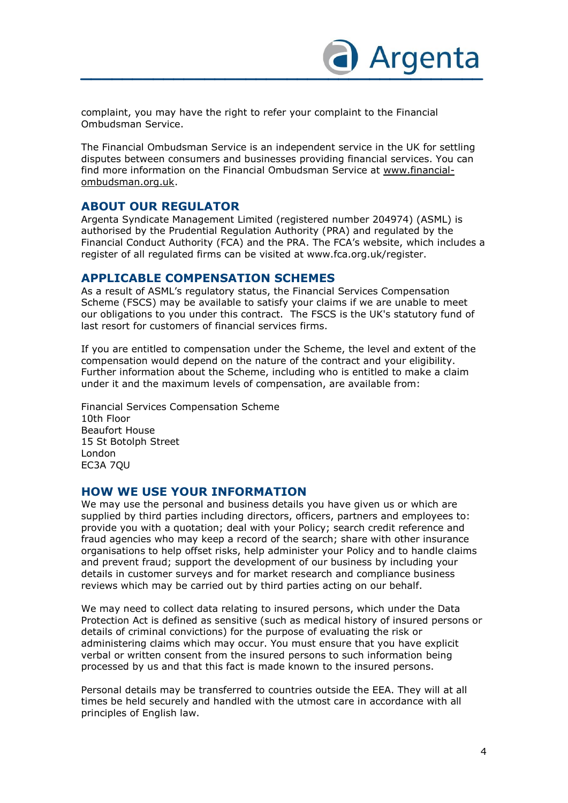

complaint, you may have the right to refer your complaint to the Financial Ombudsman Service.

The Financial Ombudsman Service is an independent service in the UK for settling disputes between consumers and businesses providing financial services. You can find more information on the Financial Ombudsman Service at [www.financial](http://www.financial-ombudsman.org.uk/)[ombudsman.org.uk.](http://www.financial-ombudsman.org.uk/)

#### **ABOUT OUR REGULATOR**

Argenta Syndicate Management Limited (registered number 204974) (ASML) is authorised by the Prudential Regulation Authority (PRA) and regulated by the Financial Conduct Authority (FCA) and the PRA. The FCA's website, which includes a register of all regulated firms can be visited at www.fca.org.uk/register.

#### **APPLICABLE COMPENSATION SCHEMES**

As a result of ASML's regulatory status, the Financial Services Compensation Scheme (FSCS) may be available to satisfy your claims if we are unable to meet our obligations to you under this contract. The FSCS is the UK's statutory fund of last resort for customers of financial services firms.

If you are entitled to compensation under the Scheme, the level and extent of the compensation would depend on the nature of the contract and your eligibility. Further information about the Scheme, including who is entitled to make a claim under it and the maximum levels of compensation, are available from:

Financial Services Compensation Scheme 10th Floor Beaufort House 15 St Botolph Street London EC3A 7QU

#### **HOW WE USE YOUR INFORMATION**

We may use the personal and business details you have given us or which are supplied by third parties including directors, officers, partners and employees to: provide you with a quotation; deal with your Policy; search credit reference and fraud agencies who may keep a record of the search; share with other insurance organisations to help offset risks, help administer your Policy and to handle claims and prevent fraud; support the development of our business by including your details in customer surveys and for market research and compliance business reviews which may be carried out by third parties acting on our behalf.

We may need to collect data relating to insured persons, which under the Data Protection Act is defined as sensitive (such as medical history of insured persons or details of criminal convictions) for the purpose of evaluating the risk or administering claims which may occur. You must ensure that you have explicit verbal or written consent from the insured persons to such information being processed by us and that this fact is made known to the insured persons.

Personal details may be transferred to countries outside the EEA. They will at all times be held securely and handled with the utmost care in accordance with all principles of English law.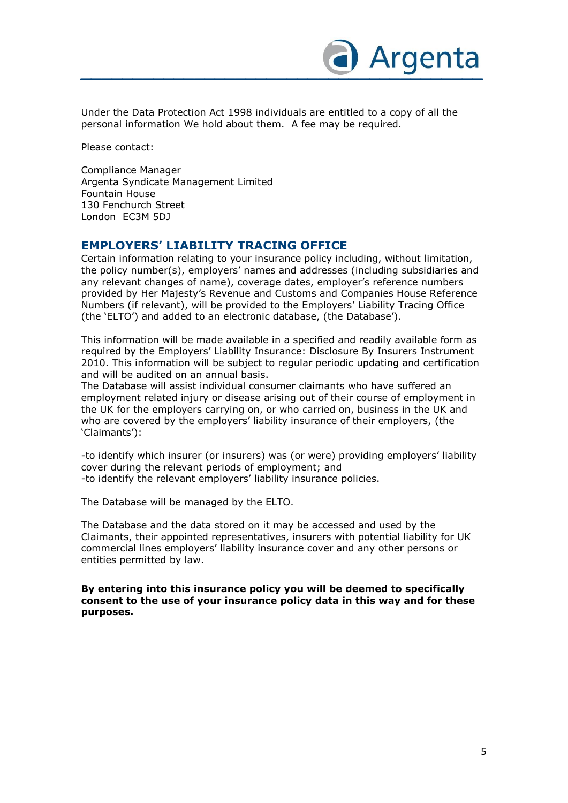

Under the Data Protection Act 1998 individuals are entitled to a copy of all the personal information We hold about them. A fee may be required.

Please contact:

Compliance Manager Argenta Syndicate Management Limited Fountain House 130 Fenchurch Street London EC3M 5DJ

#### **EMPLOYERS' LIABILITY TRACING OFFICE**

Certain information relating to your insurance policy including, without limitation, the policy number(s), employers' names and addresses (including subsidiaries and any relevant changes of name), coverage dates, employer's reference numbers provided by Her Majesty's Revenue and Customs and Companies House Reference Numbers (if relevant), will be provided to the Employers' Liability Tracing Office (the 'ELTO') and added to an electronic database, (the Database').

This information will be made available in a specified and readily available form as required by the Employers' Liability Insurance: Disclosure By Insurers Instrument 2010. This information will be subject to regular periodic updating and certification and will be audited on an annual basis.

The Database will assist individual consumer claimants who have suffered an employment related injury or disease arising out of their course of employment in the UK for the employers carrying on, or who carried on, business in the UK and who are covered by the employers' liability insurance of their employers, (the 'Claimants'):

-to identify which insurer (or insurers) was (or were) providing employers' liability cover during the relevant periods of employment; and -to identify the relevant employers' liability insurance policies.

The Database will be managed by the ELTO.

The Database and the data stored on it may be accessed and used by the Claimants, their appointed representatives, insurers with potential liability for UK commercial lines employers' liability insurance cover and any other persons or entities permitted by law.

**By entering into this insurance policy you will be deemed to specifically consent to the use of your insurance policy data in this way and for these purposes.**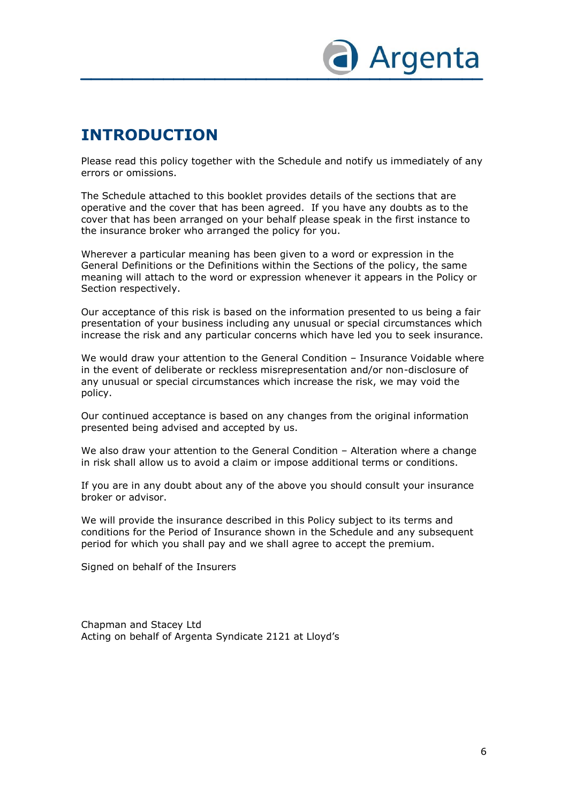

## **INTRODUCTION**

Please read this policy together with the Schedule and notify us immediately of any errors or omissions.

The Schedule attached to this booklet provides details of the sections that are operative and the cover that has been agreed. If you have any doubts as to the cover that has been arranged on your behalf please speak in the first instance to the insurance broker who arranged the policy for you.

Wherever a particular meaning has been given to a word or expression in the General Definitions or the Definitions within the Sections of the policy, the same meaning will attach to the word or expression whenever it appears in the Policy or Section respectively.

Our acceptance of this risk is based on the information presented to us being a fair presentation of your business including any unusual or special circumstances which increase the risk and any particular concerns which have led you to seek insurance.

We would draw your attention to the General Condition – Insurance Voidable where in the event of deliberate or reckless misrepresentation and/or non-disclosure of any unusual or special circumstances which increase the risk, we may void the policy.

Our continued acceptance is based on any changes from the original information presented being advised and accepted by us.

We also draw your attention to the General Condition – Alteration where a change in risk shall allow us to avoid a claim or impose additional terms or conditions.

If you are in any doubt about any of the above you should consult your insurance broker or advisor.

We will provide the insurance described in this Policy subject to its terms and conditions for the Period of Insurance shown in the Schedule and any subsequent period for which you shall pay and we shall agree to accept the premium.

Signed on behalf of the Insurers

Chapman and Stacey Ltd Acting on behalf of Argenta Syndicate 2121 at Lloyd's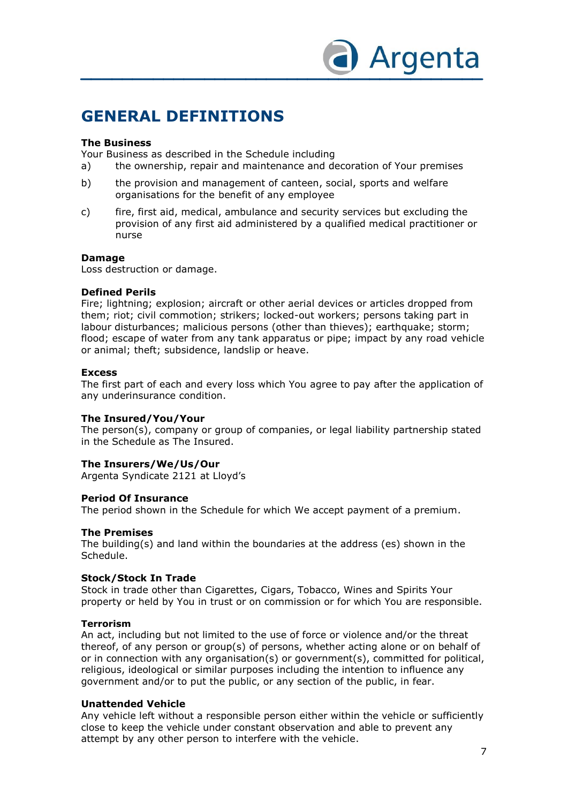

### **GENERAL DEFINITIONS**

#### **The Business**

Your Business as described in the Schedule including

- a) the ownership, repair and maintenance and decoration of Your premises
- b) the provision and management of canteen, social, sports and welfare organisations for the benefit of any employee
- c) fire, first aid, medical, ambulance and security services but excluding the provision of any first aid administered by a qualified medical practitioner or nurse

#### **Damage**

Loss destruction or damage.

#### **Defined Perils**

Fire; lightning; explosion; aircraft or other aerial devices or articles dropped from them; riot; civil commotion; strikers; locked-out workers; persons taking part in labour disturbances; malicious persons (other than thieves); earthquake; storm; flood; escape of water from any tank apparatus or pipe; impact by any road vehicle or animal; theft; subsidence, landslip or heave.

#### **Excess**

The first part of each and every loss which You agree to pay after the application of any underinsurance condition.

#### **The Insured/You/Your**

The person(s), company or group of companies, or legal liability partnership stated in the Schedule as The Insured.

#### **The Insurers/We/Us/Our**

Argenta Syndicate 2121 at Lloyd's

#### **Period Of Insurance**

The period shown in the Schedule for which We accept payment of a premium.

#### **The Premises**

The building(s) and land within the boundaries at the address (es) shown in the Schedule.

#### **Stock/Stock In Trade**

Stock in trade other than Cigarettes, Cigars, Tobacco, Wines and Spirits Your property or held by You in trust or on commission or for which You are responsible.

#### **Terrorism**

An act, including but not limited to the use of force or violence and/or the threat thereof, of any person or group(s) of persons, whether acting alone or on behalf of or in connection with any organisation(s) or government(s), committed for political, religious, ideological or similar purposes including the intention to influence any government and/or to put the public, or any section of the public, in fear.

#### **Unattended Vehicle**

Any vehicle left without a responsible person either within the vehicle or sufficiently close to keep the vehicle under constant observation and able to prevent any attempt by any other person to interfere with the vehicle.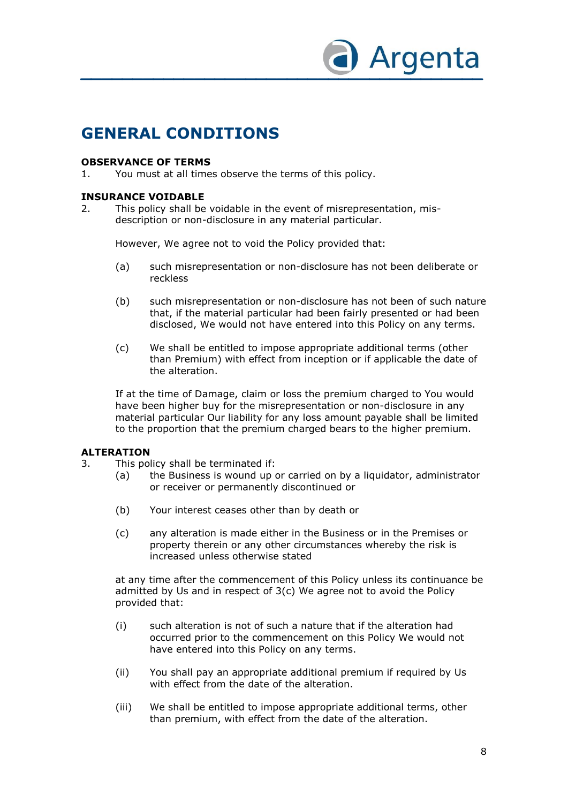

### **GENERAL CONDITIONS**

#### **OBSERVANCE OF TERMS**

1. You must at all times observe the terms of this policy.

#### **INSURANCE VOIDABLE**

2. This policy shall be voidable in the event of misrepresentation, misdescription or non-disclosure in any material particular.

However, We agree not to void the Policy provided that:

- (a) such misrepresentation or non-disclosure has not been deliberate or reckless
- (b) such misrepresentation or non-disclosure has not been of such nature that, if the material particular had been fairly presented or had been disclosed, We would not have entered into this Policy on any terms.
- (c) We shall be entitled to impose appropriate additional terms (other than Premium) with effect from inception or if applicable the date of the alteration.

If at the time of Damage, claim or loss the premium charged to You would have been higher buy for the misrepresentation or non-disclosure in any material particular Our liability for any loss amount payable shall be limited to the proportion that the premium charged bears to the higher premium.

#### **ALTERATION**

- 3. This policy shall be terminated if:
	- (a) the Business is wound up or carried on by a liquidator, administrator or receiver or permanently discontinued or
		- (b) Your interest ceases other than by death or
		- (c) any alteration is made either in the Business or in the Premises or property therein or any other circumstances whereby the risk is increased unless otherwise stated

at any time after the commencement of this Policy unless its continuance be admitted by Us and in respect of 3(c) We agree not to avoid the Policy provided that:

- (i) such alteration is not of such a nature that if the alteration had occurred prior to the commencement on this Policy We would not have entered into this Policy on any terms.
- (ii) You shall pay an appropriate additional premium if required by Us with effect from the date of the alteration.
- (iii) We shall be entitled to impose appropriate additional terms, other than premium, with effect from the date of the alteration.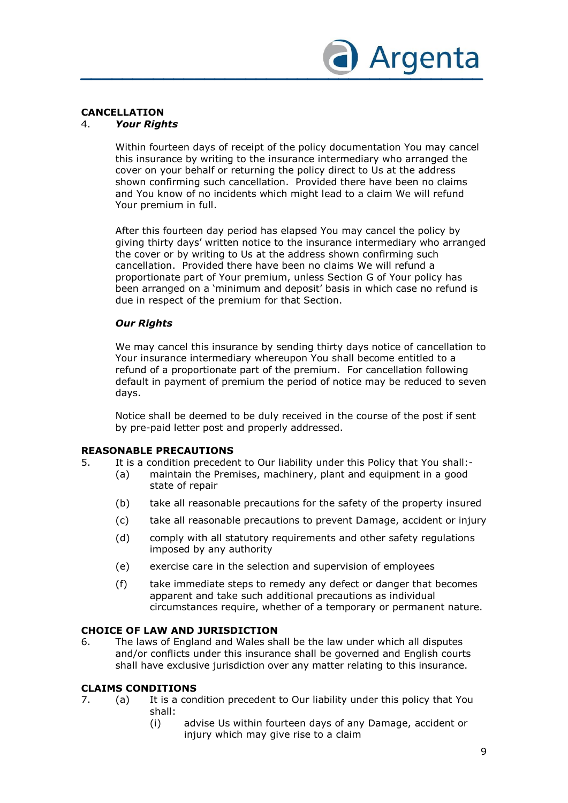

#### **CANCELLATION**

#### 4. *Your Rights*

Within fourteen days of receipt of the policy documentation You may cancel this insurance by writing to the insurance intermediary who arranged the cover on your behalf or returning the policy direct to Us at the address shown confirming such cancellation. Provided there have been no claims and You know of no incidents which might lead to a claim We will refund Your premium in full.

After this fourteen day period has elapsed You may cancel the policy by giving thirty days' written notice to the insurance intermediary who arranged the cover or by writing to Us at the address shown confirming such cancellation. Provided there have been no claims We will refund a proportionate part of Your premium, unless Section G of Your policy has been arranged on a 'minimum and deposit' basis in which case no refund is due in respect of the premium for that Section.

#### *Our Rights*

We may cancel this insurance by sending thirty days notice of cancellation to Your insurance intermediary whereupon You shall become entitled to a refund of a proportionate part of the premium. For cancellation following default in payment of premium the period of notice may be reduced to seven days.

Notice shall be deemed to be duly received in the course of the post if sent by pre-paid letter post and properly addressed.

#### **REASONABLE PRECAUTIONS**

- 5. It is a condition precedent to Our liability under this Policy that You shall:-
	- (a) maintain the Premises, machinery, plant and equipment in a good state of repair
		- (b) take all reasonable precautions for the safety of the property insured
		- (c) take all reasonable precautions to prevent Damage, accident or injury
		- (d) comply with all statutory requirements and other safety regulations imposed by any authority
		- (e) exercise care in the selection and supervision of employees
		- (f) take immediate steps to remedy any defect or danger that becomes apparent and take such additional precautions as individual circumstances require, whether of a temporary or permanent nature.

#### **CHOICE OF LAW AND JURISDICTION**

6. The laws of England and Wales shall be the law under which all disputes and/or conflicts under this insurance shall be governed and English courts shall have exclusive jurisdiction over any matter relating to this insurance.

#### **CLAIMS CONDITIONS**

- 7. (a) It is a condition precedent to Our liability under this policy that You shall:
	- (i) advise Us within fourteen days of any Damage, accident or injury which may give rise to a claim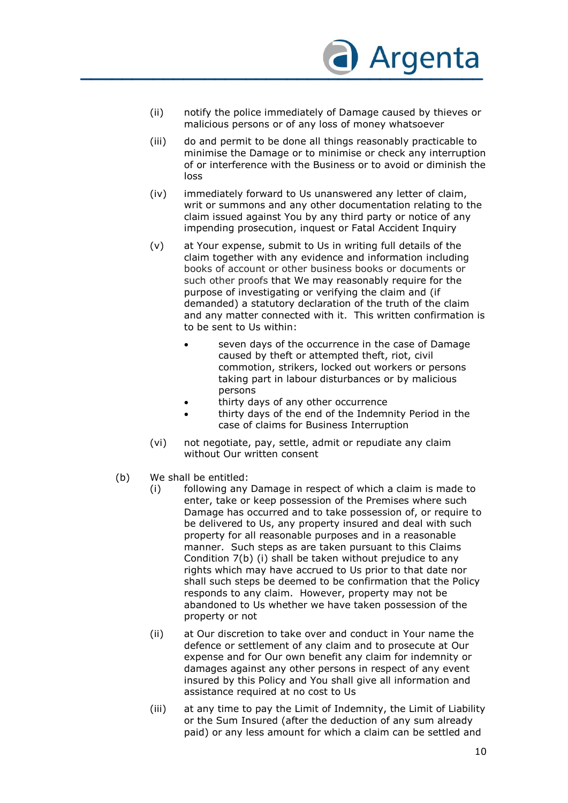

- (ii) notify the police immediately of Damage caused by thieves or malicious persons or of any loss of money whatsoever
- (iii) do and permit to be done all things reasonably practicable to minimise the Damage or to minimise or check any interruption of or interference with the Business or to avoid or diminish the loss
- (iv) immediately forward to Us unanswered any letter of claim, writ or summons and any other documentation relating to the claim issued against You by any third party or notice of any impending prosecution, inquest or Fatal Accident Inquiry
- (v) at Your expense, submit to Us in writing full details of the claim together with any evidence and information including books of account or other business books or documents or such other proofs that We may reasonably require for the purpose of investigating or verifying the claim and (if demanded) a statutory declaration of the truth of the claim and any matter connected with it. This written confirmation is to be sent to Us within:
	- seven days of the occurrence in the case of Damage caused by theft or attempted theft, riot, civil commotion, strikers, locked out workers or persons taking part in labour disturbances or by malicious persons
	- thirty days of any other occurrence
	- thirty days of the end of the Indemnity Period in the case of claims for Business Interruption
- (vi) not negotiate, pay, settle, admit or repudiate any claim without Our written consent
- (b) We shall be entitled:
	- (i) following any Damage in respect of which a claim is made to enter, take or keep possession of the Premises where such Damage has occurred and to take possession of, or require to be delivered to Us, any property insured and deal with such property for all reasonable purposes and in a reasonable manner. Such steps as are taken pursuant to this Claims Condition 7(b) (i) shall be taken without prejudice to any rights which may have accrued to Us prior to that date nor shall such steps be deemed to be confirmation that the Policy responds to any claim. However, property may not be abandoned to Us whether we have taken possession of the property or not
	- (ii) at Our discretion to take over and conduct in Your name the defence or settlement of any claim and to prosecute at Our expense and for Our own benefit any claim for indemnity or damages against any other persons in respect of any event insured by this Policy and You shall give all information and assistance required at no cost to Us
	- (iii) at any time to pay the Limit of Indemnity, the Limit of Liability or the Sum Insured (after the deduction of any sum already paid) or any less amount for which a claim can be settled and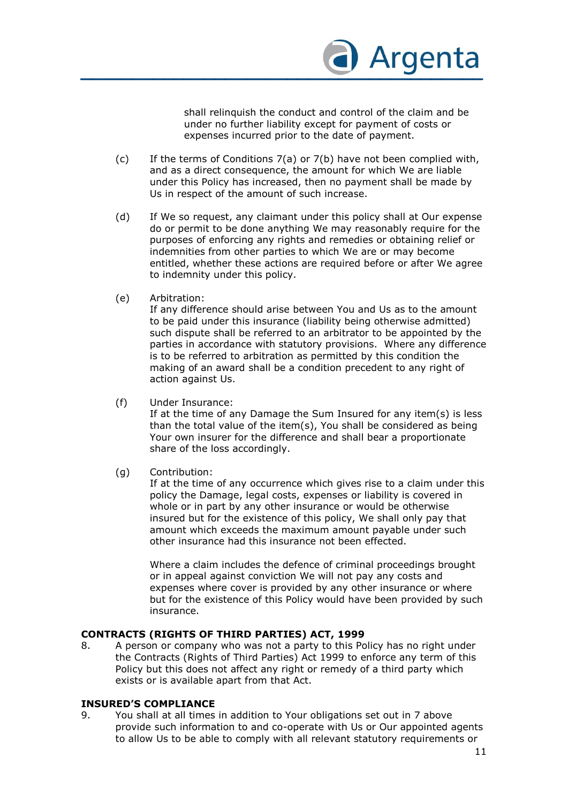

shall relinquish the conduct and control of the claim and be under no further liability except for payment of costs or expenses incurred prior to the date of payment.

- (c) If the terms of Conditions 7(a) or 7(b) have not been complied with, and as a direct consequence, the amount for which We are liable under this Policy has increased, then no payment shall be made by Us in respect of the amount of such increase.
- (d) If We so request, any claimant under this policy shall at Our expense do or permit to be done anything We may reasonably require for the purposes of enforcing any rights and remedies or obtaining relief or indemnities from other parties to which We are or may become entitled, whether these actions are required before or after We agree to indemnity under this policy.
- (e) Arbitration:

If any difference should arise between You and Us as to the amount to be paid under this insurance (liability being otherwise admitted) such dispute shall be referred to an arbitrator to be appointed by the parties in accordance with statutory provisions. Where any difference is to be referred to arbitration as permitted by this condition the making of an award shall be a condition precedent to any right of action against Us.

(f) Under Insurance:

If at the time of any Damage the Sum Insured for any item(s) is less than the total value of the item(s), You shall be considered as being Your own insurer for the difference and shall bear a proportionate share of the loss accordingly.

(g) Contribution:

If at the time of any occurrence which gives rise to a claim under this policy the Damage, legal costs, expenses or liability is covered in whole or in part by any other insurance or would be otherwise insured but for the existence of this policy, We shall only pay that amount which exceeds the maximum amount payable under such other insurance had this insurance not been effected.

Where a claim includes the defence of criminal proceedings brought or in appeal against conviction We will not pay any costs and expenses where cover is provided by any other insurance or where but for the existence of this Policy would have been provided by such insurance.

#### **CONTRACTS (RIGHTS OF THIRD PARTIES) ACT, 1999**

8. A person or company who was not a party to this Policy has no right under the Contracts (Rights of Third Parties) Act 1999 to enforce any term of this Policy but this does not affect any right or remedy of a third party which exists or is available apart from that Act.

#### **INSURED'S COMPLIANCE**

9. You shall at all times in addition to Your obligations set out in 7 above provide such information to and co-operate with Us or Our appointed agents to allow Us to be able to comply with all relevant statutory requirements or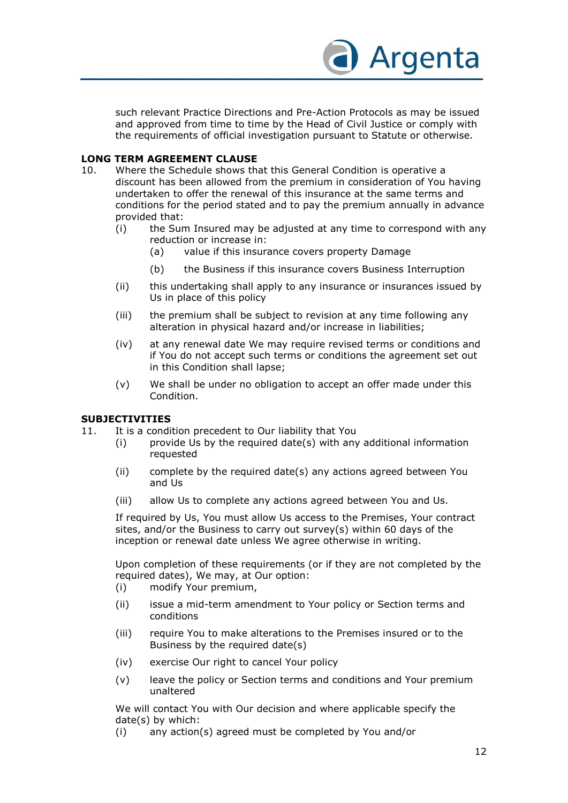

such relevant Practice Directions and Pre-Action Protocols as may be issued and approved from time to time by the Head of Civil Justice or comply with the requirements of official investigation pursuant to Statute or otherwise.

#### **LONG TERM AGREEMENT CLAUSE**

- 10. Where the Schedule shows that this General Condition is operative a discount has been allowed from the premium in consideration of You having undertaken to offer the renewal of this insurance at the same terms and conditions for the period stated and to pay the premium annually in advance provided that:
	- (i) the Sum Insured may be adjusted at any time to correspond with any reduction or increase in:
		- (a) value if this insurance covers property Damage
		- (b) the Business if this insurance covers Business Interruption
	- (ii) this undertaking shall apply to any insurance or insurances issued by Us in place of this policy
	- (iii) the premium shall be subject to revision at any time following any alteration in physical hazard and/or increase in liabilities;
	- (iv) at any renewal date We may require revised terms or conditions and if You do not accept such terms or conditions the agreement set out in this Condition shall lapse;
	- (v) We shall be under no obligation to accept an offer made under this Condition.

#### **SUBJECTIVITIES**

- 11. It is a condition precedent to Our liability that You
	- (i) provide Us by the required date(s) with any additional information requested
		- (ii) complete by the required date(s) any actions agreed between You and Us
		- (iii) allow Us to complete any actions agreed between You and Us.

If required by Us, You must allow Us access to the Premises, Your contract sites, and/or the Business to carry out survey(s) within 60 days of the inception or renewal date unless We agree otherwise in writing.

Upon completion of these requirements (or if they are not completed by the required dates), We may, at Our option:

- (i) modify Your premium,
- (ii) issue a mid-term amendment to Your policy or Section terms and conditions
- (iii) require You to make alterations to the Premises insured or to the Business by the required date(s)
- (iv) exercise Our right to cancel Your policy
- (v) leave the policy or Section terms and conditions and Your premium unaltered

We will contact You with Our decision and where applicable specify the date(s) by which:

(i) any action(s) agreed must be completed by You and/or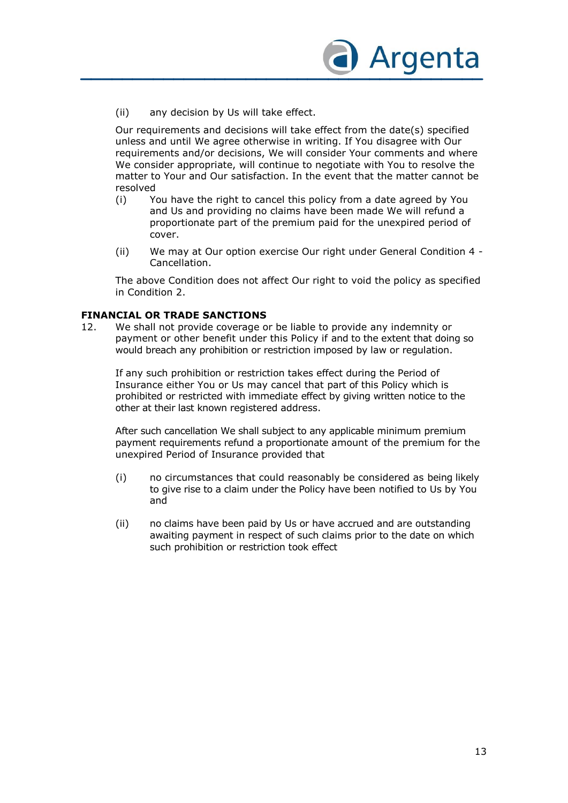

(ii) any decision by Us will take effect.

Our requirements and decisions will take effect from the date(s) specified unless and until We agree otherwise in writing. If You disagree with Our requirements and/or decisions, We will consider Your comments and where We consider appropriate, will continue to negotiate with You to resolve the matter to Your and Our satisfaction. In the event that the matter cannot be resolved

- (i) You have the right to cancel this policy from a date agreed by You and Us and providing no claims have been made We will refund a proportionate part of the premium paid for the unexpired period of cover.
- (ii) We may at Our option exercise Our right under General Condition 4 Cancellation.

The above Condition does not affect Our right to void the policy as specified in Condition 2.

#### **FINANCIAL OR TRADE SANCTIONS**

12. We shall not provide coverage or be liable to provide any indemnity or payment or other benefit under this Policy if and to the extent that doing so would breach any prohibition or restriction imposed by law or regulation.

If any such prohibition or restriction takes effect during the Period of Insurance either You or Us may cancel that part of this Policy which is prohibited or restricted with immediate effect by giving written notice to the other at their last known registered address.

After such cancellation We shall subject to any applicable minimum premium payment requirements refund a proportionate amount of the premium for the unexpired Period of Insurance provided that

- (i) no circumstances that could reasonably be considered as being likely to give rise to a claim under the Policy have been notified to Us by You and
- (ii) no claims have been paid by Us or have accrued and are outstanding awaiting payment in respect of such claims prior to the date on which such prohibition or restriction took effect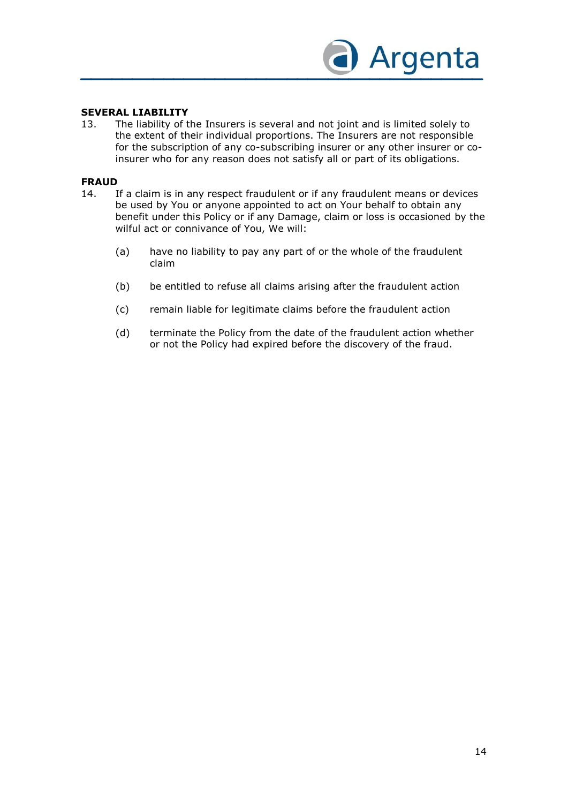

#### **SEVERAL LIABILITY**

13. The liability of the Insurers is several and not joint and is limited solely to the extent of their individual proportions. The Insurers are not responsible for the subscription of any co-subscribing insurer or any other insurer or coinsurer who for any reason does not satisfy all or part of its obligations.

#### **FRAUD**

- 14. If a claim is in any respect fraudulent or if any fraudulent means or devices be used by You or anyone appointed to act on Your behalf to obtain any benefit under this Policy or if any Damage, claim or loss is occasioned by the wilful act or connivance of You, We will:
	- (a) have no liability to pay any part of or the whole of the fraudulent claim
	- (b) be entitled to refuse all claims arising after the fraudulent action
	- (c) remain liable for legitimate claims before the fraudulent action
	- (d) terminate the Policy from the date of the fraudulent action whether or not the Policy had expired before the discovery of the fraud.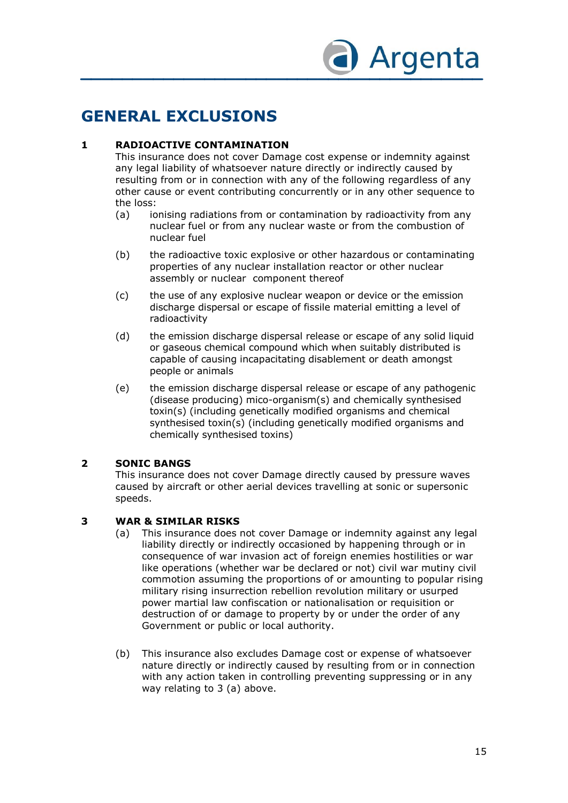

### **GENERAL EXCLUSIONS**

#### **1 RADIOACTIVE CONTAMINATION**

This insurance does not cover Damage cost expense or indemnity against any legal liability of whatsoever nature directly or indirectly caused by resulting from or in connection with any of the following regardless of any other cause or event contributing concurrently or in any other sequence to the loss:

- (a) ionising radiations from or contamination by radioactivity from any nuclear fuel or from any nuclear waste or from the combustion of nuclear fuel
- (b) the radioactive toxic explosive or other hazardous or contaminating properties of any nuclear installation reactor or other nuclear assembly or nuclear component thereof
- (c) the use of any explosive nuclear weapon or device or the emission discharge dispersal or escape of fissile material emitting a level of radioactivity
- (d) the emission discharge dispersal release or escape of any solid liquid or gaseous chemical compound which when suitably distributed is capable of causing incapacitating disablement or death amongst people or animals
- (e) the emission discharge dispersal release or escape of any pathogenic (disease producing) mico-organism(s) and chemically synthesised toxin(s) (including genetically modified organisms and chemical synthesised toxin(s) (including genetically modified organisms and chemically synthesised toxins)

#### **2 SONIC BANGS**

This insurance does not cover Damage directly caused by pressure waves caused by aircraft or other aerial devices travelling at sonic or supersonic speeds.

#### **3 WAR & SIMILAR RISKS**

- (a) This insurance does not cover Damage or indemnity against any legal liability directly or indirectly occasioned by happening through or in consequence of war invasion act of foreign enemies hostilities or war like operations (whether war be declared or not) civil war mutiny civil commotion assuming the proportions of or amounting to popular rising military rising insurrection rebellion revolution military or usurped power martial law confiscation or nationalisation or requisition or destruction of or damage to property by or under the order of any Government or public or local authority.
- (b) This insurance also excludes Damage cost or expense of whatsoever nature directly or indirectly caused by resulting from or in connection with any action taken in controlling preventing suppressing or in any way relating to 3 (a) above.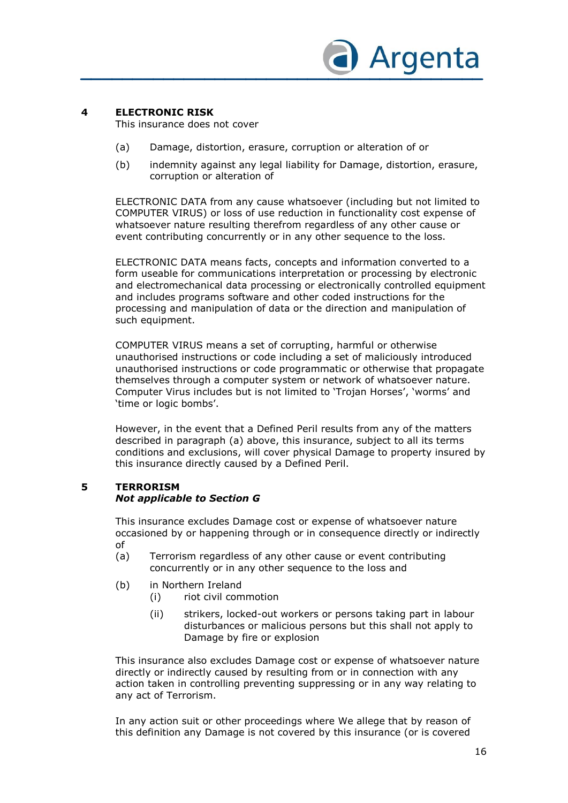

#### **4 ELECTRONIC RISK**

This insurance does not cover

- (a) Damage, distortion, erasure, corruption or alteration of or
- (b) indemnity against any legal liability for Damage, distortion, erasure, corruption or alteration of

ELECTRONIC DATA from any cause whatsoever (including but not limited to COMPUTER VIRUS) or loss of use reduction in functionality cost expense of whatsoever nature resulting therefrom regardless of any other cause or event contributing concurrently or in any other sequence to the loss.

ELECTRONIC DATA means facts, concepts and information converted to a form useable for communications interpretation or processing by electronic and electromechanical data processing or electronically controlled equipment and includes programs software and other coded instructions for the processing and manipulation of data or the direction and manipulation of such equipment.

COMPUTER VIRUS means a set of corrupting, harmful or otherwise unauthorised instructions or code including a set of maliciously introduced unauthorised instructions or code programmatic or otherwise that propagate themselves through a computer system or network of whatsoever nature. Computer Virus includes but is not limited to 'Trojan Horses', 'worms' and 'time or logic bombs'.

However, in the event that a Defined Peril results from any of the matters described in paragraph (a) above, this insurance, subject to all its terms conditions and exclusions, will cover physical Damage to property insured by this insurance directly caused by a Defined Peril.

#### **5 TERRORISM**

#### *Not applicable to Section G*

This insurance excludes Damage cost or expense of whatsoever nature occasioned by or happening through or in consequence directly or indirectly of

- (a) Terrorism regardless of any other cause or event contributing concurrently or in any other sequence to the loss and
- (b) in Northern Ireland
	- (i) riot civil commotion
	- (ii) strikers, locked-out workers or persons taking part in labour disturbances or malicious persons but this shall not apply to Damage by fire or explosion

This insurance also excludes Damage cost or expense of whatsoever nature directly or indirectly caused by resulting from or in connection with any action taken in controlling preventing suppressing or in any way relating to any act of Terrorism.

In any action suit or other proceedings where We allege that by reason of this definition any Damage is not covered by this insurance (or is covered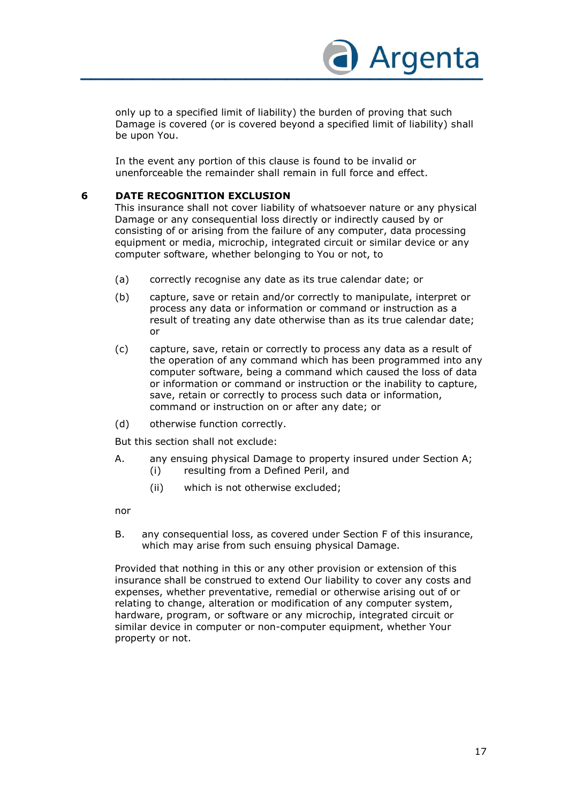

only up to a specified limit of liability) the burden of proving that such Damage is covered (or is covered beyond a specified limit of liability) shall be upon You.

In the event any portion of this clause is found to be invalid or unenforceable the remainder shall remain in full force and effect.

#### **6 DATE RECOGNITION EXCLUSION**

This insurance shall not cover liability of whatsoever nature or any physical Damage or any consequential loss directly or indirectly caused by or consisting of or arising from the failure of any computer, data processing equipment or media, microchip, integrated circuit or similar device or any computer software, whether belonging to You or not, to

- (a) correctly recognise any date as its true calendar date; or
- (b) capture, save or retain and/or correctly to manipulate, interpret or process any data or information or command or instruction as a result of treating any date otherwise than as its true calendar date; or
- (c) capture, save, retain or correctly to process any data as a result of the operation of any command which has been programmed into any computer software, being a command which caused the loss of data or information or command or instruction or the inability to capture, save, retain or correctly to process such data or information, command or instruction on or after any date; or
- (d) otherwise function correctly.

But this section shall not exclude:

- A. any ensuing physical Damage to property insured under Section A;
	- (i) resulting from a Defined Peril, and
	- (ii) which is not otherwise excluded;

nor

B. any consequential loss, as covered under Section F of this insurance, which may arise from such ensuing physical Damage.

Provided that nothing in this or any other provision or extension of this insurance shall be construed to extend Our liability to cover any costs and expenses, whether preventative, remedial or otherwise arising out of or relating to change, alteration or modification of any computer system, hardware, program, or software or any microchip, integrated circuit or similar device in computer or non-computer equipment, whether Your property or not.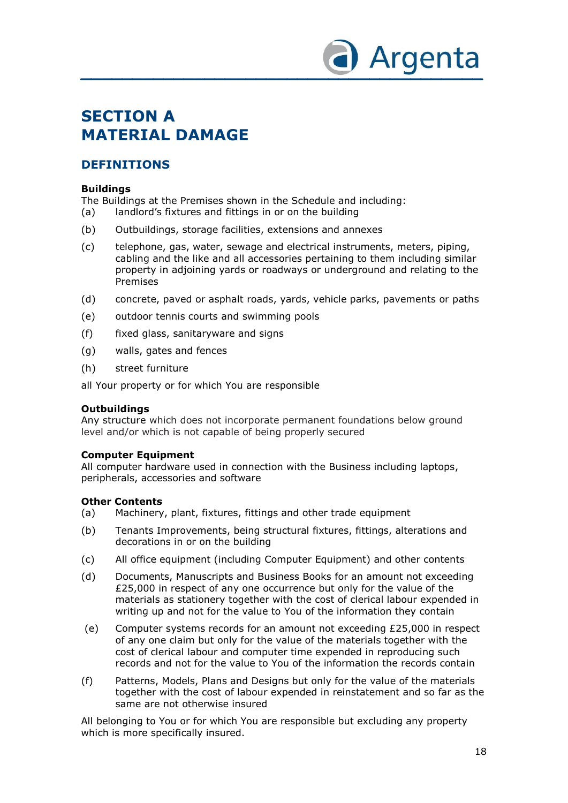

### **SECTION A MATERIAL DAMAGE**

#### **DEFINITIONS**

#### **Buildings**

The Buildings at the Premises shown in the Schedule and including:

- (a) landlord's fixtures and fittings in or on the building
- (b) Outbuildings, storage facilities, extensions and annexes
- (c) telephone, gas, water, sewage and electrical instruments, meters, piping, cabling and the like and all accessories pertaining to them including similar property in adjoining yards or roadways or underground and relating to the Premises
- (d) concrete, paved or asphalt roads, yards, vehicle parks, pavements or paths
- (e) outdoor tennis courts and swimming pools
- (f) fixed glass, sanitaryware and signs
- (g) walls, gates and fences
- (h) street furniture

all Your property or for which You are responsible

#### **Outbuildings**

Any structure which does not incorporate permanent foundations below ground level and/or which is not capable of being properly secured

#### **Computer Equipment**

All computer hardware used in connection with the Business including laptops, peripherals, accessories and software

#### **Other Contents**

- (a) Machinery, plant, fixtures, fittings and other trade equipment
- (b) Tenants Improvements, being structural fixtures, fittings, alterations and decorations in or on the building
- (c) All office equipment (including Computer Equipment) and other contents
- (d) Documents, Manuscripts and Business Books for an amount not exceeding £25,000 in respect of any one occurrence but only for the value of the materials as stationery together with the cost of clerical labour expended in writing up and not for the value to You of the information they contain
- (e) Computer systems records for an amount not exceeding £25,000 in respect of any one claim but only for the value of the materials together with the cost of clerical labour and computer time expended in reproducing such records and not for the value to You of the information the records contain
- (f) Patterns, Models, Plans and Designs but only for the value of the materials together with the cost of labour expended in reinstatement and so far as the same are not otherwise insured

All belonging to You or for which You are responsible but excluding any property which is more specifically insured.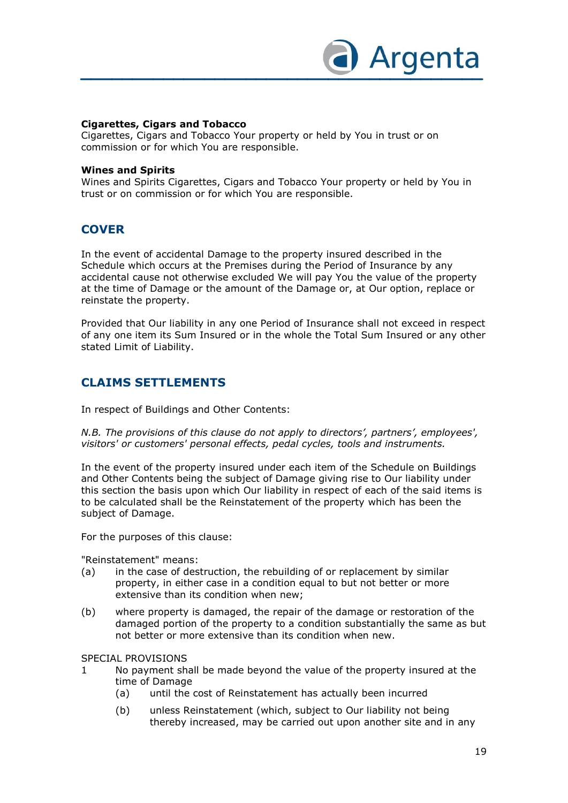

#### **Cigarettes, Cigars and Tobacco**

Cigarettes, Cigars and Tobacco Your property or held by You in trust or on commission or for which You are responsible.

#### **Wines and Spirits**

Wines and Spirits Cigarettes, Cigars and Tobacco Your property or held by You in trust or on commission or for which You are responsible.

#### **COVER**

In the event of accidental Damage to the property insured described in the Schedule which occurs at the Premises during the Period of Insurance by any accidental cause not otherwise excluded We will pay You the value of the property at the time of Damage or the amount of the Damage or, at Our option, replace or reinstate the property.

Provided that Our liability in any one Period of Insurance shall not exceed in respect of any one item its Sum Insured or in the whole the Total Sum Insured or any other stated Limit of Liability.

#### **CLAIMS SETTLEMENTS**

In respect of Buildings and Other Contents:

*N.B. The provisions of this clause do not apply to directors', partners', employees', visitors' or customers' personal effects, pedal cycles, tools and instruments.*

In the event of the property insured under each item of the Schedule on Buildings and Other Contents being the subject of Damage giving rise to Our liability under this section the basis upon which Our liability in respect of each of the said items is to be calculated shall be the Reinstatement of the property which has been the subject of Damage.

For the purposes of this clause:

"Reinstatement" means:

- (a) in the case of destruction, the rebuilding of or replacement by similar property, in either case in a condition equal to but not better or more extensive than its condition when new;
- (b) where property is damaged, the repair of the damage or restoration of the damaged portion of the property to a condition substantially the same as but not better or more extensive than its condition when new.

#### SPECIAL PROVISIONS

- 1 No payment shall be made beyond the value of the property insured at the time of Damage
	- (a) until the cost of Reinstatement has actually been incurred
	- (b) unless Reinstatement (which, subject to Our liability not being thereby increased, may be carried out upon another site and in any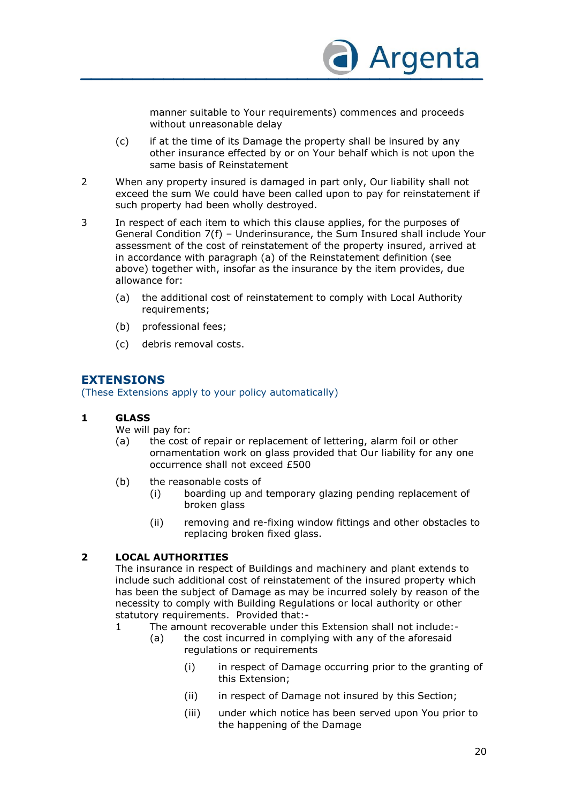

manner suitable to Your requirements) commences and proceeds without unreasonable delay

- (c) if at the time of its Damage the property shall be insured by any other insurance effected by or on Your behalf which is not upon the same basis of Reinstatement
- 2 When any property insured is damaged in part only, Our liability shall not exceed the sum We could have been called upon to pay for reinstatement if such property had been wholly destroyed.
- 3 In respect of each item to which this clause applies, for the purposes of General Condition 7(f) – Underinsurance, the Sum Insured shall include Your assessment of the cost of reinstatement of the property insured, arrived at in accordance with paragraph (a) of the Reinstatement definition (see above) together with, insofar as the insurance by the item provides, due allowance for:
	- (a) the additional cost of reinstatement to comply with Local Authority requirements;
	- (b) professional fees;
	- (c) debris removal costs.

### **EXTENSIONS**

(These Extensions apply to your policy automatically)

#### **1 GLASS**

We will pay for:

- (a) the cost of repair or replacement of lettering, alarm foil or other ornamentation work on glass provided that Our liability for any one occurrence shall not exceed £500
- (b) the reasonable costs of
	- (i) boarding up and temporary glazing pending replacement of broken glass
	- (ii) removing and re-fixing window fittings and other obstacles to replacing broken fixed glass.

#### **2 LOCAL AUTHORITIES**

The insurance in respect of Buildings and machinery and plant extends to include such additional cost of reinstatement of the insured property which has been the subject of Damage as may be incurred solely by reason of the necessity to comply with Building Regulations or local authority or other statutory requirements. Provided that:-

- 1 The amount recoverable under this Extension shall not include:-
	- (a) the cost incurred in complying with any of the aforesaid regulations or requirements
		- (i) in respect of Damage occurring prior to the granting of this Extension;
		- (ii) in respect of Damage not insured by this Section;
		- (iii) under which notice has been served upon You prior to the happening of the Damage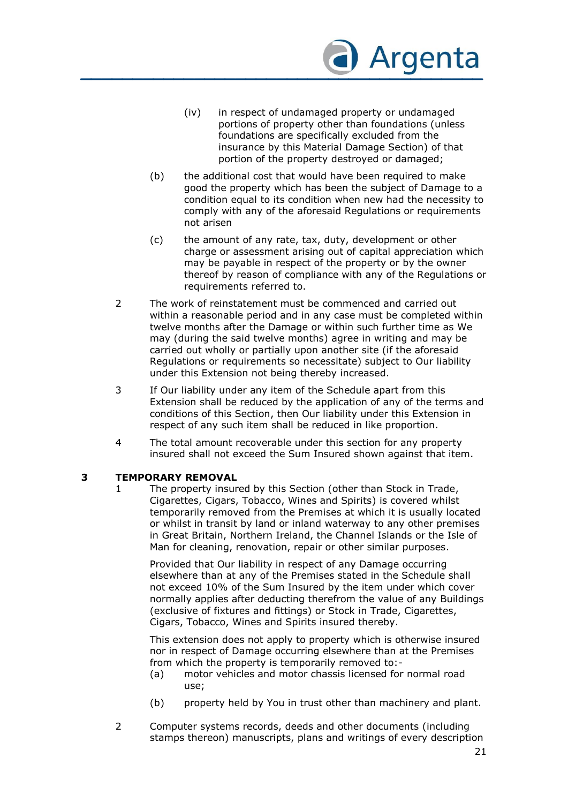

- (iv) in respect of undamaged property or undamaged portions of property other than foundations (unless foundations are specifically excluded from the insurance by this Material Damage Section) of that portion of the property destroyed or damaged;
- (b) the additional cost that would have been required to make good the property which has been the subject of Damage to a condition equal to its condition when new had the necessity to comply with any of the aforesaid Regulations or requirements not arisen
- (c) the amount of any rate, tax, duty, development or other charge or assessment arising out of capital appreciation which may be payable in respect of the property or by the owner thereof by reason of compliance with any of the Regulations or requirements referred to.
- 2 The work of reinstatement must be commenced and carried out within a reasonable period and in any case must be completed within twelve months after the Damage or within such further time as We may (during the said twelve months) agree in writing and may be carried out wholly or partially upon another site (if the aforesaid Regulations or requirements so necessitate) subject to Our liability under this Extension not being thereby increased.
- 3 If Our liability under any item of the Schedule apart from this Extension shall be reduced by the application of any of the terms and conditions of this Section, then Our liability under this Extension in respect of any such item shall be reduced in like proportion.
- 4 The total amount recoverable under this section for any property insured shall not exceed the Sum Insured shown against that item.

#### **3 TEMPORARY REMOVAL**

1 The property insured by this Section (other than Stock in Trade, Cigarettes, Cigars, Tobacco, Wines and Spirits) is covered whilst temporarily removed from the Premises at which it is usually located or whilst in transit by land or inland waterway to any other premises in Great Britain, Northern Ireland, the Channel Islands or the Isle of Man for cleaning, renovation, repair or other similar purposes.

Provided that Our liability in respect of any Damage occurring elsewhere than at any of the Premises stated in the Schedule shall not exceed 10% of the Sum Insured by the item under which cover normally applies after deducting therefrom the value of any Buildings (exclusive of fixtures and fittings) or Stock in Trade, Cigarettes, Cigars, Tobacco, Wines and Spirits insured thereby.

This extension does not apply to property which is otherwise insured nor in respect of Damage occurring elsewhere than at the Premises from which the property is temporarily removed to:-

- (a) motor vehicles and motor chassis licensed for normal road use;
- (b) property held by You in trust other than machinery and plant.
- 2 Computer systems records, deeds and other documents (including stamps thereon) manuscripts, plans and writings of every description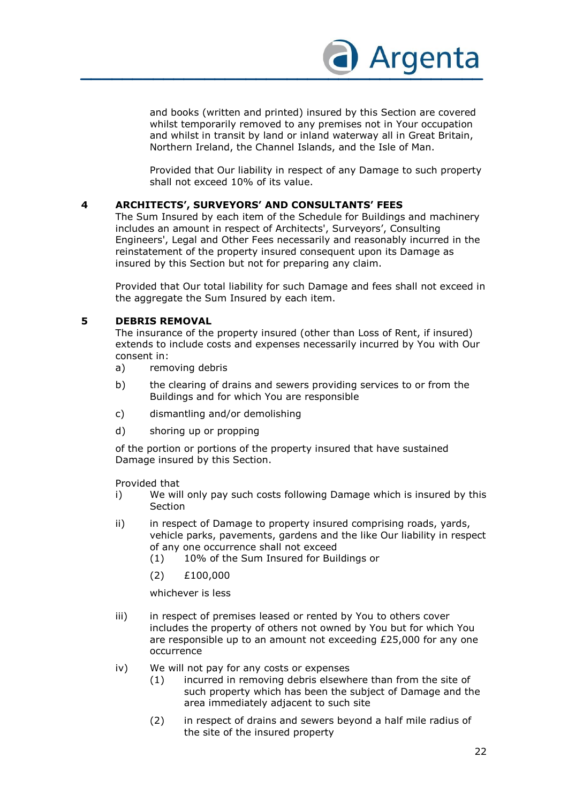

and books (written and printed) insured by this Section are covered whilst temporarily removed to any premises not in Your occupation and whilst in transit by land or inland waterway all in Great Britain, Northern Ireland, the Channel Islands, and the Isle of Man.

Provided that Our liability in respect of any Damage to such property shall not exceed 10% of its value.

#### **4 ARCHITECTS', SURVEYORS' AND CONSULTANTS' FEES**

The Sum Insured by each item of the Schedule for Buildings and machinery includes an amount in respect of Architects', Surveyors', Consulting Engineers', Legal and Other Fees necessarily and reasonably incurred in the reinstatement of the property insured consequent upon its Damage as insured by this Section but not for preparing any claim.

Provided that Our total liability for such Damage and fees shall not exceed in the aggregate the Sum Insured by each item.

#### **5 DEBRIS REMOVAL**

The insurance of the property insured (other than Loss of Rent, if insured) extends to include costs and expenses necessarily incurred by You with Our consent in:

- a) removing debris
- b) the clearing of drains and sewers providing services to or from the Buildings and for which You are responsible
- c) dismantling and/or demolishing
- d) shoring up or propping

of the portion or portions of the property insured that have sustained Damage insured by this Section.

Provided that

- i) We will only pay such costs following Damage which is insured by this **Section**
- ii) in respect of Damage to property insured comprising roads, yards, vehicle parks, pavements, gardens and the like Our liability in respect of any one occurrence shall not exceed
	- (1) 10% of the Sum Insured for Buildings or
	- (2) £100,000

whichever is less

- iii) in respect of premises leased or rented by You to others cover includes the property of others not owned by You but for which You are responsible up to an amount not exceeding £25,000 for any one occurrence
- iv) We will not pay for any costs or expenses
	- (1) incurred in removing debris elsewhere than from the site of such property which has been the subject of Damage and the area immediately adjacent to such site
	- (2) in respect of drains and sewers beyond a half mile radius of the site of the insured property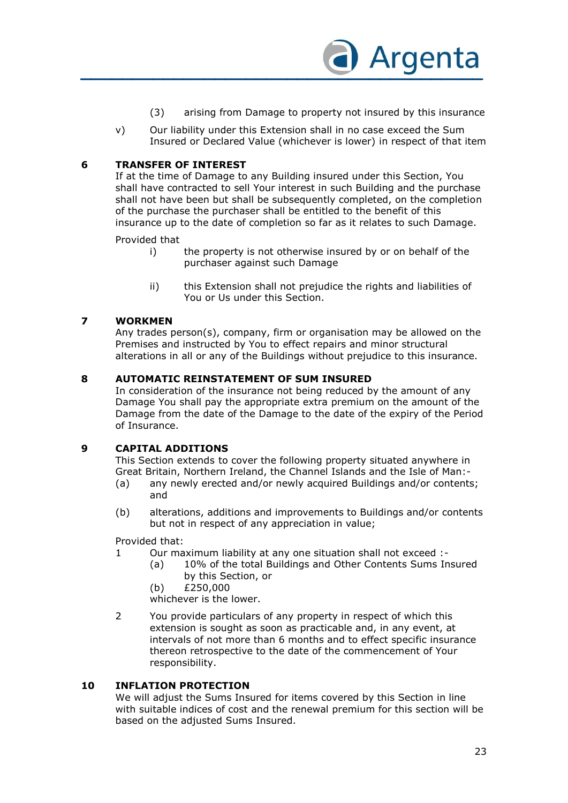

- (3) arising from Damage to property not insured by this insurance
- v) Our liability under this Extension shall in no case exceed the Sum Insured or Declared Value (whichever is lower) in respect of that item

#### **6 TRANSFER OF INTEREST**

If at the time of Damage to any Building insured under this Section, You shall have contracted to sell Your interest in such Building and the purchase shall not have been but shall be subsequently completed, on the completion of the purchase the purchaser shall be entitled to the benefit of this insurance up to the date of completion so far as it relates to such Damage.

Provided that

- i) the property is not otherwise insured by or on behalf of the purchaser against such Damage
- ii) this Extension shall not prejudice the rights and liabilities of You or Us under this Section.

#### **7 WORKMEN**

Any trades person(s), company, firm or organisation may be allowed on the Premises and instructed by You to effect repairs and minor structural alterations in all or any of the Buildings without prejudice to this insurance.

#### **8 AUTOMATIC REINSTATEMENT OF SUM INSURED**

In consideration of the insurance not being reduced by the amount of any Damage You shall pay the appropriate extra premium on the amount of the Damage from the date of the Damage to the date of the expiry of the Period of Insurance.

#### **9 CAPITAL ADDITIONS**

This Section extends to cover the following property situated anywhere in Great Britain, Northern Ireland, the Channel Islands and the Isle of Man:-

- (a) any newly erected and/or newly acquired Buildings and/or contents; and
- (b) alterations, additions and improvements to Buildings and/or contents but not in respect of any appreciation in value;

Provided that:

- 1 Our maximum liability at any one situation shall not exceed :-
	- (a) 10% of the total Buildings and Other Contents Sums Insured by this Section, or
	- (b) £250,000
	- whichever is the lower.
- 2 You provide particulars of any property in respect of which this extension is sought as soon as practicable and, in any event, at intervals of not more than 6 months and to effect specific insurance thereon retrospective to the date of the commencement of Your responsibility.

#### **10 INFLATION PROTECTION**

We will adjust the Sums Insured for items covered by this Section in line with suitable indices of cost and the renewal premium for this section will be based on the adjusted Sums Insured.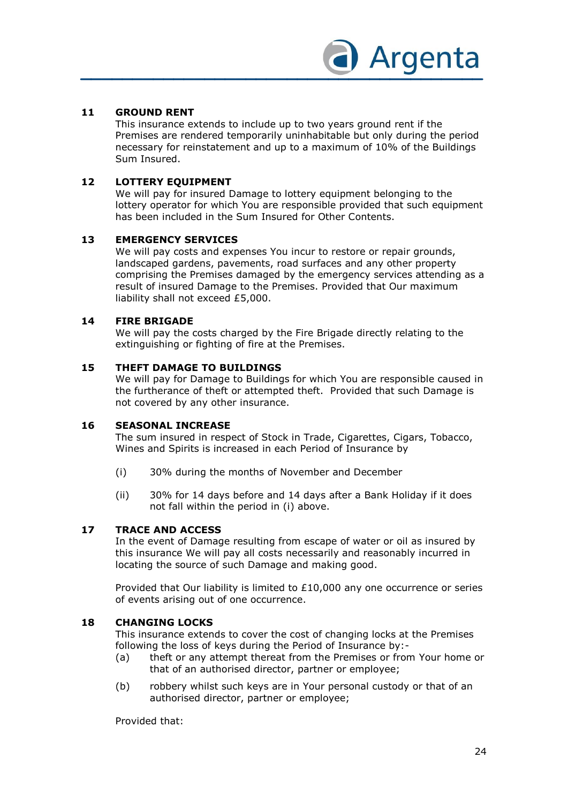

#### **11 GROUND RENT**

This insurance extends to include up to two years ground rent if the Premises are rendered temporarily uninhabitable but only during the period necessary for reinstatement and up to a maximum of 10% of the Buildings Sum Insured.

#### **12 LOTTERY EQUIPMENT**

We will pay for insured Damage to lottery equipment belonging to the lottery operator for which You are responsible provided that such equipment has been included in the Sum Insured for Other Contents.

#### **13 EMERGENCY SERVICES**

We will pay costs and expenses You incur to restore or repair grounds, landscaped gardens, pavements, road surfaces and any other property comprising the Premises damaged by the emergency services attending as a result of insured Damage to the Premises. Provided that Our maximum liability shall not exceed £5,000.

#### **14 FIRE BRIGADE**

We will pay the costs charged by the Fire Brigade directly relating to the extinguishing or fighting of fire at the Premises.

#### **15 THEFT DAMAGE TO BUILDINGS**

We will pay for Damage to Buildings for which You are responsible caused in the furtherance of theft or attempted theft. Provided that such Damage is not covered by any other insurance.

#### **16 SEASONAL INCREASE**

The sum insured in respect of Stock in Trade, Cigarettes, Cigars, Tobacco, Wines and Spirits is increased in each Period of Insurance by

- (i) 30% during the months of November and December
- (ii) 30% for 14 days before and 14 days after a Bank Holiday if it does not fall within the period in (i) above.

#### **17 TRACE AND ACCESS**

In the event of Damage resulting from escape of water or oil as insured by this insurance We will pay all costs necessarily and reasonably incurred in locating the source of such Damage and making good.

Provided that Our liability is limited to £10,000 any one occurrence or series of events arising out of one occurrence.

#### **18 CHANGING LOCKS**

This insurance extends to cover the cost of changing locks at the Premises following the loss of keys during the Period of Insurance by:-

- (a) theft or any attempt thereat from the Premises or from Your home or that of an authorised director, partner or employee;
- (b) robbery whilst such keys are in Your personal custody or that of an authorised director, partner or employee;

Provided that: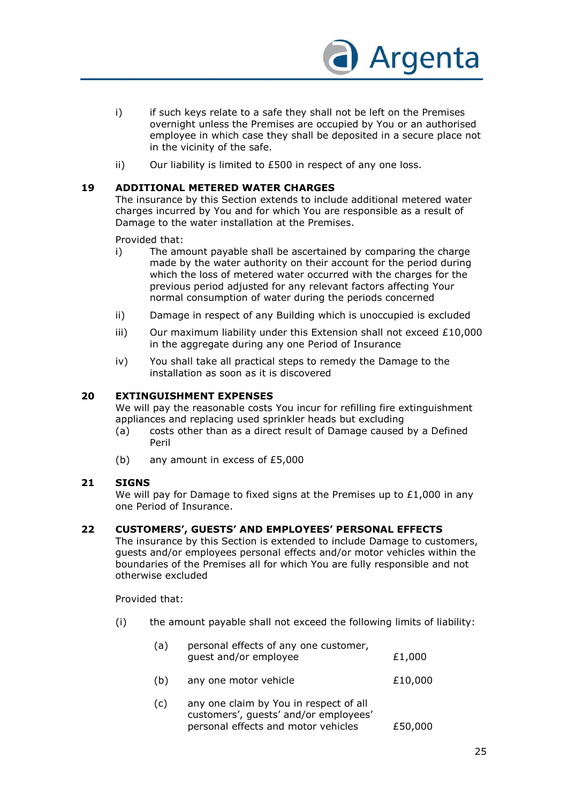

- i) if such keys relate to a safe they shall not be left on the Premises overnight unless the Premises are occupied by You or an authorised employee in which case they shall be deposited in a secure place not in the vicinity of the safe.
- ii) Our liability is limited to £500 in respect of any one loss.

#### **19 ADDITIONAL METERED WATER CHARGES**

The insurance by this Section extends to include additional metered water charges incurred by You and for which You are responsible as a result of Damage to the water installation at the Premises.

Provided that:

- i) The amount payable shall be ascertained by comparing the charge made by the water authority on their account for the period during which the loss of metered water occurred with the charges for the previous period adjusted for any relevant factors affecting Your normal consumption of water during the periods concerned
- ii) Damage in respect of any Building which is unoccupied is excluded
- iii) Our maximum liability under this Extension shall not exceed  $£10,000$ in the aggregate during any one Period of Insurance
- iv) You shall take all practical steps to remedy the Damage to the installation as soon as it is discovered

#### **20 EXTINGUISHMENT EXPENSES**

We will pay the reasonable costs You incur for refilling fire extinguishment appliances and replacing used sprinkler heads but excluding

- (a) costs other than as a direct result of Damage caused by a Defined Peril
- (b) any amount in excess of £5,000

#### **21 SIGNS**

We will pay for Damage to fixed signs at the Premises up to  $£1,000$  in any one Period of Insurance.

#### **22 CUSTOMERS', GUESTS' AND EMPLOYEES' PERSONAL EFFECTS**

The insurance by this Section is extended to include Damage to customers, guests and/or employees personal effects and/or motor vehicles within the boundaries of the Premises all for which You are fully responsible and not otherwise excluded

Provided that:

(i) the amount payable shall not exceed the following limits of liability:

| (a) | personal effects of any one customer,<br>guest and/or employee                                                         | £1,000  |
|-----|------------------------------------------------------------------------------------------------------------------------|---------|
| (b) | any one motor vehicle                                                                                                  | £10,000 |
| (c) | any one claim by You in respect of all<br>customers', guests' and/or employees'<br>personal effects and motor vehicles | £50,000 |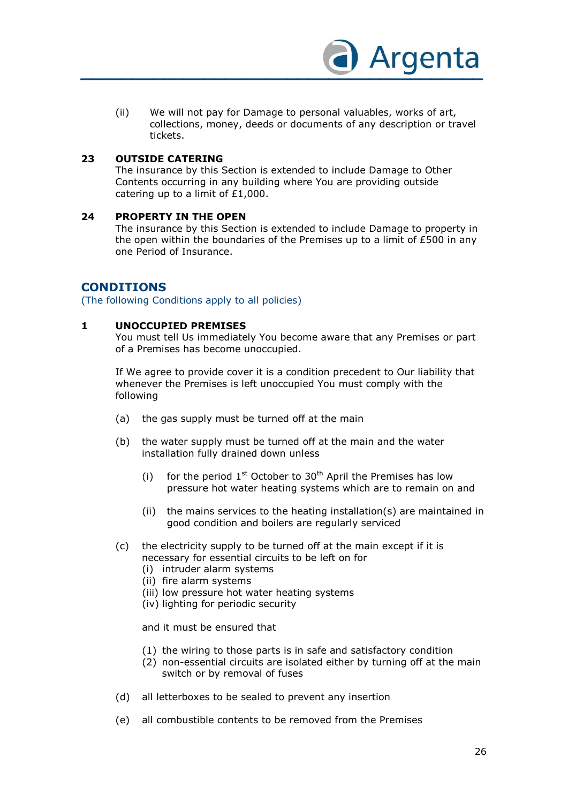

(ii) We will not pay for Damage to personal valuables, works of art, collections, money, deeds or documents of any description or travel tickets.

#### **23 OUTSIDE CATERING**

The insurance by this Section is extended to include Damage to Other Contents occurring in any building where You are providing outside catering up to a limit of £1,000.

#### **24 PROPERTY IN THE OPEN**

The insurance by this Section is extended to include Damage to property in the open within the boundaries of the Premises up to a limit of £500 in any one Period of Insurance.

#### **CONDITIONS**

(The following Conditions apply to all policies)

#### **1 UNOCCUPIED PREMISES**

You must tell Us immediately You become aware that any Premises or part of a Premises has become unoccupied.

If We agree to provide cover it is a condition precedent to Our liability that whenever the Premises is left unoccupied You must comply with the following

- (a) the gas supply must be turned off at the main
- (b) the water supply must be turned off at the main and the water installation fully drained down unless
	- (i) for the period  $1^{st}$  October to  $30^{th}$  April the Premises has low pressure hot water heating systems which are to remain on and
	- (ii) the mains services to the heating installation(s) are maintained in good condition and boilers are regularly serviced
- (c) the electricity supply to be turned off at the main except if it is necessary for essential circuits to be left on for
	- (i) intruder alarm systems
	- (ii) fire alarm systems
	- (iii) low pressure hot water heating systems
	- (iv) lighting for periodic security

and it must be ensured that

- (1) the wiring to those parts is in safe and satisfactory condition
- (2) non-essential circuits are isolated either by turning off at the main switch or by removal of fuses
- (d) all letterboxes to be sealed to prevent any insertion
- (e) all combustible contents to be removed from the Premises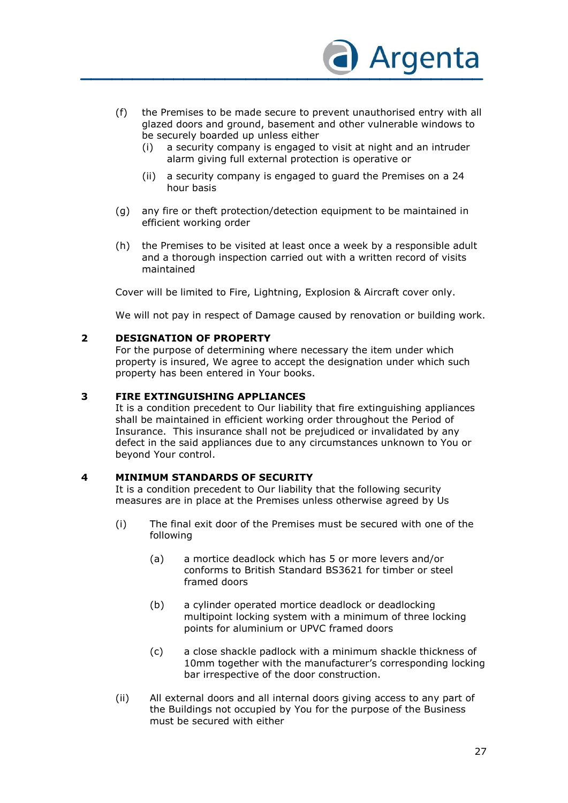

- (f) the Premises to be made secure to prevent unauthorised entry with all glazed doors and ground, basement and other vulnerable windows to be securely boarded up unless either
	- (i) a security company is engaged to visit at night and an intruder alarm giving full external protection is operative or
	- (ii) a security company is engaged to guard the Premises on a 24 hour basis
- (g) any fire or theft protection/detection equipment to be maintained in efficient working order
- (h) the Premises to be visited at least once a week by a responsible adult and a thorough inspection carried out with a written record of visits maintained

Cover will be limited to Fire, Lightning, Explosion & Aircraft cover only.

We will not pay in respect of Damage caused by renovation or building work.

#### **2 DESIGNATION OF PROPERTY**

For the purpose of determining where necessary the item under which property is insured, We agree to accept the designation under which such property has been entered in Your books.

#### **3 FIRE EXTINGUISHING APPLIANCES**

It is a condition precedent to Our liability that fire extinguishing appliances shall be maintained in efficient working order throughout the Period of Insurance. This insurance shall not be prejudiced or invalidated by any defect in the said appliances due to any circumstances unknown to You or beyond Your control.

#### **4 MINIMUM STANDARDS OF SECURITY**

It is a condition precedent to Our liability that the following security measures are in place at the Premises unless otherwise agreed by Us

- (i) The final exit door of the Premises must be secured with one of the following
	- (a) a mortice deadlock which has 5 or more levers and/or conforms to British Standard BS3621 for timber or steel framed doors
	- (b) a cylinder operated mortice deadlock or deadlocking multipoint locking system with a minimum of three locking points for aluminium or UPVC framed doors
	- (c) a close shackle padlock with a minimum shackle thickness of 10mm together with the manufacturer's corresponding locking bar irrespective of the door construction.
- (ii) All external doors and all internal doors giving access to any part of the Buildings not occupied by You for the purpose of the Business must be secured with either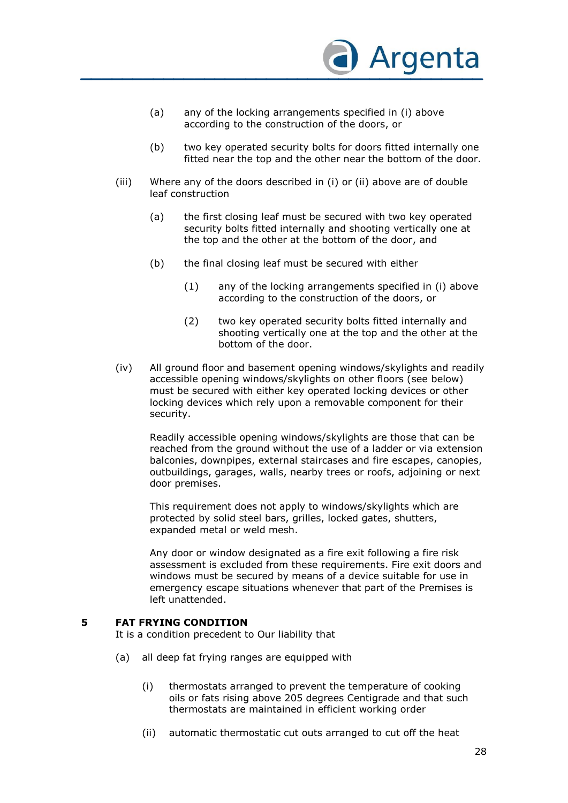

- (a) any of the locking arrangements specified in (i) above according to the construction of the doors, or
- (b) two key operated security bolts for doors fitted internally one fitted near the top and the other near the bottom of the door.
- (iii) Where any of the doors described in (i) or (ii) above are of double leaf construction
	- (a) the first closing leaf must be secured with two key operated security bolts fitted internally and shooting vertically one at the top and the other at the bottom of the door, and
	- (b) the final closing leaf must be secured with either
		- (1) any of the locking arrangements specified in (i) above according to the construction of the doors, or
		- (2) two key operated security bolts fitted internally and shooting vertically one at the top and the other at the bottom of the door.
- (iv) All ground floor and basement opening windows/skylights and readily accessible opening windows/skylights on other floors (see below) must be secured with either key operated locking devices or other locking devices which rely upon a removable component for their security.

Readily accessible opening windows/skylights are those that can be reached from the ground without the use of a ladder or via extension balconies, downpipes, external staircases and fire escapes, canopies, outbuildings, garages, walls, nearby trees or roofs, adjoining or next door premises.

This requirement does not apply to windows/skylights which are protected by solid steel bars, grilles, locked gates, shutters, expanded metal or weld mesh.

Any door or window designated as a fire exit following a fire risk assessment is excluded from these requirements. Fire exit doors and windows must be secured by means of a device suitable for use in emergency escape situations whenever that part of the Premises is left unattended.

#### **5 FAT FRYING CONDITION**

It is a condition precedent to Our liability that

- (a) all deep fat frying ranges are equipped with
	- (i) thermostats arranged to prevent the temperature of cooking oils or fats rising above 205 degrees Centigrade and that such thermostats are maintained in efficient working order
	- (ii) automatic thermostatic cut outs arranged to cut off the heat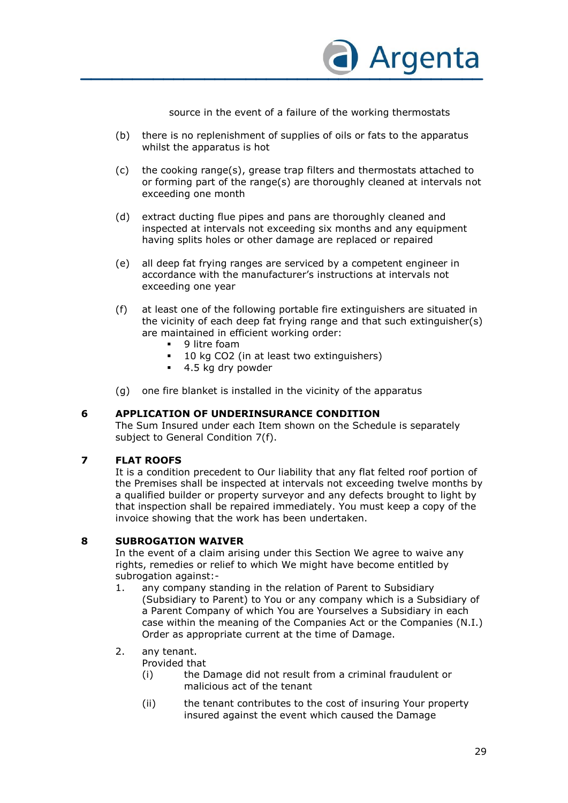

source in the event of a failure of the working thermostats

- (b) there is no replenishment of supplies of oils or fats to the apparatus whilst the apparatus is hot
- (c) the cooking range(s), grease trap filters and thermostats attached to or forming part of the range(s) are thoroughly cleaned at intervals not exceeding one month
- (d) extract ducting flue pipes and pans are thoroughly cleaned and inspected at intervals not exceeding six months and any equipment having splits holes or other damage are replaced or repaired
- (e) all deep fat frying ranges are serviced by a competent engineer in accordance with the manufacturer's instructions at intervals not exceeding one year
- (f) at least one of the following portable fire extinguishers are situated in the vicinity of each deep fat frying range and that such extinguisher(s) are maintained in efficient working order:
	- **9** litre foam
	- 10 kg CO2 (in at least two extinguishers)
	- 4.5 kg dry powder
- (g) one fire blanket is installed in the vicinity of the apparatus

#### **6 APPLICATION OF UNDERINSURANCE CONDITION**

The Sum Insured under each Item shown on the Schedule is separately subject to General Condition 7(f).

#### **7 FLAT ROOFS**

It is a condition precedent to Our liability that any flat felted roof portion of the Premises shall be inspected at intervals not exceeding twelve months by a qualified builder or property surveyor and any defects brought to light by that inspection shall be repaired immediately. You must keep a copy of the invoice showing that the work has been undertaken.

#### **8 SUBROGATION WAIVER**

In the event of a claim arising under this Section We agree to waive any rights, remedies or relief to which We might have become entitled by subrogation against:-

1. any company standing in the relation of Parent to Subsidiary (Subsidiary to Parent) to You or any company which is a Subsidiary of a Parent Company of which You are Yourselves a Subsidiary in each case within the meaning of the Companies Act or the Companies (N.I.) Order as appropriate current at the time of Damage.

#### 2. any tenant.

Provided that

- (i) the Damage did not result from a criminal fraudulent or malicious act of the tenant
- (ii) the tenant contributes to the cost of insuring Your property insured against the event which caused the Damage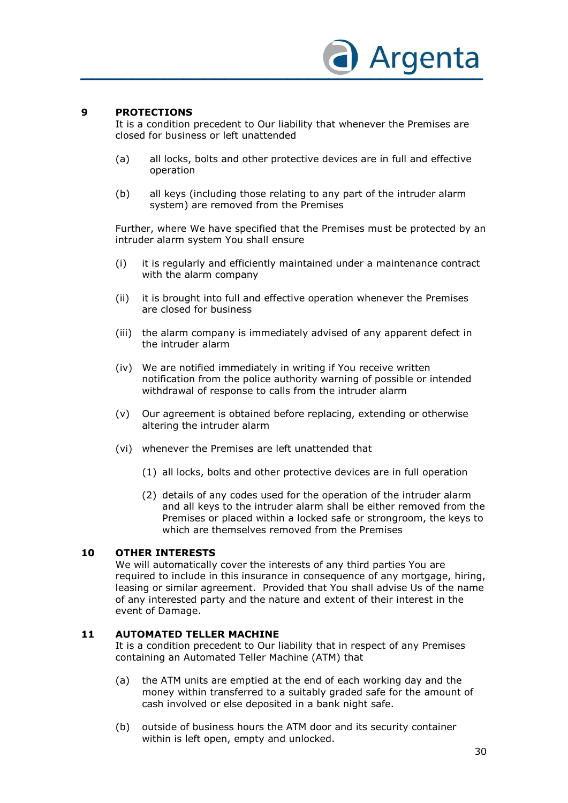

#### **9 PROTECTIONS**

It is a condition precedent to Our liability that whenever the Premises are closed for business or left unattended

- (a) all locks, bolts and other protective devices are in full and effective operation
- (b) all keys (including those relating to any part of the intruder alarm system) are removed from the Premises

Further, where We have specified that the Premises must be protected by an intruder alarm system You shall ensure

- (i) it is regularly and efficiently maintained under a maintenance contract with the alarm company
- (ii) it is brought into full and effective operation whenever the Premises are closed for business
- (iii) the alarm company is immediately advised of any apparent defect in the intruder alarm
- (iv) We are notified immediately in writing if You receive written notification from the police authority warning of possible or intended withdrawal of response to calls from the intruder alarm
- (v) Our agreement is obtained before replacing, extending or otherwise altering the intruder alarm
- (vi) whenever the Premises are left unattended that
	- (1) all locks, bolts and other protective devices are in full operation
	- (2) details of any codes used for the operation of the intruder alarm and all keys to the intruder alarm shall be either removed from the Premises or placed within a locked safe or strongroom, the keys to which are themselves removed from the Premises

#### **10 OTHER INTERESTS**

We will automatically cover the interests of any third parties You are required to include in this insurance in consequence of any mortgage, hiring, leasing or similar agreement. Provided that You shall advise Us of the name of any interested party and the nature and extent of their interest in the event of Damage.

#### **11 AUTOMATED TELLER MACHINE**

It is a condition precedent to Our liability that in respect of any Premises containing an Automated Teller Machine (ATM) that

- (a) the ATM units are emptied at the end of each working day and the money within transferred to a suitably graded safe for the amount of cash involved or else deposited in a bank night safe.
- (b) outside of business hours the ATM door and its security container within is left open, empty and unlocked.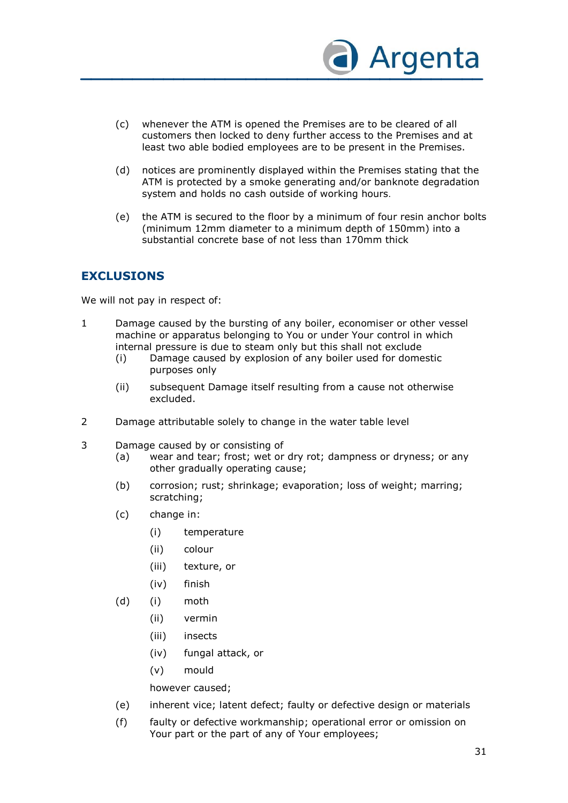

- (c) whenever the ATM is opened the Premises are to be cleared of all customers then locked to deny further access to the Premises and at least two able bodied employees are to be present in the Premises.
- (d) notices are prominently displayed within the Premises stating that the ATM is protected by a smoke generating and/or banknote degradation system and holds no cash outside of working hours.
- (e) the ATM is secured to the floor by a minimum of four resin anchor bolts (minimum 12mm diameter to a minimum depth of 150mm) into a substantial concrete base of not less than 170mm thick

#### **EXCLUSIONS**

We will not pay in respect of:

- 1 Damage caused by the bursting of any boiler, economiser or other vessel machine or apparatus belonging to You or under Your control in which internal pressure is due to steam only but this shall not exclude
	- (i) Damage caused by explosion of any boiler used for domestic purposes only
	- (ii) subsequent Damage itself resulting from a cause not otherwise excluded.
- 2 Damage attributable solely to change in the water table level
- 3 Damage caused by or consisting of
	- (a) wear and tear; frost; wet or dry rot; dampness or dryness; or any other gradually operating cause;
	- (b) corrosion; rust; shrinkage; evaporation; loss of weight; marring; scratching;
	- (c) change in:
		- (i) temperature
		- (ii) colour
		- (iii) texture, or
		- (iv) finish
	- (d) (i) moth
		- (ii) vermin
		- (iii) insects
		- (iv) fungal attack, or
		- (v) mould

however caused;

- (e) inherent vice; latent defect; faulty or defective design or materials
- (f) faulty or defective workmanship; operational error or omission on Your part or the part of any of Your employees;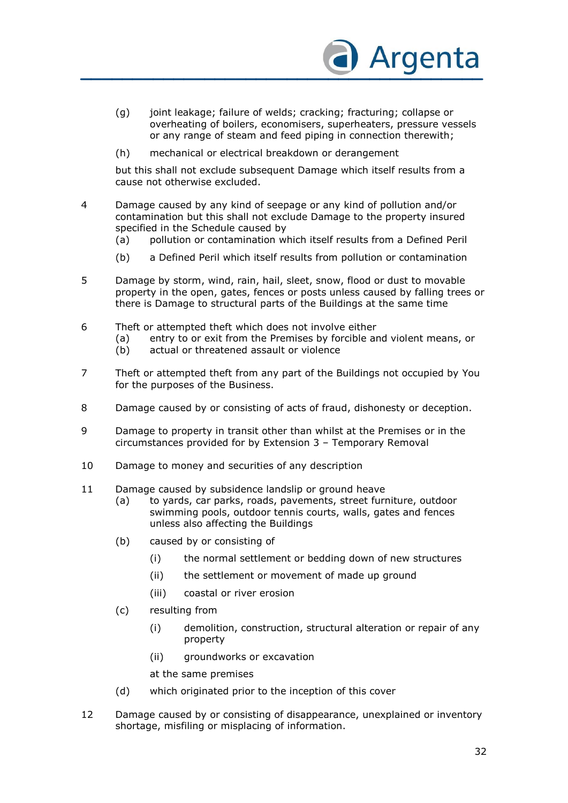

- (g) joint leakage; failure of welds; cracking; fracturing; collapse or overheating of boilers, economisers, superheaters, pressure vessels or any range of steam and feed piping in connection therewith;
- (h) mechanical or electrical breakdown or derangement

but this shall not exclude subsequent Damage which itself results from a cause not otherwise excluded.

- 4 Damage caused by any kind of seepage or any kind of pollution and/or contamination but this shall not exclude Damage to the property insured specified in the Schedule caused by
	- (a) pollution or contamination which itself results from a Defined Peril
	- (b) a Defined Peril which itself results from pollution or contamination
- 5 Damage by storm, wind, rain, hail, sleet, snow, flood or dust to movable property in the open, gates, fences or posts unless caused by falling trees or there is Damage to structural parts of the Buildings at the same time
- 6 Theft or attempted theft which does not involve either
	- (a) entry to or exit from the Premises by forcible and violent means, or
	- (b) actual or threatened assault or violence
- 7 Theft or attempted theft from any part of the Buildings not occupied by You for the purposes of the Business.
- 8 Damage caused by or consisting of acts of fraud, dishonesty or deception.
- 9 Damage to property in transit other than whilst at the Premises or in the circumstances provided for by Extension 3 – Temporary Removal
- 10 Damage to money and securities of any description
- 11 Damage caused by subsidence landslip or ground heave
	- (a) to yards, car parks, roads, pavements, street furniture, outdoor swimming pools, outdoor tennis courts, walls, gates and fences unless also affecting the Buildings
	- (b) caused by or consisting of
		- (i) the normal settlement or bedding down of new structures
		- (ii) the settlement or movement of made up ground
		- (iii) coastal or river erosion
	- (c) resulting from
		- (i) demolition, construction, structural alteration or repair of any property
		- (ii) groundworks or excavation

at the same premises

- (d) which originated prior to the inception of this cover
- 12 Damage caused by or consisting of disappearance, unexplained or inventory shortage, misfiling or misplacing of information.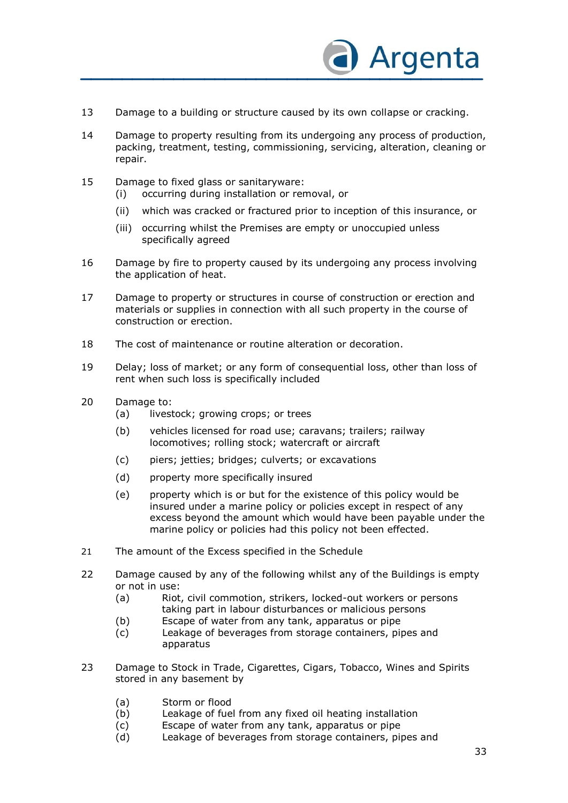

- 13 Damage to a building or structure caused by its own collapse or cracking.
- 14 Damage to property resulting from its undergoing any process of production, packing, treatment, testing, commissioning, servicing, alteration, cleaning or repair.
- 15 Damage to fixed glass or sanitaryware: (i) occurring during installation or removal, or
	- (ii) which was cracked or fractured prior to inception of this insurance, or
	- (iii) occurring whilst the Premises are empty or unoccupied unless specifically agreed
- 16 Damage by fire to property caused by its undergoing any process involving the application of heat.
- 17 Damage to property or structures in course of construction or erection and materials or supplies in connection with all such property in the course of construction or erection.
- 18 The cost of maintenance or routine alteration or decoration.
- 19 Delay; loss of market; or any form of consequential loss, other than loss of rent when such loss is specifically included
- 20 Damage to:
	- (a) livestock; growing crops; or trees
	- (b) vehicles licensed for road use; caravans; trailers; railway locomotives; rolling stock; watercraft or aircraft
	- (c) piers; jetties; bridges; culverts; or excavations
	- (d) property more specifically insured
	- (e) property which is or but for the existence of this policy would be insured under a marine policy or policies except in respect of any excess beyond the amount which would have been payable under the marine policy or policies had this policy not been effected.
- 21 The amount of the Excess specified in the Schedule
- 22 Damage caused by any of the following whilst any of the Buildings is empty or not in use:
	- (a) Riot, civil commotion, strikers, locked-out workers or persons taking part in labour disturbances or malicious persons
	- (b) Escape of water from any tank, apparatus or pipe
	- (c) Leakage of beverages from storage containers, pipes and apparatus
- 23 Damage to Stock in Trade, Cigarettes, Cigars, Tobacco, Wines and Spirits stored in any basement by
	- (a) Storm or flood
	- (b) Leakage of fuel from any fixed oil heating installation
	- (c) Escape of water from any tank, apparatus or pipe
	- (d) Leakage of beverages from storage containers, pipes and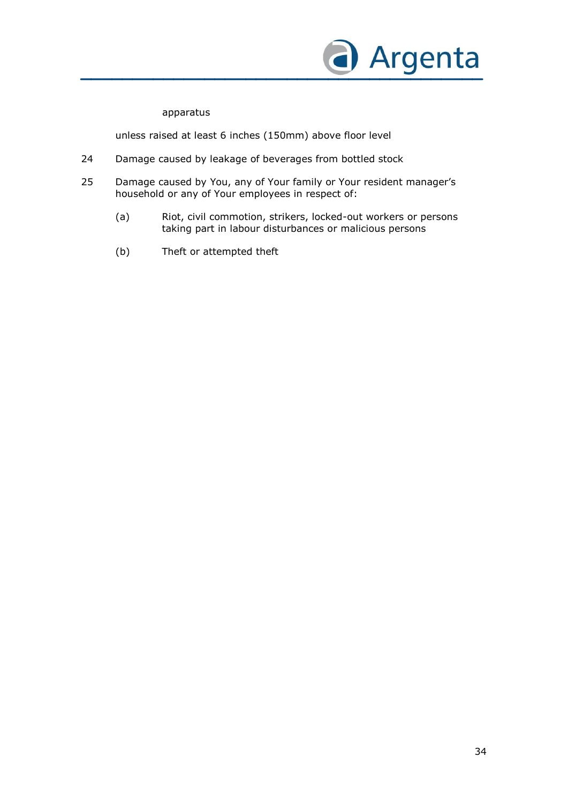

#### apparatus

unless raised at least 6 inches (150mm) above floor level

- 24 Damage caused by leakage of beverages from bottled stock
- 25 Damage caused by You, any of Your family or Your resident manager's household or any of Your employees in respect of:
	- (a) Riot, civil commotion, strikers, locked-out workers or persons taking part in labour disturbances or malicious persons
	- (b) Theft or attempted theft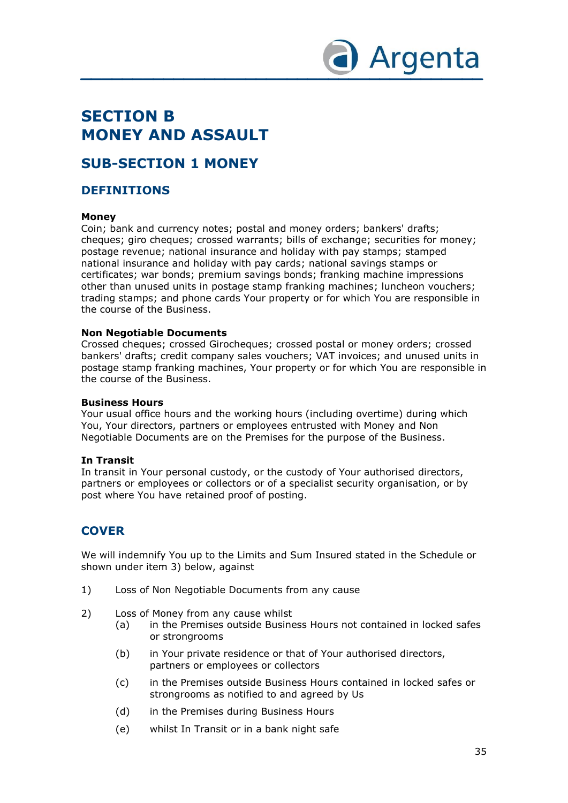

### **SECTION B MONEY AND ASSAULT**

### **SUB-SECTION 1 MONEY**

#### **DEFINITIONS**

#### **Money**

Coin; bank and currency notes; postal and money orders; bankers' drafts; cheques; giro cheques; crossed warrants; bills of exchange; securities for money; postage revenue; national insurance and holiday with pay stamps; stamped national insurance and holiday with pay cards; national savings stamps or certificates; war bonds; premium savings bonds; franking machine impressions other than unused units in postage stamp franking machines; luncheon vouchers; trading stamps; and phone cards Your property or for which You are responsible in the course of the Business.

#### **Non Negotiable Documents**

Crossed cheques; crossed Girocheques; crossed postal or money orders; crossed bankers' drafts; credit company sales vouchers; VAT invoices; and unused units in postage stamp franking machines, Your property or for which You are responsible in the course of the Business.

#### **Business Hours**

Your usual office hours and the working hours (including overtime) during which You, Your directors, partners or employees entrusted with Money and Non Negotiable Documents are on the Premises for the purpose of the Business.

#### **In Transit**

In transit in Your personal custody, or the custody of Your authorised directors, partners or employees or collectors or of a specialist security organisation, or by post where You have retained proof of posting.

### **COVER**

We will indemnify You up to the Limits and Sum Insured stated in the Schedule or shown under item 3) below, against

- 1) Loss of Non Negotiable Documents from any cause
- 2) Loss of Money from any cause whilst
	- (a) in the Premises outside Business Hours not contained in locked safes or strongrooms
	- (b) in Your private residence or that of Your authorised directors, partners or employees or collectors
	- (c) in the Premises outside Business Hours contained in locked safes or strongrooms as notified to and agreed by Us
	- (d) in the Premises during Business Hours
	- (e) whilst In Transit or in a bank night safe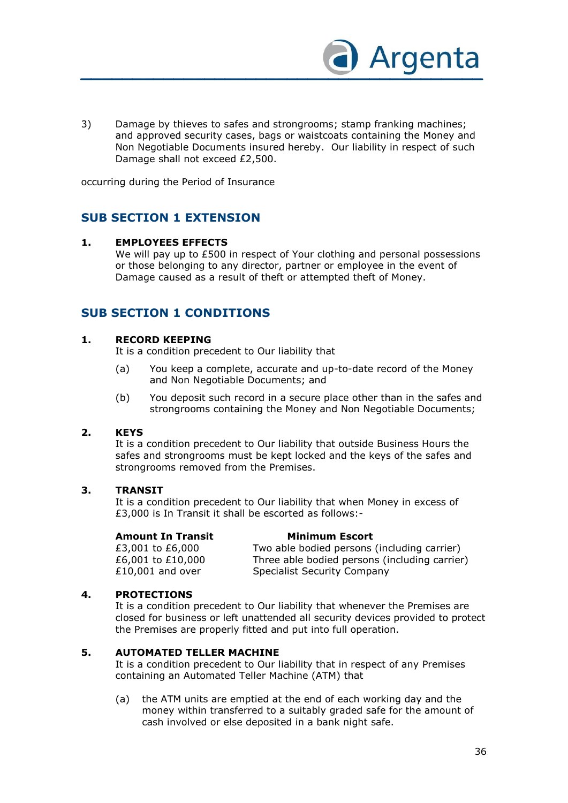

3) Damage by thieves to safes and strongrooms; stamp franking machines; and approved security cases, bags or waistcoats containing the Money and Non Negotiable Documents insured hereby. Our liability in respect of such Damage shall not exceed £2,500.

occurring during the Period of Insurance

### **SUB SECTION 1 EXTENSION**

#### **1. EMPLOYEES EFFECTS**

We will pay up to £500 in respect of Your clothing and personal possessions or those belonging to any director, partner or employee in the event of Damage caused as a result of theft or attempted theft of Money.

### **SUB SECTION 1 CONDITIONS**

#### **1. RECORD KEEPING**

It is a condition precedent to Our liability that

- (a) You keep a complete, accurate and up-to-date record of the Money and Non Negotiable Documents; and
- (b) You deposit such record in a secure place other than in the safes and strongrooms containing the Money and Non Negotiable Documents;

#### **2. KEYS**

It is a condition precedent to Our liability that outside Business Hours the safes and strongrooms must be kept locked and the keys of the safes and strongrooms removed from the Premises.

#### **3. TRANSIT**

It is a condition precedent to Our liability that when Money in excess of £3,000 is In Transit it shall be escorted as follows:-

#### **Amount In Transit Minimum Escort**

£3,001 to £6,000 Two able bodied persons (including carrier) £6,001 to £10,000 Three able bodied persons (including carrier) £10,001 and over Specialist Security Company

#### **4. PROTECTIONS**

It is a condition precedent to Our liability that whenever the Premises are closed for business or left unattended all security devices provided to protect the Premises are properly fitted and put into full operation.

#### **5. AUTOMATED TELLER MACHINE**

It is a condition precedent to Our liability that in respect of any Premises containing an Automated Teller Machine (ATM) that

(a) the ATM units are emptied at the end of each working day and the money within transferred to a suitably graded safe for the amount of cash involved or else deposited in a bank night safe.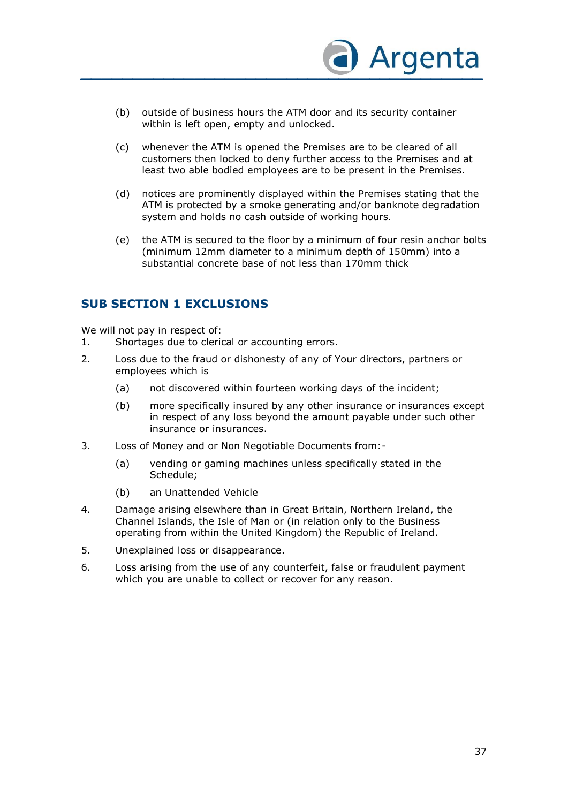

- (b) outside of business hours the ATM door and its security container within is left open, empty and unlocked.
- (c) whenever the ATM is opened the Premises are to be cleared of all customers then locked to deny further access to the Premises and at least two able bodied employees are to be present in the Premises.
- (d) notices are prominently displayed within the Premises stating that the ATM is protected by a smoke generating and/or banknote degradation system and holds no cash outside of working hours.
- (e) the ATM is secured to the floor by a minimum of four resin anchor bolts (minimum 12mm diameter to a minimum depth of 150mm) into a substantial concrete base of not less than 170mm thick

# **SUB SECTION 1 EXCLUSIONS**

We will not pay in respect of:

- 1. Shortages due to clerical or accounting errors.
- 2. Loss due to the fraud or dishonesty of any of Your directors, partners or employees which is
	- (a) not discovered within fourteen working days of the incident;
	- (b) more specifically insured by any other insurance or insurances except in respect of any loss beyond the amount payable under such other insurance or insurances.
- 3. Loss of Money and or Non Negotiable Documents from:-
	- (a) vending or gaming machines unless specifically stated in the Schedule;
	- (b) an Unattended Vehicle
- 4. Damage arising elsewhere than in Great Britain, Northern Ireland, the Channel Islands, the Isle of Man or (in relation only to the Business operating from within the United Kingdom) the Republic of Ireland.
- 5. Unexplained loss or disappearance.
- 6. Loss arising from the use of any counterfeit, false or fraudulent payment which you are unable to collect or recover for any reason.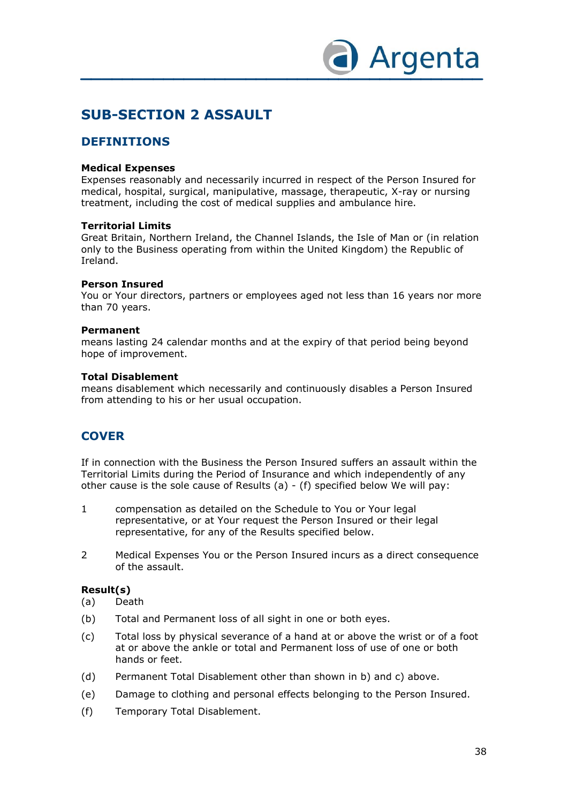

# **SUB-SECTION 2 ASSAULT**

## **DEFINITIONS**

#### **Medical Expenses**

Expenses reasonably and necessarily incurred in respect of the Person Insured for medical, hospital, surgical, manipulative, massage, therapeutic, X-ray or nursing treatment, including the cost of medical supplies and ambulance hire.

#### **Territorial Limits**

Great Britain, Northern Ireland, the Channel Islands, the Isle of Man or (in relation only to the Business operating from within the United Kingdom) the Republic of Ireland.

#### **Person Insured**

You or Your directors, partners or employees aged not less than 16 years nor more than 70 years.

#### **Permanent**

means lasting 24 calendar months and at the expiry of that period being beyond hope of improvement.

#### **Total Disablement**

means disablement which necessarily and continuously disables a Person Insured from attending to his or her usual occupation.

# **COVER**

If in connection with the Business the Person Insured suffers an assault within the Territorial Limits during the Period of Insurance and which independently of any other cause is the sole cause of Results (a) - (f) specified below We will pay:

- 1 compensation as detailed on the Schedule to You or Your legal representative, or at Your request the Person Insured or their legal representative, for any of the Results specified below.
- 2 Medical Expenses You or the Person Insured incurs as a direct consequence of the assault.

#### **Result(s)**

- (a) Death
- (b) Total and Permanent loss of all sight in one or both eyes.
- (c) Total loss by physical severance of a hand at or above the wrist or of a foot at or above the ankle or total and Permanent loss of use of one or both hands or feet.
- (d) Permanent Total Disablement other than shown in b) and c) above.
- (e) Damage to clothing and personal effects belonging to the Person Insured.
- (f) Temporary Total Disablement.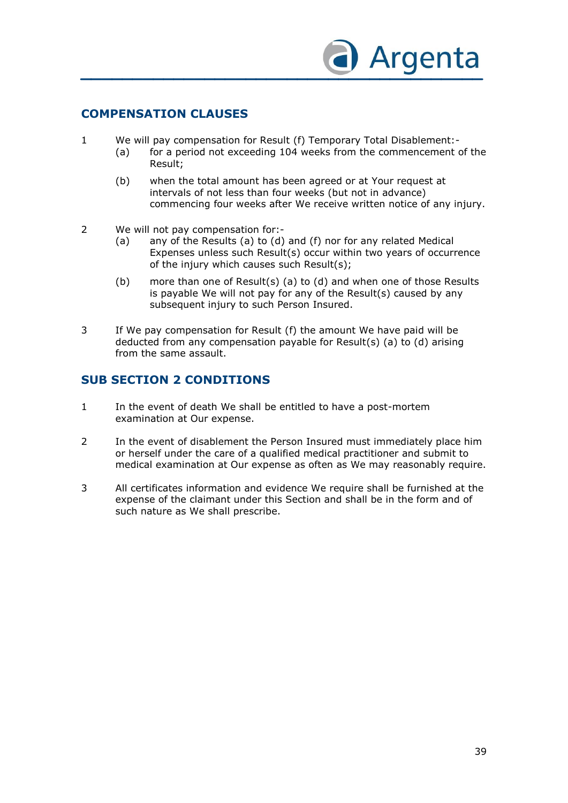

## **COMPENSATION CLAUSES**

- 1 We will pay compensation for Result (f) Temporary Total Disablement:-
	- (a) for a period not exceeding 104 weeks from the commencement of the Result;
	- (b) when the total amount has been agreed or at Your request at intervals of not less than four weeks (but not in advance) commencing four weeks after We receive written notice of any injury.
- 2 We will not pay compensation for:-
	- (a) any of the Results (a) to (d) and (f) nor for any related Medical Expenses unless such Result(s) occur within two years of occurrence of the injury which causes such Result(s);
	- (b) more than one of Result(s) (a) to (d) and when one of those Results is payable We will not pay for any of the Result(s) caused by any subsequent injury to such Person Insured.
- 3 If We pay compensation for Result (f) the amount We have paid will be deducted from any compensation payable for Result(s) (a) to (d) arising from the same assault.

## **SUB SECTION 2 CONDITIONS**

- 1 In the event of death We shall be entitled to have a post-mortem examination at Our expense.
- 2 In the event of disablement the Person Insured must immediately place him or herself under the care of a qualified medical practitioner and submit to medical examination at Our expense as often as We may reasonably require.
- 3 All certificates information and evidence We require shall be furnished at the expense of the claimant under this Section and shall be in the form and of such nature as We shall prescribe.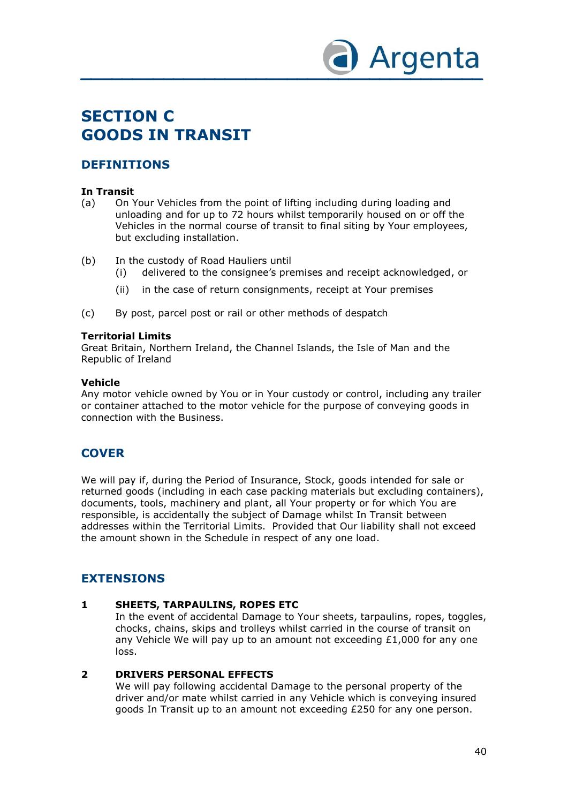

# **SECTION C GOODS IN TRANSIT**

# **DEFINITIONS**

### **In Transit**

- (a) On Your Vehicles from the point of lifting including during loading and unloading and for up to 72 hours whilst temporarily housed on or off the Vehicles in the normal course of transit to final siting by Your employees, but excluding installation.
- (b) In the custody of Road Hauliers until
	- (i) delivered to the consignee's premises and receipt acknowledged, or
	- (ii) in the case of return consignments, receipt at Your premises
- (c) By post, parcel post or rail or other methods of despatch

### **Territorial Limits**

Great Britain, Northern Ireland, the Channel Islands, the Isle of Man and the Republic of Ireland

#### **Vehicle**

Any motor vehicle owned by You or in Your custody or control, including any trailer or container attached to the motor vehicle for the purpose of conveying goods in connection with the Business.

# **COVER**

We will pay if, during the Period of Insurance, Stock, goods intended for sale or returned goods (including in each case packing materials but excluding containers), documents, tools, machinery and plant, all Your property or for which You are responsible, is accidentally the subject of Damage whilst In Transit between addresses within the Territorial Limits. Provided that Our liability shall not exceed the amount shown in the Schedule in respect of any one load.

# **EXTENSIONS**

### **1 SHEETS, TARPAULINS, ROPES ETC**

In the event of accidental Damage to Your sheets, tarpaulins, ropes, toggles, chocks, chains, skips and trolleys whilst carried in the course of transit on any Vehicle We will pay up to an amount not exceeding  $£1,000$  for any one loss.

### **2 DRIVERS PERSONAL EFFECTS**

We will pay following accidental Damage to the personal property of the driver and/or mate whilst carried in any Vehicle which is conveying insured goods In Transit up to an amount not exceeding £250 for any one person.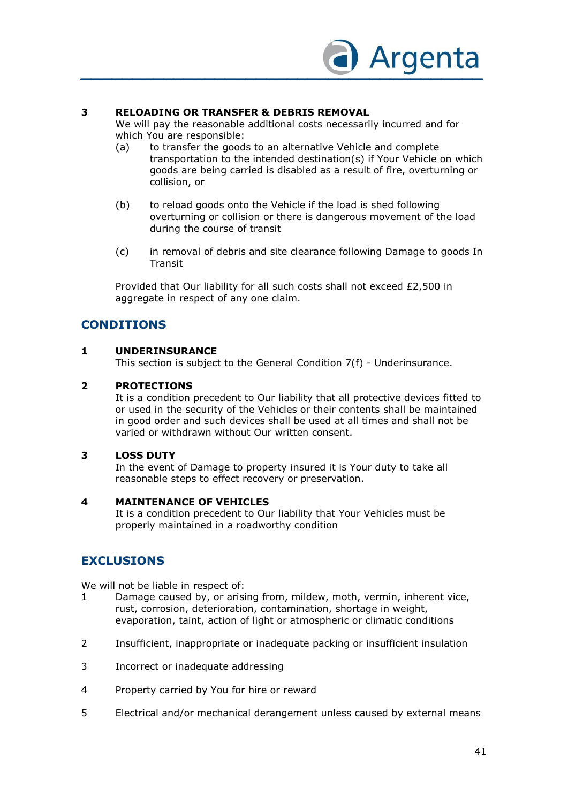

### **3 RELOADING OR TRANSFER & DEBRIS REMOVAL**

We will pay the reasonable additional costs necessarily incurred and for which You are responsible:

- (a) to transfer the goods to an alternative Vehicle and complete transportation to the intended destination(s) if Your Vehicle on which goods are being carried is disabled as a result of fire, overturning or collision, or
- (b) to reload goods onto the Vehicle if the load is shed following overturning or collision or there is dangerous movement of the load during the course of transit
- (c) in removal of debris and site clearance following Damage to goods In **Transit**

Provided that Our liability for all such costs shall not exceed £2,500 in aggregate in respect of any one claim.

## **CONDITIONS**

#### **1 UNDERINSURANCE**

This section is subject to the General Condition 7(f) - Underinsurance.

#### **2 PROTECTIONS**

It is a condition precedent to Our liability that all protective devices fitted to or used in the security of the Vehicles or their contents shall be maintained in good order and such devices shall be used at all times and shall not be varied or withdrawn without Our written consent.

#### **3 LOSS DUTY**

In the event of Damage to property insured it is Your duty to take all reasonable steps to effect recovery or preservation.

#### **4 MAINTENANCE OF VEHICLES**

It is a condition precedent to Our liability that Your Vehicles must be properly maintained in a roadworthy condition

# **EXCLUSIONS**

We will not be liable in respect of:

- 1 Damage caused by, or arising from, mildew, moth, vermin, inherent vice, rust, corrosion, deterioration, contamination, shortage in weight, evaporation, taint, action of light or atmospheric or climatic conditions
- 2 Insufficient, inappropriate or inadequate packing or insufficient insulation
- 3 Incorrect or inadequate addressing
- 4 Property carried by You for hire or reward
- 5 Electrical and/or mechanical derangement unless caused by external means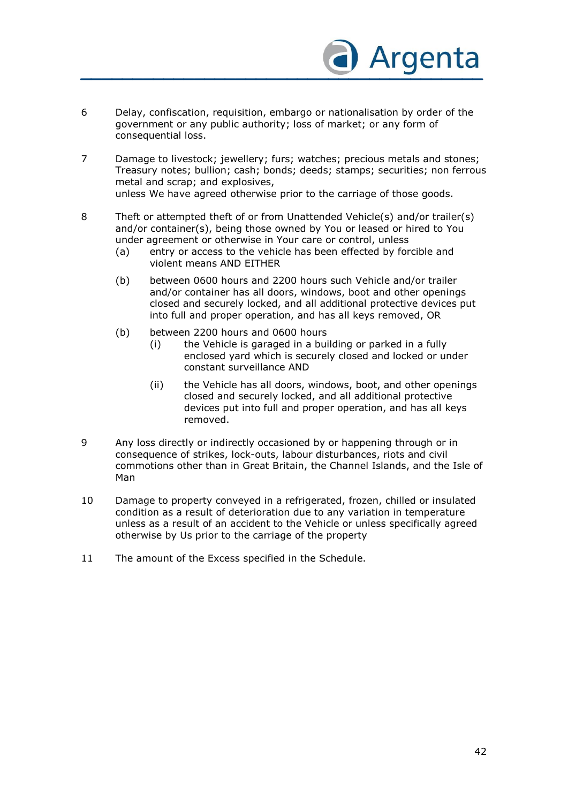

- 6 Delay, confiscation, requisition, embargo or nationalisation by order of the government or any public authority; loss of market; or any form of consequential loss.
- 7 Damage to livestock; jewellery; furs; watches; precious metals and stones; Treasury notes; bullion; cash; bonds; deeds; stamps; securities; non ferrous metal and scrap; and explosives, unless We have agreed otherwise prior to the carriage of those goods.
- 8 Theft or attempted theft of or from Unattended Vehicle(s) and/or trailer(s) and/or container(s), being those owned by You or leased or hired to You under agreement or otherwise in Your care or control, unless
	- (a) entry or access to the vehicle has been effected by forcible and violent means AND EITHER
	- (b) between 0600 hours and 2200 hours such Vehicle and/or trailer and/or container has all doors, windows, boot and other openings closed and securely locked, and all additional protective devices put into full and proper operation, and has all keys removed, OR
	- (b) between 2200 hours and 0600 hours
		- (i) the Vehicle is garaged in a building or parked in a fully enclosed yard which is securely closed and locked or under constant surveillance AND
		- (ii) the Vehicle has all doors, windows, boot, and other openings closed and securely locked, and all additional protective devices put into full and proper operation, and has all keys removed.
- 9 Any loss directly or indirectly occasioned by or happening through or in consequence of strikes, lock-outs, labour disturbances, riots and civil commotions other than in Great Britain, the Channel Islands, and the Isle of Man
- 10 Damage to property conveyed in a refrigerated, frozen, chilled or insulated condition as a result of deterioration due to any variation in temperature unless as a result of an accident to the Vehicle or unless specifically agreed otherwise by Us prior to the carriage of the property
- 11 The amount of the Excess specified in the Schedule.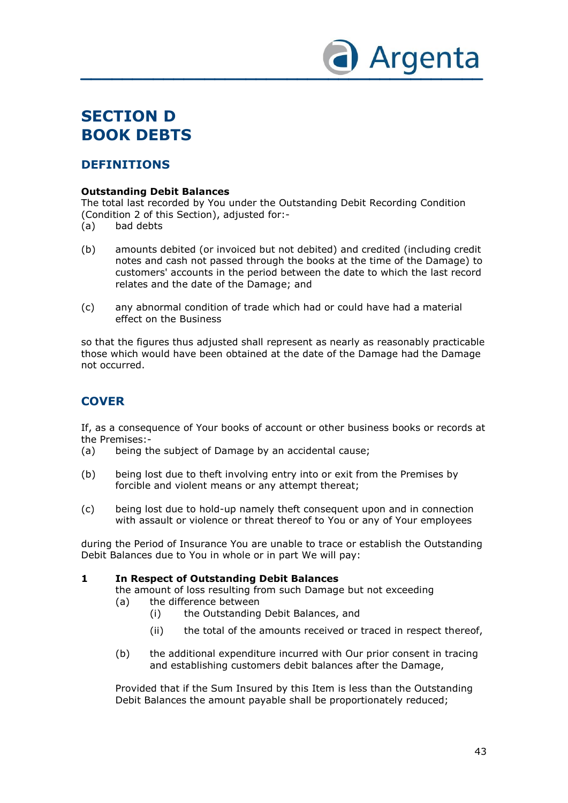

# **SECTION D BOOK DEBTS**

# **DEFINITIONS**

### **Outstanding Debit Balances**

The total last recorded by You under the Outstanding Debit Recording Condition (Condition 2 of this Section), adjusted for:-

- (a) bad debts
- (b) amounts debited (or invoiced but not debited) and credited (including credit notes and cash not passed through the books at the time of the Damage) to customers' accounts in the period between the date to which the last record relates and the date of the Damage; and
- (c) any abnormal condition of trade which had or could have had a material effect on the Business

so that the figures thus adjusted shall represent as nearly as reasonably practicable those which would have been obtained at the date of the Damage had the Damage not occurred.

# **COVER**

If, as a consequence of Your books of account or other business books or records at the Premises:-

- (a) being the subject of Damage by an accidental cause;
- (b) being lost due to theft involving entry into or exit from the Premises by forcible and violent means or any attempt thereat;
- (c) being lost due to hold-up namely theft consequent upon and in connection with assault or violence or threat thereof to You or any of Your employees

during the Period of Insurance You are unable to trace or establish the Outstanding Debit Balances due to You in whole or in part We will pay:

### **1 In Respect of Outstanding Debit Balances**

the amount of loss resulting from such Damage but not exceeding (a) the difference between

- - (i) the Outstanding Debit Balances, and
	- (ii) the total of the amounts received or traced in respect thereof,
- (b) the additional expenditure incurred with Our prior consent in tracing and establishing customers debit balances after the Damage,

Provided that if the Sum Insured by this Item is less than the Outstanding Debit Balances the amount payable shall be proportionately reduced;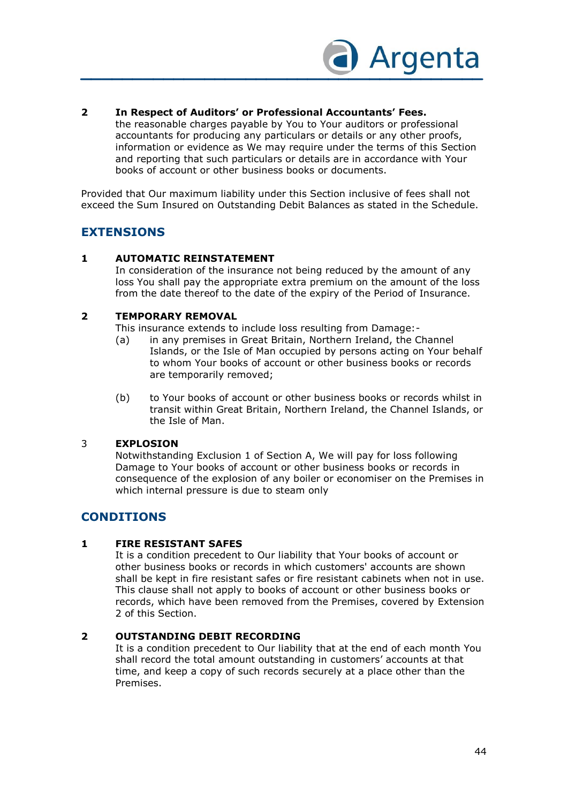

### **2 In Respect of Auditors' or Professional Accountants' Fees.**

the reasonable charges payable by You to Your auditors or professional accountants for producing any particulars or details or any other proofs, information or evidence as We may require under the terms of this Section and reporting that such particulars or details are in accordance with Your books of account or other business books or documents.

Provided that Our maximum liability under this Section inclusive of fees shall not exceed the Sum Insured on Outstanding Debit Balances as stated in the Schedule.

## **EXTENSIONS**

#### **1 AUTOMATIC REINSTATEMENT**

In consideration of the insurance not being reduced by the amount of any loss You shall pay the appropriate extra premium on the amount of the loss from the date thereof to the date of the expiry of the Period of Insurance.

#### **2 TEMPORARY REMOVAL**

This insurance extends to include loss resulting from Damage:-

- (a) in any premises in Great Britain, Northern Ireland, the Channel Islands, or the Isle of Man occupied by persons acting on Your behalf to whom Your books of account or other business books or records are temporarily removed;
- (b) to Your books of account or other business books or records whilst in transit within Great Britain, Northern Ireland, the Channel Islands, or the Isle of Man.

### 3 **EXPLOSION**

Notwithstanding Exclusion 1 of Section A, We will pay for loss following Damage to Your books of account or other business books or records in consequence of the explosion of any boiler or economiser on the Premises in which internal pressure is due to steam only

# **CONDITIONS**

#### **1 FIRE RESISTANT SAFES**

It is a condition precedent to Our liability that Your books of account or other business books or records in which customers' accounts are shown shall be kept in fire resistant safes or fire resistant cabinets when not in use. This clause shall not apply to books of account or other business books or records, which have been removed from the Premises, covered by Extension 2 of this Section.

#### **2 OUTSTANDING DEBIT RECORDING**

It is a condition precedent to Our liability that at the end of each month You shall record the total amount outstanding in customers' accounts at that time, and keep a copy of such records securely at a place other than the Premises.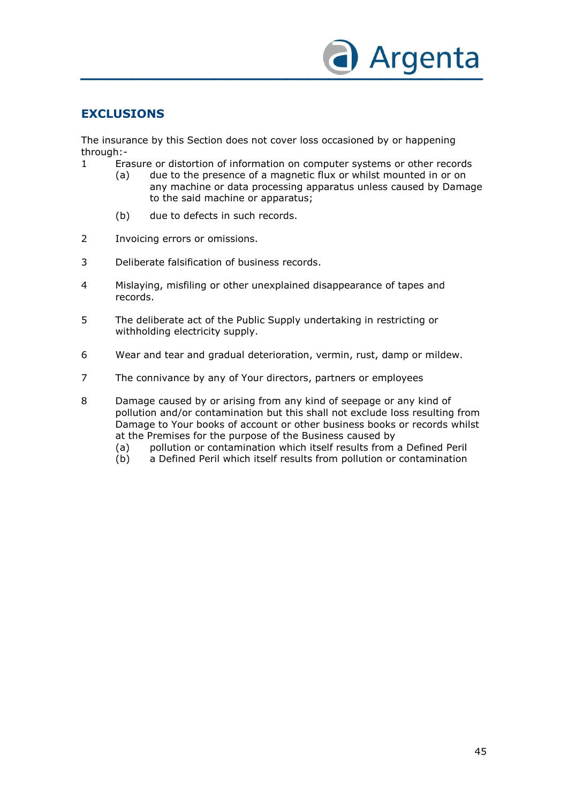

# **EXCLUSIONS**

The insurance by this Section does not cover loss occasioned by or happening through:-

- 1 Erasure or distortion of information on computer systems or other records
	- (a) due to the presence of a magnetic flux or whilst mounted in or on any machine or data processing apparatus unless caused by Damage to the said machine or apparatus;
	- (b) due to defects in such records.
- 2 Invoicing errors or omissions.
- 3 Deliberate falsification of business records.
- 4 Mislaying, misfiling or other unexplained disappearance of tapes and records.
- 5 The deliberate act of the Public Supply undertaking in restricting or withholding electricity supply.
- 6 Wear and tear and gradual deterioration, vermin, rust, damp or mildew.
- 7 The connivance by any of Your directors, partners or employees

8 Damage caused by or arising from any kind of seepage or any kind of pollution and/or contamination but this shall not exclude loss resulting from Damage to Your books of account or other business books or records whilst at the Premises for the purpose of the Business caused by

- (a) pollution or contamination which itself results from a Defined Peril
- (b) a Defined Peril which itself results from pollution or contamination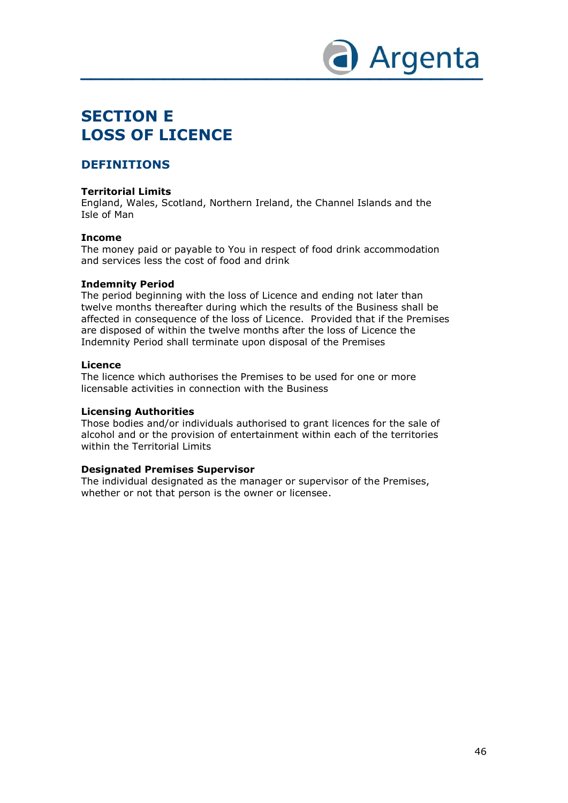

# **SECTION E LOSS OF LICENCE**

# **DEFINITIONS**

#### **Territorial Limits**

England, Wales, Scotland, Northern Ireland, the Channel Islands and the Isle of Man

#### **Income**

The money paid or payable to You in respect of food drink accommodation and services less the cost of food and drink

#### **Indemnity Period**

The period beginning with the loss of Licence and ending not later than twelve months thereafter during which the results of the Business shall be affected in consequence of the loss of Licence. Provided that if the Premises are disposed of within the twelve months after the loss of Licence the Indemnity Period shall terminate upon disposal of the Premises

#### **Licence**

The licence which authorises the Premises to be used for one or more licensable activities in connection with the Business

#### **Licensing Authorities**

Those bodies and/or individuals authorised to grant licences for the sale of alcohol and or the provision of entertainment within each of the territories within the Territorial Limits

#### **Designated Premises Supervisor**

The individual designated as the manager or supervisor of the Premises, whether or not that person is the owner or licensee.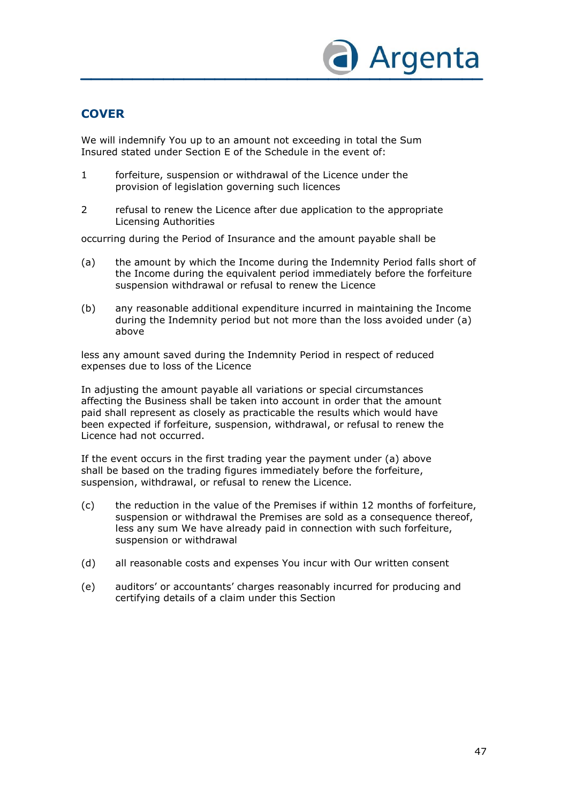

# **COVER**

We will indemnify You up to an amount not exceeding in total the Sum Insured stated under Section E of the Schedule in the event of:

- 1 forfeiture, suspension or withdrawal of the Licence under the provision of legislation governing such licences
- 2 refusal to renew the Licence after due application to the appropriate Licensing Authorities

occurring during the Period of Insurance and the amount payable shall be

- (a) the amount by which the Income during the Indemnity Period falls short of the Income during the equivalent period immediately before the forfeiture suspension withdrawal or refusal to renew the Licence
- (b) any reasonable additional expenditure incurred in maintaining the Income during the Indemnity period but not more than the loss avoided under (a) above

less any amount saved during the Indemnity Period in respect of reduced expenses due to loss of the Licence

In adjusting the amount payable all variations or special circumstances affecting the Business shall be taken into account in order that the amount paid shall represent as closely as practicable the results which would have been expected if forfeiture, suspension, withdrawal, or refusal to renew the Licence had not occurred.

If the event occurs in the first trading year the payment under (a) above shall be based on the trading figures immediately before the forfeiture, suspension, withdrawal, or refusal to renew the Licence.

- (c) the reduction in the value of the Premises if within 12 months of forfeiture, suspension or withdrawal the Premises are sold as a consequence thereof, less any sum We have already paid in connection with such forfeiture, suspension or withdrawal
- (d) all reasonable costs and expenses You incur with Our written consent
- (e) auditors' or accountants' charges reasonably incurred for producing and certifying details of a claim under this Section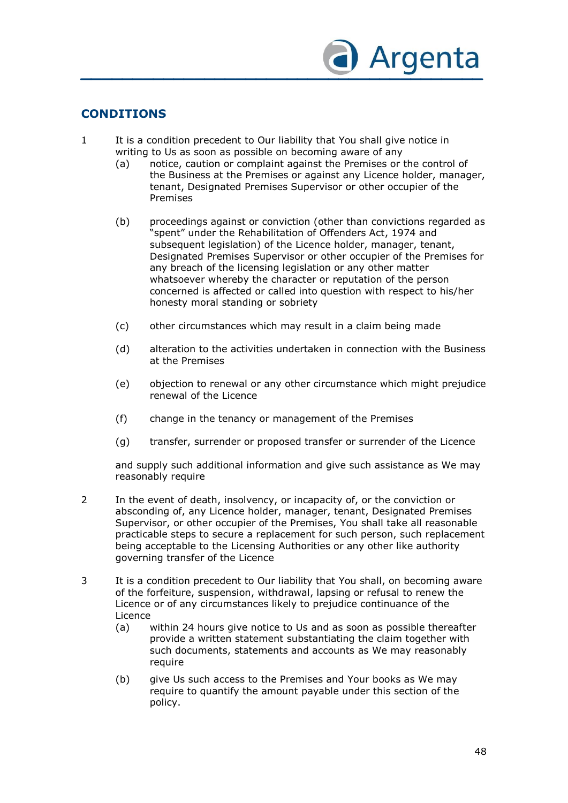

# **CONDITIONS**

- 1 It is a condition precedent to Our liability that You shall give notice in writing to Us as soon as possible on becoming aware of any
	- (a) notice, caution or complaint against the Premises or the control of the Business at the Premises or against any Licence holder, manager, tenant, Designated Premises Supervisor or other occupier of the Premises
	- (b) proceedings against or conviction (other than convictions regarded as "spent" under the Rehabilitation of Offenders Act, 1974 and subsequent legislation) of the Licence holder, manager, tenant, Designated Premises Supervisor or other occupier of the Premises for any breach of the licensing legislation or any other matter whatsoever whereby the character or reputation of the person concerned is affected or called into question with respect to his/her honesty moral standing or sobriety
	- (c) other circumstances which may result in a claim being made
	- (d) alteration to the activities undertaken in connection with the Business at the Premises
	- (e) objection to renewal or any other circumstance which might prejudice renewal of the Licence
	- (f) change in the tenancy or management of the Premises
	- (g) transfer, surrender or proposed transfer or surrender of the Licence

and supply such additional information and give such assistance as We may reasonably require

- 2 In the event of death, insolvency, or incapacity of, or the conviction or absconding of, any Licence holder, manager, tenant, Designated Premises Supervisor, or other occupier of the Premises, You shall take all reasonable practicable steps to secure a replacement for such person, such replacement being acceptable to the Licensing Authorities or any other like authority governing transfer of the Licence
- 3 It is a condition precedent to Our liability that You shall, on becoming aware of the forfeiture, suspension, withdrawal, lapsing or refusal to renew the Licence or of any circumstances likely to prejudice continuance of the Licence
	- (a) within 24 hours give notice to Us and as soon as possible thereafter provide a written statement substantiating the claim together with such documents, statements and accounts as We may reasonably require
	- (b) give Us such access to the Premises and Your books as We may require to quantify the amount payable under this section of the policy.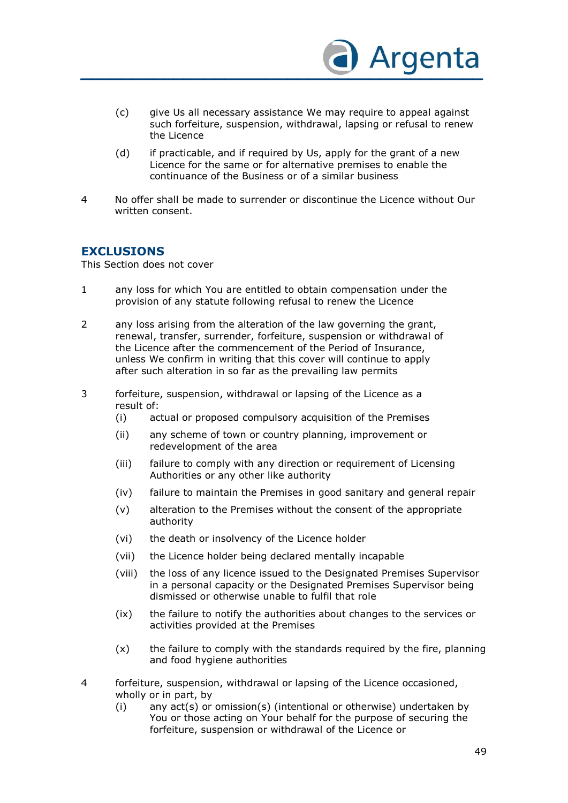

- (c) give Us all necessary assistance We may require to appeal against such forfeiture, suspension, withdrawal, lapsing or refusal to renew the Licence
- (d) if practicable, and if required by Us, apply for the grant of a new Licence for the same or for alternative premises to enable the continuance of the Business or of a similar business
- 4 No offer shall be made to surrender or discontinue the Licence without Our written consent.

### **EXCLUSIONS**

This Section does not cover

- 1 any loss for which You are entitled to obtain compensation under the provision of any statute following refusal to renew the Licence
- 2 any loss arising from the alteration of the law governing the grant, renewal, transfer, surrender, forfeiture, suspension or withdrawal of the Licence after the commencement of the Period of Insurance, unless We confirm in writing that this cover will continue to apply after such alteration in so far as the prevailing law permits
- 3 forfeiture, suspension, withdrawal or lapsing of the Licence as a result of:
	- (i) actual or proposed compulsory acquisition of the Premises
	- (ii) any scheme of town or country planning, improvement or redevelopment of the area
	- (iii) failure to comply with any direction or requirement of Licensing Authorities or any other like authority
	- (iv) failure to maintain the Premises in good sanitary and general repair
	- (v) alteration to the Premises without the consent of the appropriate authority
	- (vi) the death or insolvency of the Licence holder
	- (vii) the Licence holder being declared mentally incapable
	- (viii) the loss of any licence issued to the Designated Premises Supervisor in a personal capacity or the Designated Premises Supervisor being dismissed or otherwise unable to fulfil that role
	- (ix) the failure to notify the authorities about changes to the services or activities provided at the Premises
	- (x) the failure to comply with the standards required by the fire, planning and food hygiene authorities
- 4 forfeiture, suspension, withdrawal or lapsing of the Licence occasioned, wholly or in part, by
	- $(i)$  any  $act(s)$  or omission(s) (intentional or otherwise) undertaken by You or those acting on Your behalf for the purpose of securing the forfeiture, suspension or withdrawal of the Licence or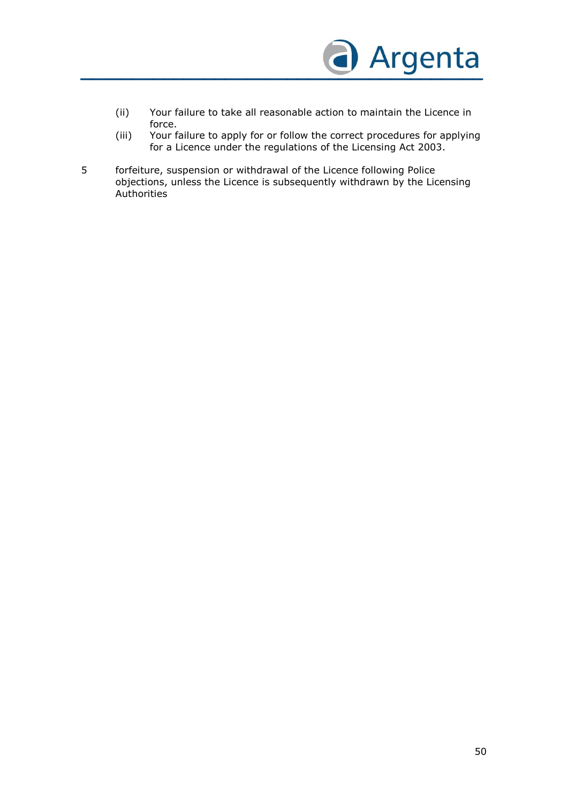

- (ii) Your failure to take all reasonable action to maintain the Licence in force.
- (iii) Your failure to apply for or follow the correct procedures for applying for a Licence under the regulations of the Licensing Act 2003.
- 5 forfeiture, suspension or withdrawal of the Licence following Police objections, unless the Licence is subsequently withdrawn by the Licensing Authorities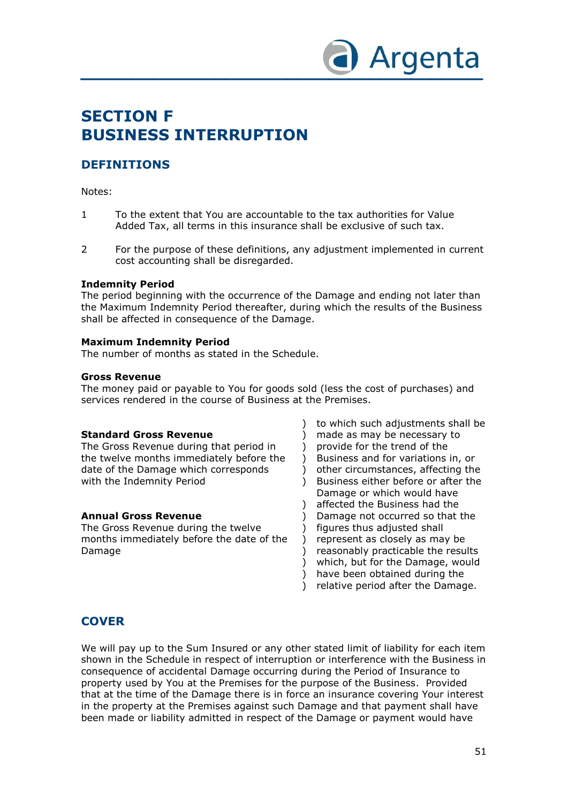

# **SECTION F BUSINESS INTERRUPTION**

# **DEFINITIONS**

Notes:

- 1 To the extent that You are accountable to the tax authorities for Value Added Tax, all terms in this insurance shall be exclusive of such tax.
- 2 For the purpose of these definitions, any adjustment implemented in current cost accounting shall be disregarded.

#### **Indemnity Period**

The period beginning with the occurrence of the Damage and ending not later than the Maximum Indemnity Period thereafter, during which the results of the Business shall be affected in consequence of the Damage.

### **Maximum Indemnity Period**

The number of months as stated in the Schedule.

### **Gross Revenue**

The money paid or payable to You for goods sold (less the cost of purchases) and services rendered in the course of Business at the Premises.

)

)

#### **Standard Gross Revenue**

The Gross Revenue during that period in the twelve months immediately before the date of the Damage which corresponds with the Indemnity Period

### **Annual Gross Revenue**

The Gross Revenue during the twelve months immediately before the date of the Damage

 $\lambda$ )  $\lambda$  $\lambda$ ) to which such adjustments shall be made as may be necessary to provide for the trend of the Business and for variations in, or other circumstances, affecting the Business either before or after the Damage or which would have affected the Business had the Damage not occurred so that the figures thus adjusted shall represent as closely as may be reasonably practicable the results which, but for the Damage, would have been obtained during the relative period after the Damage.  $\lambda$ )  $\lambda$  $\lambda$ )  $\lambda$  $\lambda$ 

# **COVER**

We will pay up to the Sum Insured or any other stated limit of liability for each item shown in the Schedule in respect of interruption or interference with the Business in consequence of accidental Damage occurring during the Period of Insurance to property used by You at the Premises for the purpose of the Business. Provided that at the time of the Damage there is in force an insurance covering Your interest in the property at the Premises against such Damage and that payment shall have been made or liability admitted in respect of the Damage or payment would have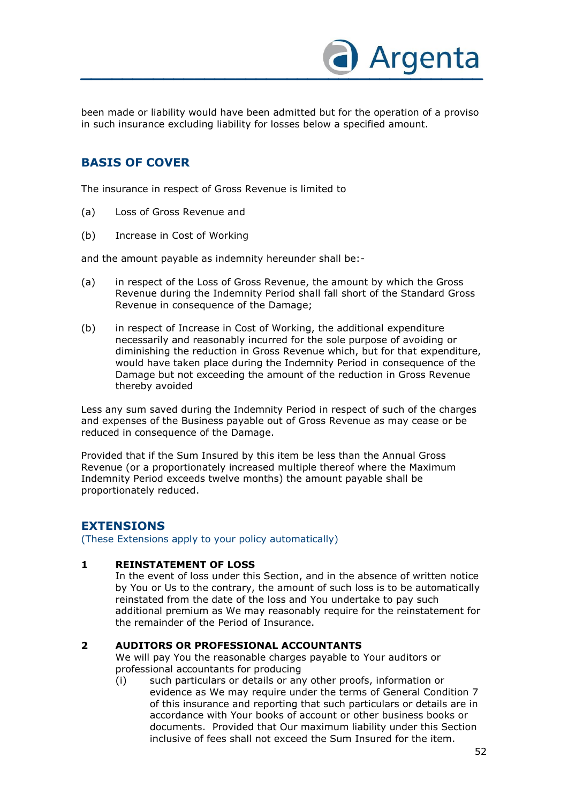

been made or liability would have been admitted but for the operation of a proviso in such insurance excluding liability for losses below a specified amount.

# **BASIS OF COVER**

The insurance in respect of Gross Revenue is limited to

- (a) Loss of Gross Revenue and
- (b) Increase in Cost of Working

and the amount payable as indemnity hereunder shall be:-

- (a) in respect of the Loss of Gross Revenue, the amount by which the Gross Revenue during the Indemnity Period shall fall short of the Standard Gross Revenue in consequence of the Damage;
- (b) in respect of Increase in Cost of Working, the additional expenditure necessarily and reasonably incurred for the sole purpose of avoiding or diminishing the reduction in Gross Revenue which, but for that expenditure, would have taken place during the Indemnity Period in consequence of the Damage but not exceeding the amount of the reduction in Gross Revenue thereby avoided

Less any sum saved during the Indemnity Period in respect of such of the charges and expenses of the Business payable out of Gross Revenue as may cease or be reduced in consequence of the Damage.

Provided that if the Sum Insured by this item be less than the Annual Gross Revenue (or a proportionately increased multiple thereof where the Maximum Indemnity Period exceeds twelve months) the amount payable shall be proportionately reduced.

### **EXTENSIONS**

(These Extensions apply to your policy automatically)

### **1 REINSTATEMENT OF LOSS**

In the event of loss under this Section, and in the absence of written notice by You or Us to the contrary, the amount of such loss is to be automatically reinstated from the date of the loss and You undertake to pay such additional premium as We may reasonably require for the reinstatement for the remainder of the Period of Insurance.

### **2 AUDITORS OR PROFESSIONAL ACCOUNTANTS**

We will pay You the reasonable charges payable to Your auditors or professional accountants for producing

(i) such particulars or details or any other proofs, information or evidence as We may require under the terms of General Condition 7 of this insurance and reporting that such particulars or details are in accordance with Your books of account or other business books or documents. Provided that Our maximum liability under this Section inclusive of fees shall not exceed the Sum Insured for the item.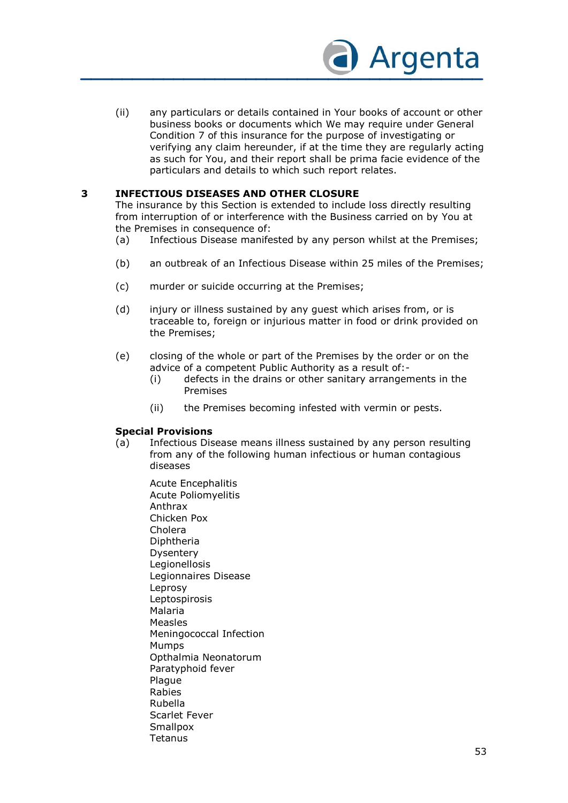

(ii) any particulars or details contained in Your books of account or other business books or documents which We may require under General Condition 7 of this insurance for the purpose of investigating or verifying any claim hereunder, if at the time they are regularly acting as such for You, and their report shall be prima facie evidence of the particulars and details to which such report relates.

### **3 INFECTIOUS DISEASES AND OTHER CLOSURE**

The insurance by this Section is extended to include loss directly resulting from interruption of or interference with the Business carried on by You at the Premises in consequence of:

- (a) Infectious Disease manifested by any person whilst at the Premises;
- (b) an outbreak of an Infectious Disease within 25 miles of the Premises;
- (c) murder or suicide occurring at the Premises;
- (d) injury or illness sustained by any guest which arises from, or is traceable to, foreign or injurious matter in food or drink provided on the Premises;
- (e) closing of the whole or part of the Premises by the order or on the advice of a competent Public Authority as a result of:-
	- (i) defects in the drains or other sanitary arrangements in the Premises
	- (ii) the Premises becoming infested with vermin or pests.

#### **Special Provisions**

- (a) Infectious Disease means illness sustained by any person resulting from any of the following human infectious or human contagious diseases
	- Acute Encephalitis Acute Poliomyelitis Anthrax Chicken Pox Cholera Diphtheria Dysentery Legionellosis Legionnaires Disease Leprosy Leptospirosis Malaria Measles Meningococcal Infection Mumps Opthalmia Neonatorum Paratyphoid fever Plague Rabies Rubella Scarlet Fever **Smallpox Tetanus**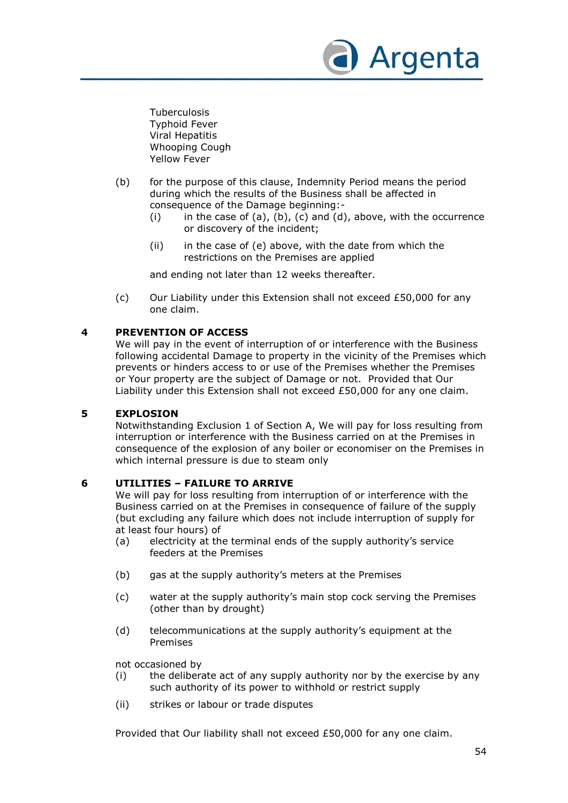

Tuberculosis Typhoid Fever Viral Hepatitis Whooping Cough Yellow Fever

- (b) for the purpose of this clause, Indemnity Period means the period during which the results of the Business shall be affected in consequence of the Damage beginning:-
	- (i) in the case of (a), (b), (c) and (d), above, with the occurrence or discovery of the incident;
	- $(ii)$  in the case of  $(e)$  above, with the date from which the restrictions on the Premises are applied

and ending not later than 12 weeks thereafter.

(c) Our Liability under this Extension shall not exceed £50,000 for any one claim.

### **4 PREVENTION OF ACCESS**

We will pay in the event of interruption of or interference with the Business following accidental Damage to property in the vicinity of the Premises which prevents or hinders access to or use of the Premises whether the Premises or Your property are the subject of Damage or not. Provided that Our Liability under this Extension shall not exceed £50,000 for any one claim.

#### **5 EXPLOSION**

Notwithstanding Exclusion 1 of Section A, We will pay for loss resulting from interruption or interference with the Business carried on at the Premises in consequence of the explosion of any boiler or economiser on the Premises in which internal pressure is due to steam only

### **6 UTILITIES – FAILURE TO ARRIVE**

We will pay for loss resulting from interruption of or interference with the Business carried on at the Premises in consequence of failure of the supply (but excluding any failure which does not include interruption of supply for at least four hours) of

- (a) electricity at the terminal ends of the supply authority's service feeders at the Premises
- (b) gas at the supply authority's meters at the Premises
- (c) water at the supply authority's main stop cock serving the Premises (other than by drought)
- (d) telecommunications at the supply authority's equipment at the Premises

not occasioned by

- (i) the deliberate act of any supply authority nor by the exercise by any such authority of its power to withhold or restrict supply
- (ii) strikes or labour or trade disputes

Provided that Our liability shall not exceed £50,000 for any one claim.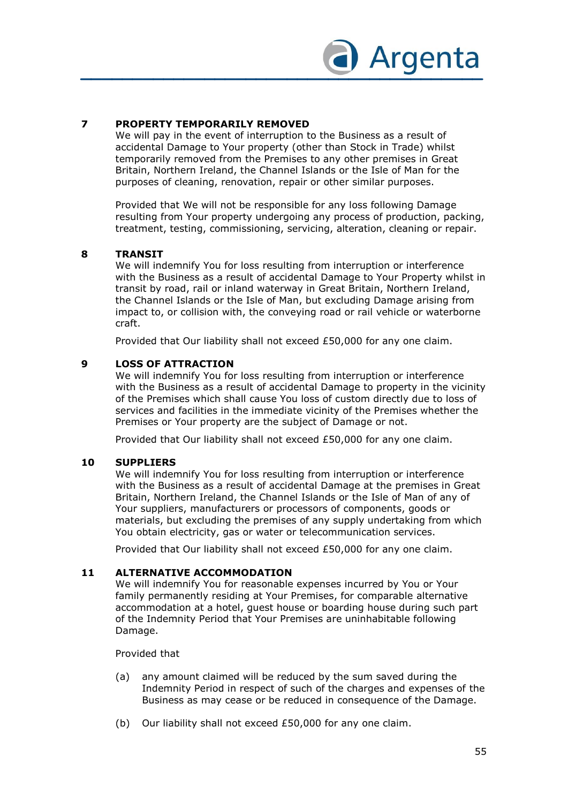

### **7 PROPERTY TEMPORARILY REMOVED**

We will pay in the event of interruption to the Business as a result of accidental Damage to Your property (other than Stock in Trade) whilst temporarily removed from the Premises to any other premises in Great Britain, Northern Ireland, the Channel Islands or the Isle of Man for the purposes of cleaning, renovation, repair or other similar purposes.

Provided that We will not be responsible for any loss following Damage resulting from Your property undergoing any process of production, packing, treatment, testing, commissioning, servicing, alteration, cleaning or repair.

#### **8 TRANSIT**

We will indemnify You for loss resulting from interruption or interference with the Business as a result of accidental Damage to Your Property whilst in transit by road, rail or inland waterway in Great Britain, Northern Ireland, the Channel Islands or the Isle of Man, but excluding Damage arising from impact to, or collision with, the conveying road or rail vehicle or waterborne craft.

Provided that Our liability shall not exceed £50,000 for any one claim.

#### **9 LOSS OF ATTRACTION**

We will indemnify You for loss resulting from interruption or interference with the Business as a result of accidental Damage to property in the vicinity of the Premises which shall cause You loss of custom directly due to loss of services and facilities in the immediate vicinity of the Premises whether the Premises or Your property are the subject of Damage or not.

Provided that Our liability shall not exceed £50,000 for any one claim.

#### **10 SUPPLIERS**

We will indemnify You for loss resulting from interruption or interference with the Business as a result of accidental Damage at the premises in Great Britain, Northern Ireland, the Channel Islands or the Isle of Man of any of Your suppliers, manufacturers or processors of components, goods or materials, but excluding the premises of any supply undertaking from which You obtain electricity, gas or water or telecommunication services.

Provided that Our liability shall not exceed £50,000 for any one claim.

#### **11 ALTERNATIVE ACCOMMODATION**

We will indemnify You for reasonable expenses incurred by You or Your family permanently residing at Your Premises, for comparable alternative accommodation at a hotel, guest house or boarding house during such part of the Indemnity Period that Your Premises are uninhabitable following Damage.

Provided that

- (a) any amount claimed will be reduced by the sum saved during the Indemnity Period in respect of such of the charges and expenses of the Business as may cease or be reduced in consequence of the Damage.
- (b) Our liability shall not exceed £50,000 for any one claim.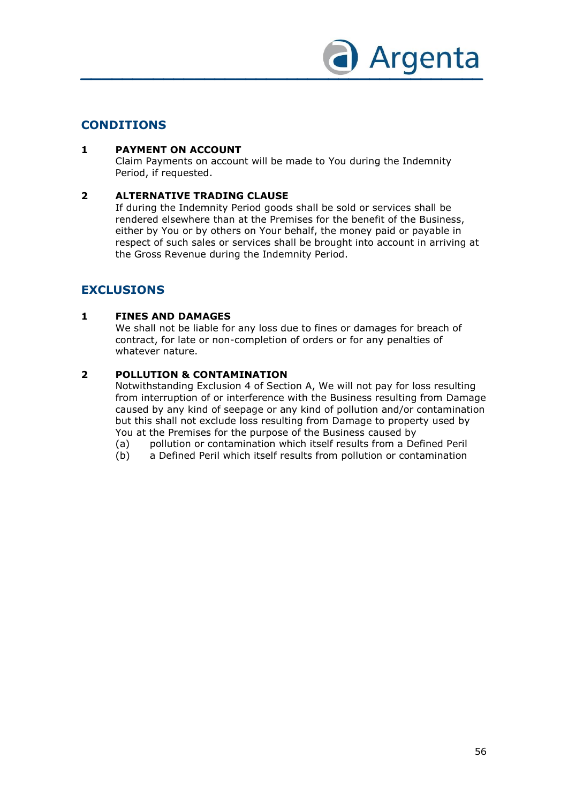

## **CONDITIONS**

### **1 PAYMENT ON ACCOUNT**

Claim Payments on account will be made to You during the Indemnity Period, if requested.

#### **2 ALTERNATIVE TRADING CLAUSE**

If during the Indemnity Period goods shall be sold or services shall be rendered elsewhere than at the Premises for the benefit of the Business, either by You or by others on Your behalf, the money paid or payable in respect of such sales or services shall be brought into account in arriving at the Gross Revenue during the Indemnity Period.

# **EXCLUSIONS**

### **1 FINES AND DAMAGES**

We shall not be liable for any loss due to fines or damages for breach of contract, for late or non-completion of orders or for any penalties of whatever nature.

### **2 POLLUTION & CONTAMINATION**

Notwithstanding Exclusion 4 of Section A, We will not pay for loss resulting from interruption of or interference with the Business resulting from Damage caused by any kind of seepage or any kind of pollution and/or contamination but this shall not exclude loss resulting from Damage to property used by You at the Premises for the purpose of the Business caused by

- (a) pollution or contamination which itself results from a Defined Peril
- (b) a Defined Peril which itself results from pollution or contamination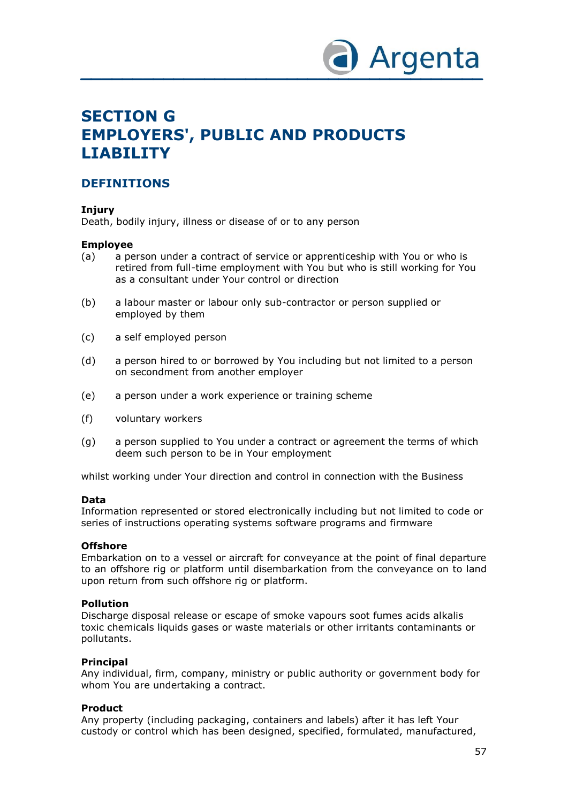

# **SECTION G EMPLOYERS', PUBLIC AND PRODUCTS LIABILITY**

### **DEFINITIONS**

### **Injury**

Death, bodily injury, illness or disease of or to any person

### **Employee**

- (a) a person under a contract of service or apprenticeship with You or who is retired from full-time employment with You but who is still working for You as a consultant under Your control or direction
- (b) a labour master or labour only sub-contractor or person supplied or employed by them
- (c) a self employed person
- (d) a person hired to or borrowed by You including but not limited to a person on secondment from another employer
- (e) a person under a work experience or training scheme
- (f) voluntary workers
- (g) a person supplied to You under a contract or agreement the terms of which deem such person to be in Your employment

whilst working under Your direction and control in connection with the Business

#### **Data**

Information represented or stored electronically including but not limited to code or series of instructions operating systems software programs and firmware

#### **Offshore**

Embarkation on to a vessel or aircraft for conveyance at the point of final departure to an offshore rig or platform until disembarkation from the conveyance on to land upon return from such offshore rig or platform.

#### **Pollution**

Discharge disposal release or escape of smoke vapours soot fumes acids alkalis toxic chemicals liquids gases or waste materials or other irritants contaminants or pollutants.

#### **Principal**

Any individual, firm, company, ministry or public authority or government body for whom You are undertaking a contract.

#### **Product**

Any property (including packaging, containers and labels) after it has left Your custody or control which has been designed, specified, formulated, manufactured,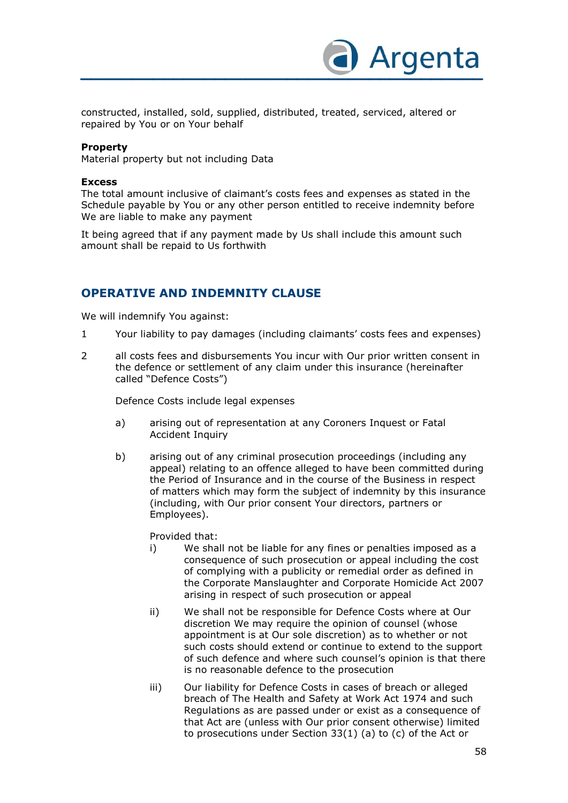

constructed, installed, sold, supplied, distributed, treated, serviced, altered or repaired by You or on Your behalf

#### **Property**

Material property but not including Data

#### **Excess**

The total amount inclusive of claimant's costs fees and expenses as stated in the Schedule payable by You or any other person entitled to receive indemnity before We are liable to make any payment

It being agreed that if any payment made by Us shall include this amount such amount shall be repaid to Us forthwith

### **OPERATIVE AND INDEMNITY CLAUSE**

We will indemnify You against:

- 1 Your liability to pay damages (including claimants' costs fees and expenses)
- 2 all costs fees and disbursements You incur with Our prior written consent in the defence or settlement of any claim under this insurance (hereinafter called "Defence Costs")

Defence Costs include legal expenses

- a) arising out of representation at any Coroners Inquest or Fatal Accident Inquiry
- b) arising out of any criminal prosecution proceedings (including any appeal) relating to an offence alleged to have been committed during the Period of Insurance and in the course of the Business in respect of matters which may form the subject of indemnity by this insurance (including, with Our prior consent Your directors, partners or Employees).

Provided that:

- i) We shall not be liable for any fines or penalties imposed as a consequence of such prosecution or appeal including the cost of complying with a publicity or remedial order as defined in the Corporate Manslaughter and Corporate Homicide Act 2007 arising in respect of such prosecution or appeal
- ii) We shall not be responsible for Defence Costs where at Our discretion We may require the opinion of counsel (whose appointment is at Our sole discretion) as to whether or not such costs should extend or continue to extend to the support of such defence and where such counsel's opinion is that there is no reasonable defence to the prosecution
- iii) Our liability for Defence Costs in cases of breach or alleged breach of The Health and Safety at Work Act 1974 and such Regulations as are passed under or exist as a consequence of that Act are (unless with Our prior consent otherwise) limited to prosecutions under Section 33(1) (a) to (c) of the Act or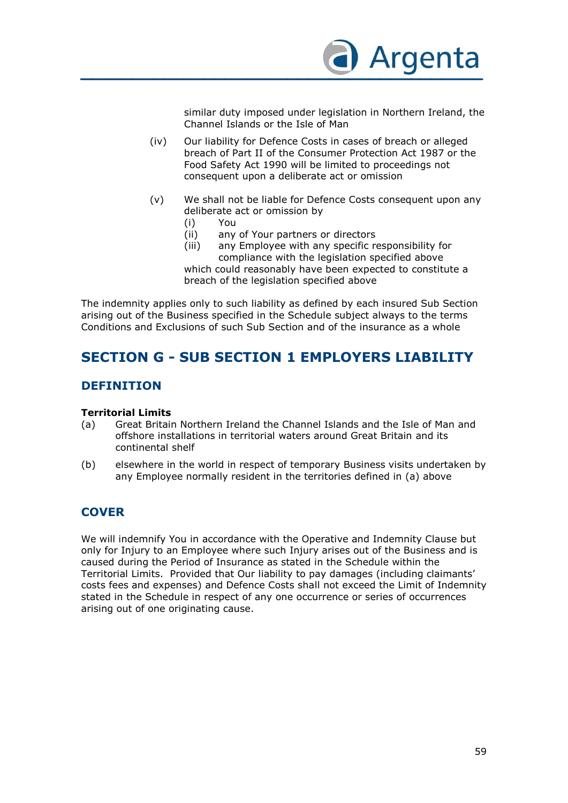

similar duty imposed under legislation in Northern Ireland, the Channel Islands or the Isle of Man

- (iv) Our liability for Defence Costs in cases of breach or alleged breach of Part II of the Consumer Protection Act 1987 or the Food Safety Act 1990 will be limited to proceedings not consequent upon a deliberate act or omission
- (v) We shall not be liable for Defence Costs consequent upon any deliberate act or omission by
	-
	- (i) You any of Your partners or directors
	- (iii) any Employee with any specific responsibility for compliance with the legislation specified above

which could reasonably have been expected to constitute a breach of the legislation specified above

The indemnity applies only to such liability as defined by each insured Sub Section arising out of the Business specified in the Schedule subject always to the terms Conditions and Exclusions of such Sub Section and of the insurance as a whole

# **SECTION G - SUB SECTION 1 EMPLOYERS LIABILITY**

## **DEFINITION**

#### **Territorial Limits**

- (a) Great Britain Northern Ireland the Channel Islands and the Isle of Man and offshore installations in territorial waters around Great Britain and its continental shelf
- (b) elsewhere in the world in respect of temporary Business visits undertaken by any Employee normally resident in the territories defined in (a) above

# **COVER**

We will indemnify You in accordance with the Operative and Indemnity Clause but only for Injury to an Employee where such Injury arises out of the Business and is caused during the Period of Insurance as stated in the Schedule within the Territorial Limits. Provided that Our liability to pay damages (including claimants' costs fees and expenses) and Defence Costs shall not exceed the Limit of Indemnity stated in the Schedule in respect of any one occurrence or series of occurrences arising out of one originating cause.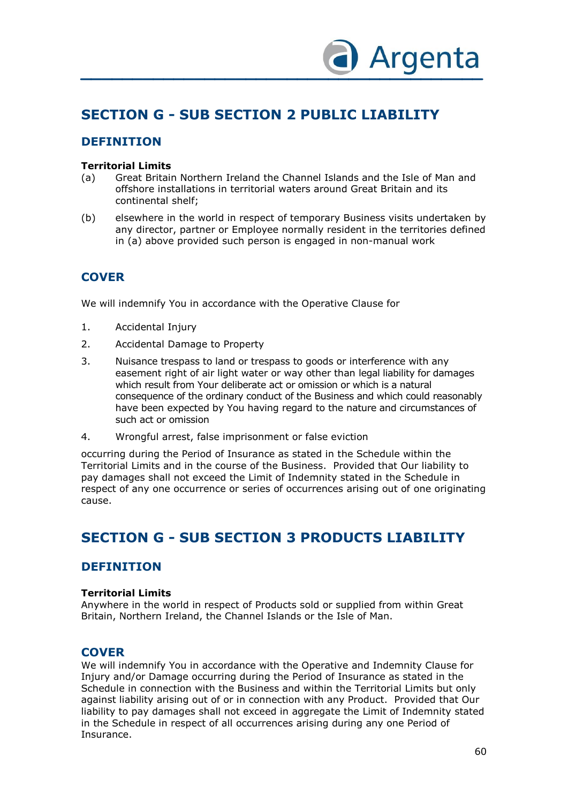

# **SECTION G - SUB SECTION 2 PUBLIC LIABILITY**

# **DEFINITION**

### **Territorial Limits**

- (a) Great Britain Northern Ireland the Channel Islands and the Isle of Man and offshore installations in territorial waters around Great Britain and its continental shelf;
- (b) elsewhere in the world in respect of temporary Business visits undertaken by any director, partner or Employee normally resident in the territories defined in (a) above provided such person is engaged in non-manual work

# **COVER**

We will indemnify You in accordance with the Operative Clause for

- 1. Accidental Injury
- 2. Accidental Damage to Property
- 3. Nuisance trespass to land or trespass to goods or interference with any easement right of air light water or way other than legal liability for damages which result from Your deliberate act or omission or which is a natural consequence of the ordinary conduct of the Business and which could reasonably have been expected by You having regard to the nature and circumstances of such act or omission
- 4. Wrongful arrest, false imprisonment or false eviction

occurring during the Period of Insurance as stated in the Schedule within the Territorial Limits and in the course of the Business. Provided that Our liability to pay damages shall not exceed the Limit of Indemnity stated in the Schedule in respect of any one occurrence or series of occurrences arising out of one originating cause.

# **SECTION G - SUB SECTION 3 PRODUCTS LIABILITY**

### **DEFINITION**

#### **Territorial Limits**

Anywhere in the world in respect of Products sold or supplied from within Great Britain, Northern Ireland, the Channel Islands or the Isle of Man.

### **COVER**

We will indemnify You in accordance with the Operative and Indemnity Clause for Injury and/or Damage occurring during the Period of Insurance as stated in the Schedule in connection with the Business and within the Territorial Limits but only against liability arising out of or in connection with any Product. Provided that Our liability to pay damages shall not exceed in aggregate the Limit of Indemnity stated in the Schedule in respect of all occurrences arising during any one Period of Insurance.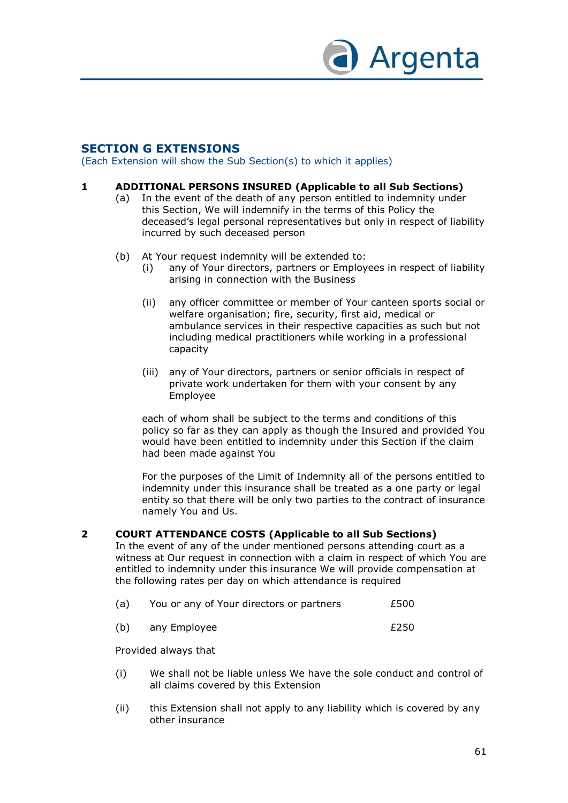

## **SECTION G EXTENSIONS**

(Each Extension will show the Sub Section(s) to which it applies)

#### **1 ADDITIONAL PERSONS INSURED (Applicable to all Sub Sections)**

- (a) In the event of the death of any person entitled to indemnity under this Section, We will indemnify in the terms of this Policy the deceased's legal personal representatives but only in respect of liability incurred by such deceased person
- (b) At Your request indemnity will be extended to:
	- (i) any of Your directors, partners or Employees in respect of liability arising in connection with the Business
	- (ii) any officer committee or member of Your canteen sports social or welfare organisation; fire, security, first aid, medical or ambulance services in their respective capacities as such but not including medical practitioners while working in a professional capacity
	- (iii) any of Your directors, partners or senior officials in respect of private work undertaken for them with your consent by any Employee

each of whom shall be subject to the terms and conditions of this policy so far as they can apply as though the Insured and provided You would have been entitled to indemnity under this Section if the claim had been made against You

For the purposes of the Limit of Indemnity all of the persons entitled to indemnity under this insurance shall be treated as a one party or legal entity so that there will be only two parties to the contract of insurance namely You and Us.

#### **2 COURT ATTENDANCE COSTS (Applicable to all Sub Sections)**

In the event of any of the under mentioned persons attending court as a witness at Our request in connection with a claim in respect of which You are entitled to indemnity under this insurance We will provide compensation at the following rates per day on which attendance is required

| (a) | You or any of Your directors or partners | £500 |
|-----|------------------------------------------|------|
|-----|------------------------------------------|------|

(b) any Employee E250

Provided always that

- (i) We shall not be liable unless We have the sole conduct and control of all claims covered by this Extension
- (ii) this Extension shall not apply to any liability which is covered by any other insurance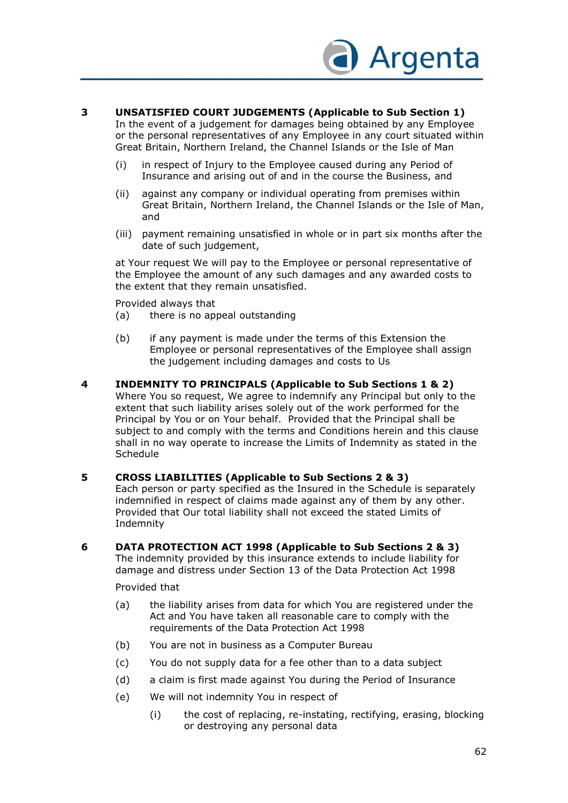

### **3 UNSATISFIED COURT JUDGEMENTS (Applicable to Sub Section 1)**

In the event of a judgement for damages being obtained by any Employee or the personal representatives of any Employee in any court situated within Great Britain, Northern Ireland, the Channel Islands or the Isle of Man

- (i) in respect of Injury to the Employee caused during any Period of Insurance and arising out of and in the course the Business, and
- (ii) against any company or individual operating from premises within Great Britain, Northern Ireland, the Channel Islands or the Isle of Man, and
- (iii) payment remaining unsatisfied in whole or in part six months after the date of such judgement,

at Your request We will pay to the Employee or personal representative of the Employee the amount of any such damages and any awarded costs to the extent that they remain unsatisfied.

Provided always that

- (a) there is no appeal outstanding
- (b) if any payment is made under the terms of this Extension the Employee or personal representatives of the Employee shall assign the judgement including damages and costs to Us
- **4 INDEMNITY TO PRINCIPALS (Applicable to Sub Sections 1 & 2)**  Where You so request, We agree to indemnify any Principal but only to the extent that such liability arises solely out of the work performed for the Principal by You or on Your behalf. Provided that the Principal shall be subject to and comply with the terms and Conditions herein and this clause shall in no way operate to increase the Limits of Indemnity as stated in the **Schedule**

#### **5 CROSS LIABILITIES (Applicable to Sub Sections 2 & 3)**

Each person or party specified as the Insured in the Schedule is separately indemnified in respect of claims made against any of them by any other. Provided that Our total liability shall not exceed the stated Limits of Indemnity

**6 DATA PROTECTION ACT 1998 (Applicable to Sub Sections 2 & 3)** The indemnity provided by this insurance extends to include liability for

damage and distress under Section 13 of the Data Protection Act 1998

Provided that

- (a) the liability arises from data for which You are registered under the Act and You have taken all reasonable care to comply with the requirements of the Data Protection Act 1998
- (b) You are not in business as a Computer Bureau
- (c) You do not supply data for a fee other than to a data subject
- (d) a claim is first made against You during the Period of Insurance
- (e) We will not indemnity You in respect of
	- (i) the cost of replacing, re-instating, rectifying, erasing, blocking or destroying any personal data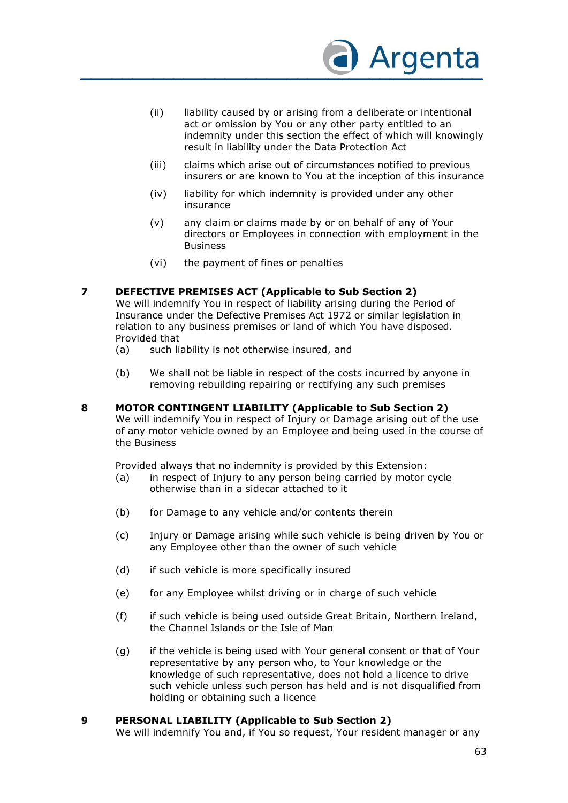

- (ii) liability caused by or arising from a deliberate or intentional act or omission by You or any other party entitled to an indemnity under this section the effect of which will knowingly result in liability under the Data Protection Act
- (iii) claims which arise out of circumstances notified to previous insurers or are known to You at the inception of this insurance
- (iv) liability for which indemnity is provided under any other insurance
- (v) any claim or claims made by or on behalf of any of Your directors or Employees in connection with employment in the Business
- (vi) the payment of fines or penalties

#### **7 DEFECTIVE PREMISES ACT (Applicable to Sub Section 2)**

We will indemnify You in respect of liability arising during the Period of Insurance under the Defective Premises Act 1972 or similar legislation in relation to any business premises or land of which You have disposed. Provided that

- (a) such liability is not otherwise insured, and
- (b) We shall not be liable in respect of the costs incurred by anyone in removing rebuilding repairing or rectifying any such premises
- **8 MOTOR CONTINGENT LIABILITY (Applicable to Sub Section 2)** We will indemnify You in respect of Injury or Damage arising out of the use of any motor vehicle owned by an Employee and being used in the course of the Business

Provided always that no indemnity is provided by this Extension:<br>(a) in respect of Injury to any person being carried by motor

- in respect of Injury to any person being carried by motor cycle otherwise than in a sidecar attached to it
- (b) for Damage to any vehicle and/or contents therein
- (c) Injury or Damage arising while such vehicle is being driven by You or any Employee other than the owner of such vehicle
- (d) if such vehicle is more specifically insured
- (e) for any Employee whilst driving or in charge of such vehicle
- (f) if such vehicle is being used outside Great Britain, Northern Ireland, the Channel Islands or the Isle of Man
- (g) if the vehicle is being used with Your general consent or that of Your representative by any person who, to Your knowledge or the knowledge of such representative, does not hold a licence to drive such vehicle unless such person has held and is not disqualified from holding or obtaining such a licence

#### **9 PERSONAL LIABILITY (Applicable to Sub Section 2)**

We will indemnify You and, if You so request, Your resident manager or any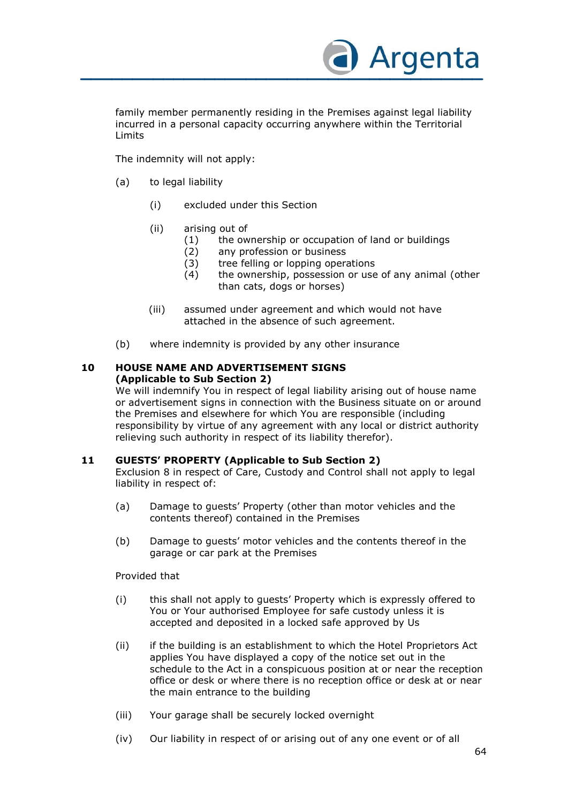

family member permanently residing in the Premises against legal liability incurred in a personal capacity occurring anywhere within the Territorial Limits

The indemnity will not apply:

- (a) to legal liability
	- (i) excluded under this Section
	- (ii) arising out of
		- (1) the ownership or occupation of land or buildings
		- (2) any profession or business
		- (3) tree felling or lopping operations
		- (4) the ownership, possession or use of any animal (other than cats, dogs or horses)
	- (iii) assumed under agreement and which would not have attached in the absence of such agreement.
- (b) where indemnity is provided by any other insurance

#### **10 HOUSE NAME AND ADVERTISEMENT SIGNS (Applicable to Sub Section 2)**

We will indemnify You in respect of legal liability arising out of house name or advertisement signs in connection with the Business situate on or around the Premises and elsewhere for which You are responsible (including responsibility by virtue of any agreement with any local or district authority relieving such authority in respect of its liability therefor).

### **11 GUESTS' PROPERTY (Applicable to Sub Section 2)**

Exclusion 8 in respect of Care, Custody and Control shall not apply to legal liability in respect of:

- (a) Damage to guests' Property (other than motor vehicles and the contents thereof) contained in the Premises
- (b) Damage to guests' motor vehicles and the contents thereof in the garage or car park at the Premises

Provided that

- (i) this shall not apply to guests' Property which is expressly offered to You or Your authorised Employee for safe custody unless it is accepted and deposited in a locked safe approved by Us
- (ii) if the building is an establishment to which the Hotel Proprietors Act applies You have displayed a copy of the notice set out in the schedule to the Act in a conspicuous position at or near the reception office or desk or where there is no reception office or desk at or near the main entrance to the building
- (iii) Your garage shall be securely locked overnight
- (iv) Our liability in respect of or arising out of any one event or of all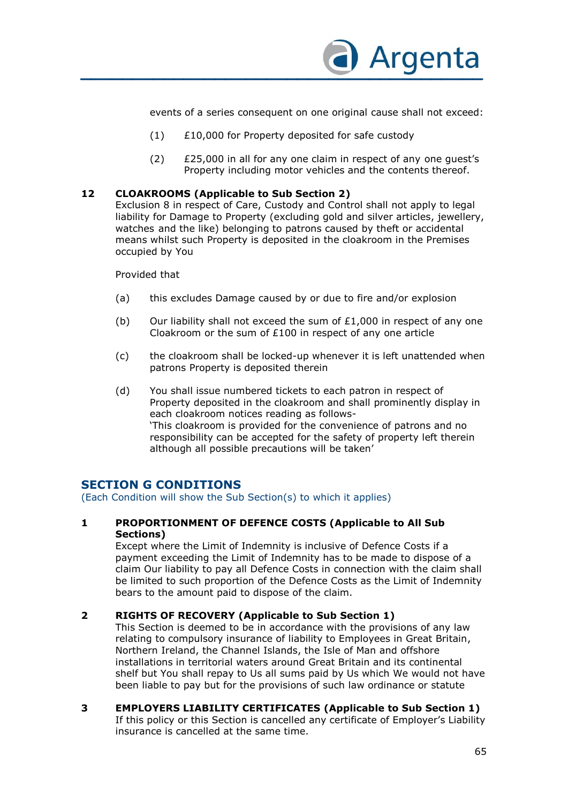

events of a series consequent on one original cause shall not exceed:

- (1) £10,000 for Property deposited for safe custody
- (2) £25,000 in all for any one claim in respect of any one guest's Property including motor vehicles and the contents thereof.

#### **12 CLOAKROOMS (Applicable to Sub Section 2)**

Exclusion 8 in respect of Care, Custody and Control shall not apply to legal liability for Damage to Property (excluding gold and silver articles, jewellery, watches and the like) belonging to patrons caused by theft or accidental means whilst such Property is deposited in the cloakroom in the Premises occupied by You

Provided that

- (a) this excludes Damage caused by or due to fire and/or explosion
- (b) Our liability shall not exceed the sum of  $£1,000$  in respect of any one Cloakroom or the sum of £100 in respect of any one article
- (c) the cloakroom shall be locked-up whenever it is left unattended when patrons Property is deposited therein
- (d) You shall issue numbered tickets to each patron in respect of Property deposited in the cloakroom and shall prominently display in each cloakroom notices reading as follows- 'This cloakroom is provided for the convenience of patrons and no responsibility can be accepted for the safety of property left therein although all possible precautions will be taken'

### **SECTION G CONDITIONS**

(Each Condition will show the Sub Section(s) to which it applies)

#### **1 PROPORTIONMENT OF DEFENCE COSTS (Applicable to All Sub Sections)**

Except where the Limit of Indemnity is inclusive of Defence Costs if a payment exceeding the Limit of Indemnity has to be made to dispose of a claim Our liability to pay all Defence Costs in connection with the claim shall be limited to such proportion of the Defence Costs as the Limit of Indemnity bears to the amount paid to dispose of the claim.

#### **2 RIGHTS OF RECOVERY (Applicable to Sub Section 1)**

This Section is deemed to be in accordance with the provisions of any law relating to compulsory insurance of liability to Employees in Great Britain, Northern Ireland, the Channel Islands, the Isle of Man and offshore installations in territorial waters around Great Britain and its continental shelf but You shall repay to Us all sums paid by Us which We would not have been liable to pay but for the provisions of such law ordinance or statute

**3 EMPLOYERS LIABILITY CERTIFICATES (Applicable to Sub Section 1)**  If this policy or this Section is cancelled any certificate of Employer's Liability insurance is cancelled at the same time.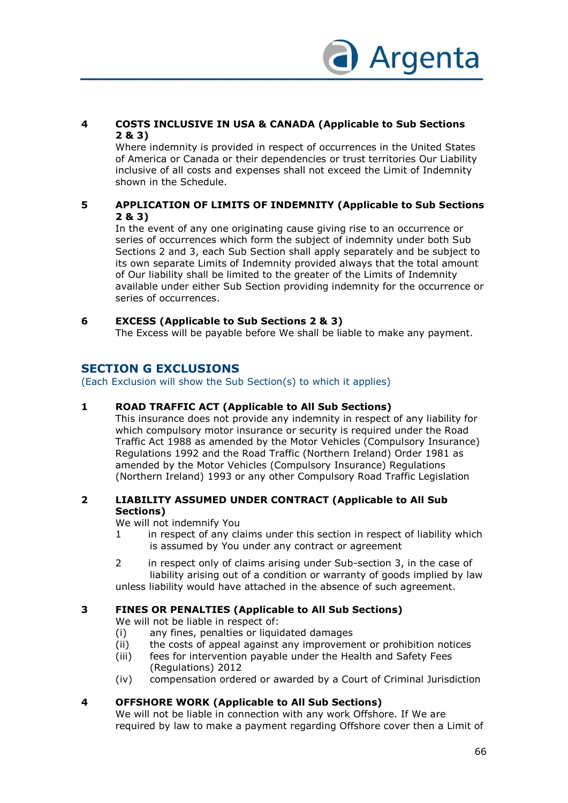

### **4 COSTS INCLUSIVE IN USA & CANADA (Applicable to Sub Sections 2 & 3)**

Where indemnity is provided in respect of occurrences in the United States of America or Canada or their dependencies or trust territories Our Liability inclusive of all costs and expenses shall not exceed the Limit of Indemnity shown in the Schedule.

### **5 APPLICATION OF LIMITS OF INDEMNITY (Applicable to Sub Sections 2 & 3)**

In the event of any one originating cause giving rise to an occurrence or series of occurrences which form the subject of indemnity under both Sub Sections 2 and 3, each Sub Section shall apply separately and be subject to its own separate Limits of Indemnity provided always that the total amount of Our liability shall be limited to the greater of the Limits of Indemnity available under either Sub Section providing indemnity for the occurrence or series of occurrences.

### **6 EXCESS (Applicable to Sub Sections 2 & 3)**

The Excess will be payable before We shall be liable to make any payment.

### **SECTION G EXCLUSIONS**

(Each Exclusion will show the Sub Section(s) to which it applies)

### **1 ROAD TRAFFIC ACT (Applicable to All Sub Sections)**

This insurance does not provide any indemnity in respect of any liability for which compulsory motor insurance or security is required under the Road Traffic Act 1988 as amended by the Motor Vehicles (Compulsory Insurance) Regulations 1992 and the Road Traffic (Northern Ireland) Order 1981 as amended by the Motor Vehicles (Compulsory Insurance) Regulations (Northern Ireland) 1993 or any other Compulsory Road Traffic Legislation

### **2 LIABILITY ASSUMED UNDER CONTRACT (Applicable to All Sub Sections)**

We will not indemnify You

- 1 in respect of any claims under this section in respect of liability which is assumed by You under any contract or agreement
- 2 in respect only of claims arising under Sub-section 3, in the case of liability arising out of a condition or warranty of goods implied by law unless liability would have attached in the absence of such agreement.

### **3 FINES OR PENALTIES (Applicable to All Sub Sections)**

We will not be liable in respect of:

- (i) any fines, penalties or liquidated damages
- (ii) the costs of appeal against any improvement or prohibition notices
- (iii) fees for intervention payable under the Health and Safety Fees (Regulations) 2012
- (iv) compensation ordered or awarded by a Court of Criminal Jurisdiction

#### **4 OFFSHORE WORK (Applicable to All Sub Sections)**

We will not be liable in connection with any work Offshore. If We are required by law to make a payment regarding Offshore cover then a Limit of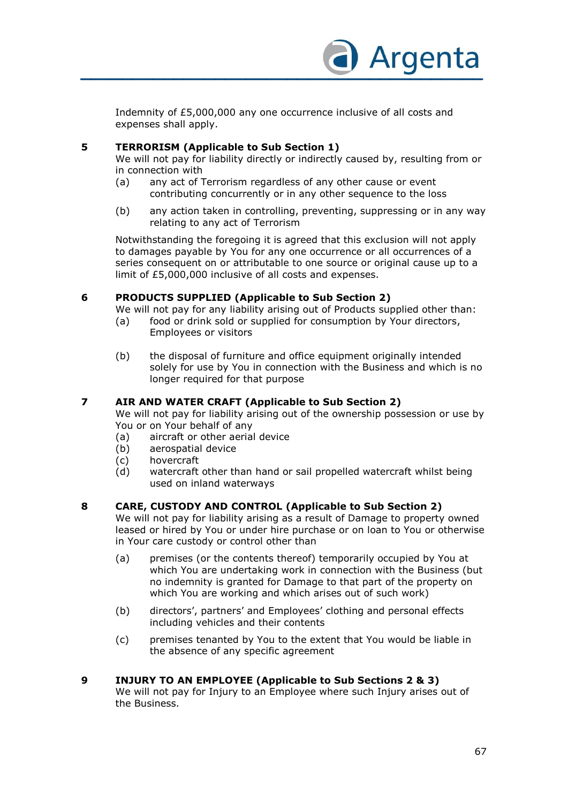

Indemnity of £5,000,000 any one occurrence inclusive of all costs and expenses shall apply.

### **5 TERRORISM (Applicable to Sub Section 1)**

We will not pay for liability directly or indirectly caused by, resulting from or in connection with

- (a) any act of Terrorism regardless of any other cause or event contributing concurrently or in any other sequence to the loss
- (b) any action taken in controlling, preventing, suppressing or in any way relating to any act of Terrorism

Notwithstanding the foregoing it is agreed that this exclusion will not apply to damages payable by You for any one occurrence or all occurrences of a series consequent on or attributable to one source or original cause up to a limit of £5,000,000 inclusive of all costs and expenses.

### **6 PRODUCTS SUPPLIED (Applicable to Sub Section 2)**

We will not pay for any liability arising out of Products supplied other than:

- (a) food or drink sold or supplied for consumption by Your directors, Employees or visitors
- (b) the disposal of furniture and office equipment originally intended solely for use by You in connection with the Business and which is no longer required for that purpose

### **7 AIR AND WATER CRAFT (Applicable to Sub Section 2)**

We will not pay for liability arising out of the ownership possession or use by You or on Your behalf of any

- (a) aircraft or other aerial device
- (b) aerospatial device
- (c) hovercraft
- (d) watercraft other than hand or sail propelled watercraft whilst being used on inland waterways

### **8 CARE, CUSTODY AND CONTROL (Applicable to Sub Section 2)**

We will not pay for liability arising as a result of Damage to property owned leased or hired by You or under hire purchase or on loan to You or otherwise in Your care custody or control other than

- (a) premises (or the contents thereof) temporarily occupied by You at which You are undertaking work in connection with the Business (but no indemnity is granted for Damage to that part of the property on which You are working and which arises out of such work)
- (b) directors', partners' and Employees' clothing and personal effects including vehicles and their contents
- (c) premises tenanted by You to the extent that You would be liable in the absence of any specific agreement

### **9 INJURY TO AN EMPLOYEE (Applicable to Sub Sections 2 & 3)**

We will not pay for Injury to an Employee where such Injury arises out of the Business.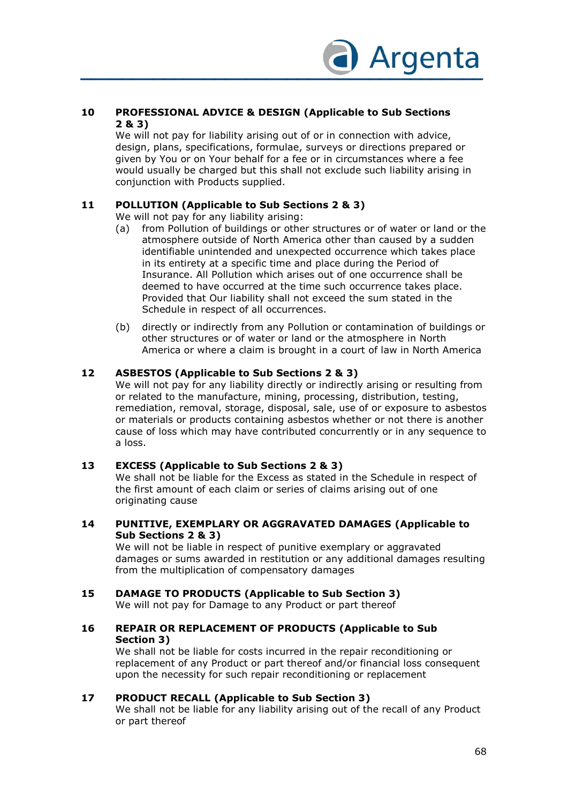

### **10 PROFESSIONAL ADVICE & DESIGN (Applicable to Sub Sections 2 & 3)**

We will not pay for liability arising out of or in connection with advice, design, plans, specifications, formulae, surveys or directions prepared or given by You or on Your behalf for a fee or in circumstances where a fee would usually be charged but this shall not exclude such liability arising in conjunction with Products supplied.

### **11 POLLUTION (Applicable to Sub Sections 2 & 3)**

We will not pay for any liability arising:

- (a) from Pollution of buildings or other structures or of water or land or the atmosphere outside of North America other than caused by a sudden identifiable unintended and unexpected occurrence which takes place in its entirety at a specific time and place during the Period of Insurance. All Pollution which arises out of one occurrence shall be deemed to have occurred at the time such occurrence takes place. Provided that Our liability shall not exceed the sum stated in the Schedule in respect of all occurrences.
- (b) directly or indirectly from any Pollution or contamination of buildings or other structures or of water or land or the atmosphere in North America or where a claim is brought in a court of law in North America

### **12 ASBESTOS (Applicable to Sub Sections 2 & 3)**

We will not pay for any liability directly or indirectly arising or resulting from or related to the manufacture, mining, processing, distribution, testing, remediation, removal, storage, disposal, sale, use of or exposure to asbestos or materials or products containing asbestos whether or not there is another cause of loss which may have contributed concurrently or in any sequence to a loss.

#### **13 EXCESS (Applicable to Sub Sections 2 & 3)**

We shall not be liable for the Excess as stated in the Schedule in respect of the first amount of each claim or series of claims arising out of one originating cause

#### **14 PUNITIVE, EXEMPLARY OR AGGRAVATED DAMAGES (Applicable to Sub Sections 2 & 3)**

We will not be liable in respect of punitive exemplary or aggravated damages or sums awarded in restitution or any additional damages resulting from the multiplication of compensatory damages

### **15 DAMAGE TO PRODUCTS (Applicable to Sub Section 3)**

We will not pay for Damage to any Product or part thereof

#### **16 REPAIR OR REPLACEMENT OF PRODUCTS (Applicable to Sub Section 3)**

We shall not be liable for costs incurred in the repair reconditioning or replacement of any Product or part thereof and/or financial loss consequent upon the necessity for such repair reconditioning or replacement

#### **17 PRODUCT RECALL (Applicable to Sub Section 3)**

We shall not be liable for any liability arising out of the recall of any Product or part thereof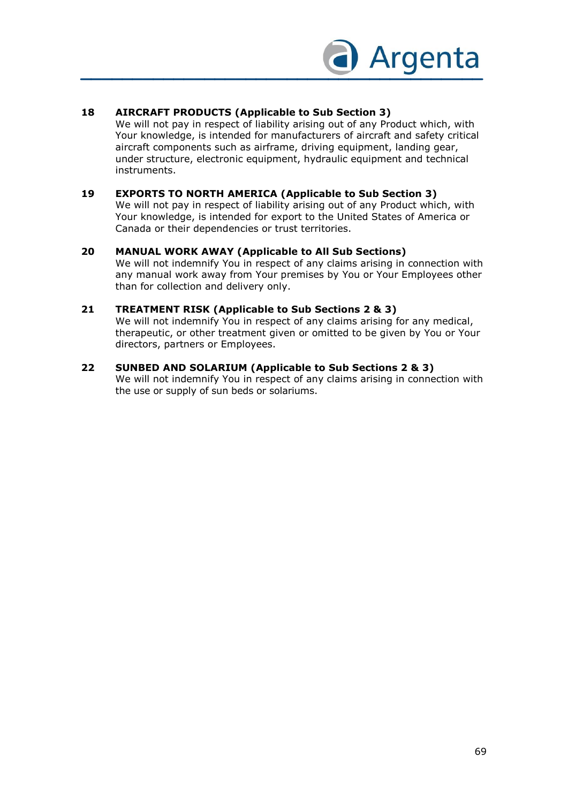

### **18 AIRCRAFT PRODUCTS (Applicable to Sub Section 3)**

We will not pay in respect of liability arising out of any Product which, with Your knowledge, is intended for manufacturers of aircraft and safety critical aircraft components such as airframe, driving equipment, landing gear, under structure, electronic equipment, hydraulic equipment and technical instruments.

### **19 EXPORTS TO NORTH AMERICA (Applicable to Sub Section 3)**

We will not pay in respect of liability arising out of any Product which, with Your knowledge, is intended for export to the United States of America or Canada or their dependencies or trust territories.

#### **20 MANUAL WORK AWAY (Applicable to All Sub Sections)**

We will not indemnify You in respect of any claims arising in connection with any manual work away from Your premises by You or Your Employees other than for collection and delivery only.

### **21 TREATMENT RISK (Applicable to Sub Sections 2 & 3)**

We will not indemnify You in respect of any claims arising for any medical, therapeutic, or other treatment given or omitted to be given by You or Your directors, partners or Employees.

#### **22 SUNBED AND SOLARIUM (Applicable to Sub Sections 2 & 3)**

We will not indemnify You in respect of any claims arising in connection with the use or supply of sun beds or solariums.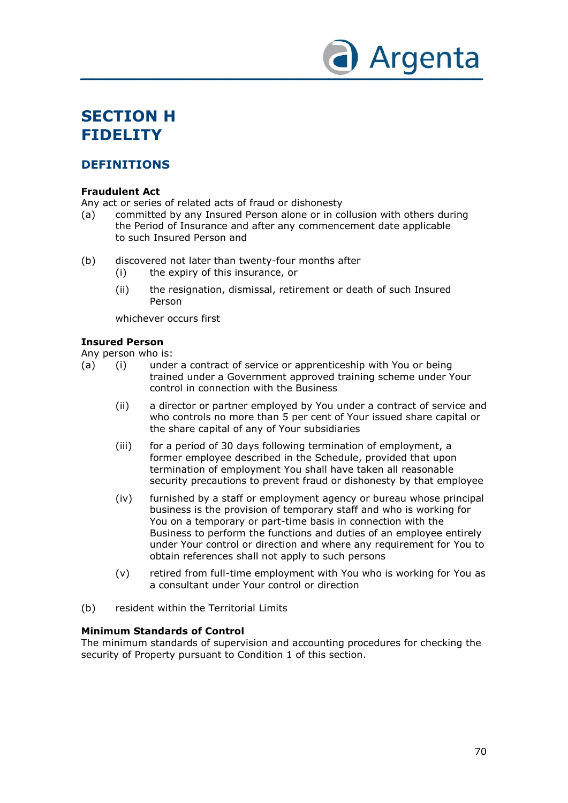

# **SECTION H FIDELITY**

# **DEFINITIONS**

### **Fraudulent Act**

Any act or series of related acts of fraud or dishonesty

- (a) committed by any Insured Person alone or in collusion with others during the Period of Insurance and after any commencement date applicable to such Insured Person and
- (b) discovered not later than twenty-four months after
	- (i) the expiry of this insurance, or
	- (ii) the resignation, dismissal, retirement or death of such Insured Person

whichever occurs first

### **Insured Person**

Any person who is:

- (a) (i) under a contract of service or apprenticeship with You or being trained under a Government approved training scheme under Your control in connection with the Business
	- (ii) a director or partner employed by You under a contract of service and who controls no more than 5 per cent of Your issued share capital or the share capital of any of Your subsidiaries
	- (iii) for a period of 30 days following termination of employment, a former employee described in the Schedule, provided that upon termination of employment You shall have taken all reasonable security precautions to prevent fraud or dishonesty by that employee
	- (iv) furnished by a staff or employment agency or bureau whose principal business is the provision of temporary staff and who is working for You on a temporary or part-time basis in connection with the Business to perform the functions and duties of an employee entirely under Your control or direction and where any requirement for You to obtain references shall not apply to such persons
	- (v) retired from full-time employment with You who is working for You as a consultant under Your control or direction
- (b) resident within the Territorial Limits

#### **Minimum Standards of Control**

The minimum standards of supervision and accounting procedures for checking the security of Property pursuant to Condition 1 of this section.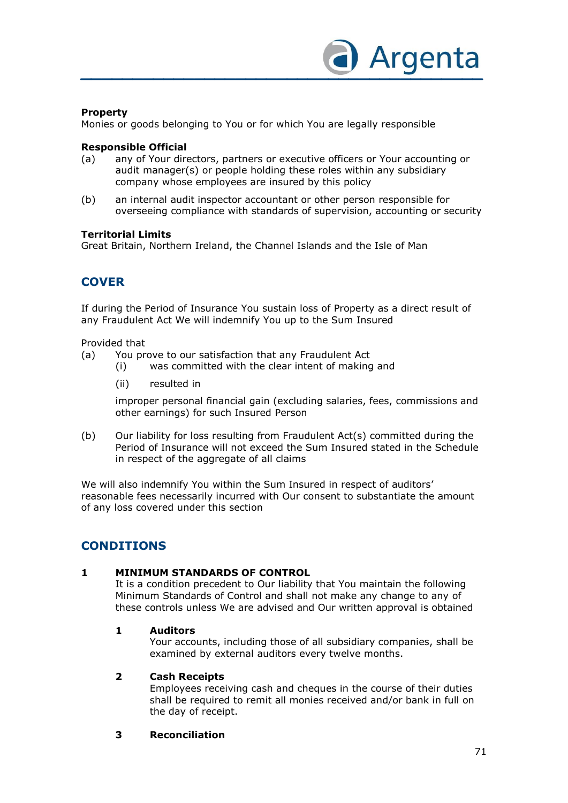

### **Property**

Monies or goods belonging to You or for which You are legally responsible

### **Responsible Official**

- (a) any of Your directors, partners or executive officers or Your accounting or audit manager(s) or people holding these roles within any subsidiary company whose employees are insured by this policy
- (b) an internal audit inspector accountant or other person responsible for overseeing compliance with standards of supervision, accounting or security

### **Territorial Limits**

Great Britain, Northern Ireland, the Channel Islands and the Isle of Man

# **COVER**

If during the Period of Insurance You sustain loss of Property as a direct result of any Fraudulent Act We will indemnify You up to the Sum Insured

Provided that

- (a) You prove to our satisfaction that any Fraudulent Act
	- (i) was committed with the clear intent of making and
	- (ii) resulted in

improper personal financial gain (excluding salaries, fees, commissions and other earnings) for such Insured Person

(b) Our liability for loss resulting from Fraudulent Act(s) committed during the Period of Insurance will not exceed the Sum Insured stated in the Schedule in respect of the aggregate of all claims

We will also indemnify You within the Sum Insured in respect of auditors' reasonable fees necessarily incurred with Our consent to substantiate the amount of any loss covered under this section

# **CONDITIONS**

### **1 MINIMUM STANDARDS OF CONTROL**

It is a condition precedent to Our liability that You maintain the following Minimum Standards of Control and shall not make any change to any of these controls unless We are advised and Our written approval is obtained

#### **1 Auditors**

Your accounts, including those of all subsidiary companies, shall be examined by external auditors every twelve months.

#### **2 Cash Receipts**

Employees receiving cash and cheques in the course of their duties shall be required to remit all monies received and/or bank in full on the day of receipt.

### **3 Reconciliation**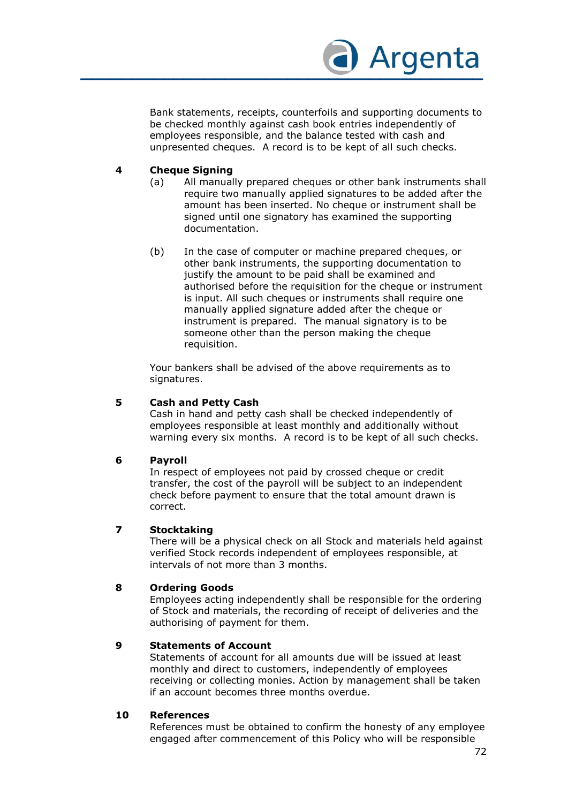

Bank statements, receipts, counterfoils and supporting documents to be checked monthly against cash book entries independently of employees responsible, and the balance tested with cash and unpresented cheques. A record is to be kept of all such checks.

#### **4 Cheque Signing**

- (a) All manually prepared cheques or other bank instruments shall require two manually applied signatures to be added after the amount has been inserted. No cheque or instrument shall be signed until one signatory has examined the supporting documentation.
- (b) In the case of computer or machine prepared cheques, or other bank instruments, the supporting documentation to justify the amount to be paid shall be examined and authorised before the requisition for the cheque or instrument is input. All such cheques or instruments shall require one manually applied signature added after the cheque or instrument is prepared. The manual signatory is to be someone other than the person making the cheque requisition.

Your bankers shall be advised of the above requirements as to signatures.

#### **5 Cash and Petty Cash**

Cash in hand and petty cash shall be checked independently of employees responsible at least monthly and additionally without warning every six months. A record is to be kept of all such checks.

#### **6 Payroll**

In respect of employees not paid by crossed cheque or credit transfer, the cost of the payroll will be subject to an independent check before payment to ensure that the total amount drawn is correct.

#### **7 Stocktaking**

There will be a physical check on all Stock and materials held against verified Stock records independent of employees responsible, at intervals of not more than 3 months.

#### **8 Ordering Goods**

Employees acting independently shall be responsible for the ordering of Stock and materials, the recording of receipt of deliveries and the authorising of payment for them.

#### **9 Statements of Account**

Statements of account for all amounts due will be issued at least monthly and direct to customers, independently of employees receiving or collecting monies. Action by management shall be taken if an account becomes three months overdue.

#### **10 References**

References must be obtained to confirm the honesty of any employee engaged after commencement of this Policy who will be responsible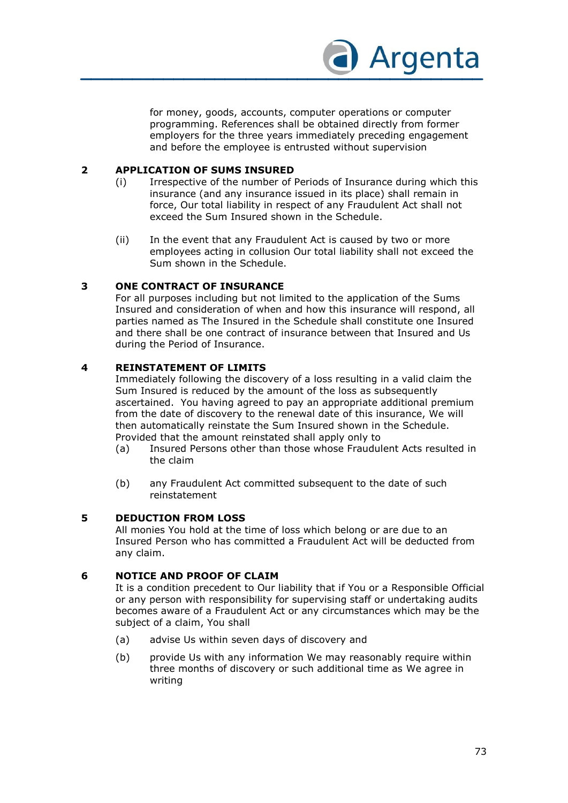

for money, goods, accounts, computer operations or computer programming. References shall be obtained directly from former employers for the three years immediately preceding engagement and before the employee is entrusted without supervision

## **2 APPLICATION OF SUMS INSURED**

- (i) Irrespective of the number of Periods of Insurance during which this insurance (and any insurance issued in its place) shall remain in force, Our total liability in respect of any Fraudulent Act shall not exceed the Sum Insured shown in the Schedule.
- (ii) In the event that any Fraudulent Act is caused by two or more employees acting in collusion Our total liability shall not exceed the Sum shown in the Schedule.

## **3 ONE CONTRACT OF INSURANCE**

For all purposes including but not limited to the application of the Sums Insured and consideration of when and how this insurance will respond, all parties named as The Insured in the Schedule shall constitute one Insured and there shall be one contract of insurance between that Insured and Us during the Period of Insurance.

## **4 REINSTATEMENT OF LIMITS**

Immediately following the discovery of a loss resulting in a valid claim the Sum Insured is reduced by the amount of the loss as subsequently ascertained. You having agreed to pay an appropriate additional premium from the date of discovery to the renewal date of this insurance, We will then automatically reinstate the Sum Insured shown in the Schedule. Provided that the amount reinstated shall apply only to

- (a) Insured Persons other than those whose Fraudulent Acts resulted in the claim
- (b) any Fraudulent Act committed subsequent to the date of such reinstatement

#### **5 DEDUCTION FROM LOSS**

All monies You hold at the time of loss which belong or are due to an Insured Person who has committed a Fraudulent Act will be deducted from any claim.

## **6 NOTICE AND PROOF OF CLAIM**

It is a condition precedent to Our liability that if You or a Responsible Official or any person with responsibility for supervising staff or undertaking audits becomes aware of a Fraudulent Act or any circumstances which may be the subject of a claim, You shall

- (a) advise Us within seven days of discovery and
- (b) provide Us with any information We may reasonably require within three months of discovery or such additional time as We agree in writing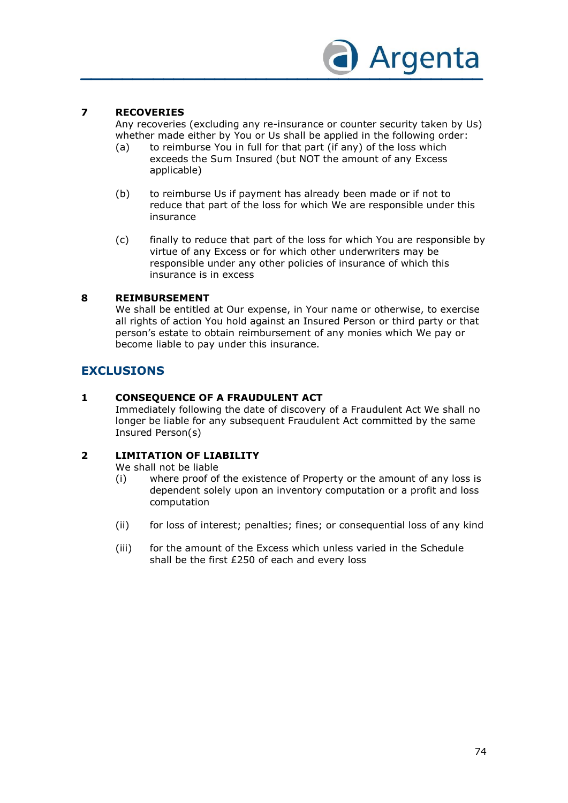

## **7 RECOVERIES**

Any recoveries (excluding any re-insurance or counter security taken by Us) whether made either by You or Us shall be applied in the following order:

- (a) to reimburse You in full for that part (if any) of the loss which exceeds the Sum Insured (but NOT the amount of any Excess applicable)
- (b) to reimburse Us if payment has already been made or if not to reduce that part of the loss for which We are responsible under this insurance
- (c) finally to reduce that part of the loss for which You are responsible by virtue of any Excess or for which other underwriters may be responsible under any other policies of insurance of which this insurance is in excess

## **8 REIMBURSEMENT**

We shall be entitled at Our expense, in Your name or otherwise, to exercise all rights of action You hold against an Insured Person or third party or that person's estate to obtain reimbursement of any monies which We pay or become liable to pay under this insurance.

# **EXCLUSIONS**

## **1 CONSEQUENCE OF A FRAUDULENT ACT**

Immediately following the date of discovery of a Fraudulent Act We shall no longer be liable for any subsequent Fraudulent Act committed by the same Insured Person(s)

## **2 LIMITATION OF LIABILITY**

We shall not be liable

- (i) where proof of the existence of Property or the amount of any loss is dependent solely upon an inventory computation or a profit and loss computation
- (ii) for loss of interest; penalties; fines; or consequential loss of any kind
- (iii) for the amount of the Excess which unless varied in the Schedule shall be the first £250 of each and every loss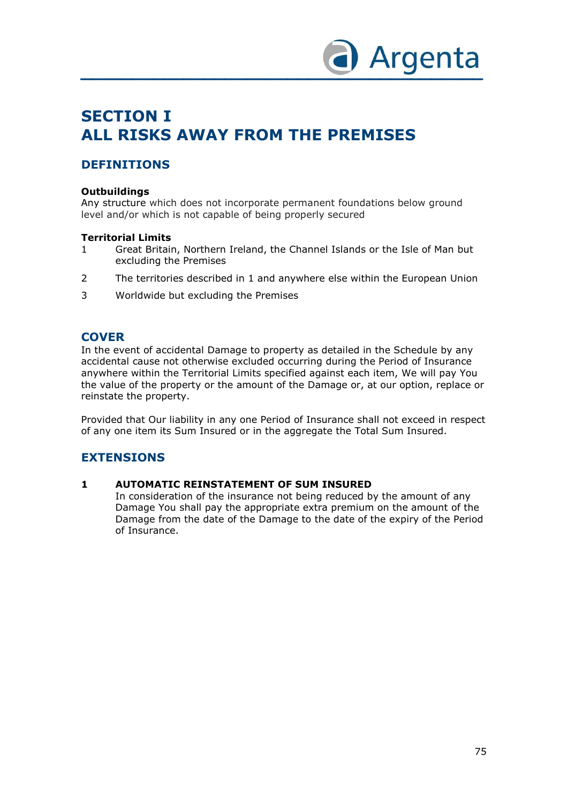

# **SECTION I ALL RISKS AWAY FROM THE PREMISES**

# **DEFINITIONS**

## **Outbuildings**

Any structure which does not incorporate permanent foundations below ground level and/or which is not capable of being properly secured

## **Territorial Limits**

- 1 Great Britain, Northern Ireland, the Channel Islands or the Isle of Man but excluding the Premises
- 2 The territories described in 1 and anywhere else within the European Union
- 3 Worldwide but excluding the Premises

# **COVER**

In the event of accidental Damage to property as detailed in the Schedule by any accidental cause not otherwise excluded occurring during the Period of Insurance anywhere within the Territorial Limits specified against each item, We will pay You the value of the property or the amount of the Damage or, at our option, replace or reinstate the property.

Provided that Our liability in any one Period of Insurance shall not exceed in respect of any one item its Sum Insured or in the aggregate the Total Sum Insured.

# **EXTENSIONS**

#### **1 AUTOMATIC REINSTATEMENT OF SUM INSURED**

In consideration of the insurance not being reduced by the amount of any Damage You shall pay the appropriate extra premium on the amount of the Damage from the date of the Damage to the date of the expiry of the Period of Insurance.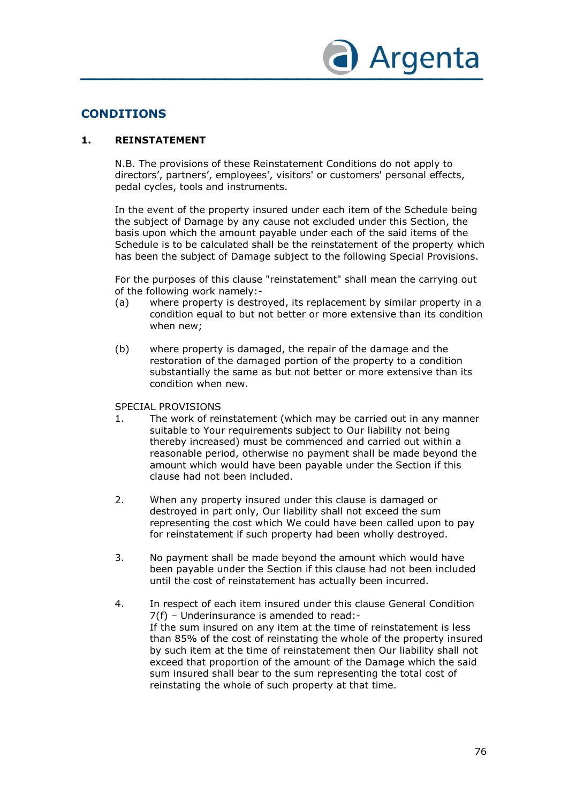

# **CONDITIONS**

## **1. REINSTATEMENT**

N.B. The provisions of these Reinstatement Conditions do not apply to directors', partners', employees', visitors' or customers' personal effects, pedal cycles, tools and instruments.

In the event of the property insured under each item of the Schedule being the subject of Damage by any cause not excluded under this Section, the basis upon which the amount payable under each of the said items of the Schedule is to be calculated shall be the reinstatement of the property which has been the subject of Damage subject to the following Special Provisions.

For the purposes of this clause "reinstatement" shall mean the carrying out of the following work namely:-

- (a) where property is destroyed, its replacement by similar property in a condition equal to but not better or more extensive than its condition when new;
- (b) where property is damaged, the repair of the damage and the restoration of the damaged portion of the property to a condition substantially the same as but not better or more extensive than its condition when new.

#### SPECIAL PROVISIONS

- 1. The work of reinstatement (which may be carried out in any manner suitable to Your requirements subject to Our liability not being thereby increased) must be commenced and carried out within a reasonable period, otherwise no payment shall be made beyond the amount which would have been payable under the Section if this clause had not been included.
- 2. When any property insured under this clause is damaged or destroyed in part only, Our liability shall not exceed the sum representing the cost which We could have been called upon to pay for reinstatement if such property had been wholly destroyed.
- 3. No payment shall be made beyond the amount which would have been payable under the Section if this clause had not been included until the cost of reinstatement has actually been incurred.
- 4. In respect of each item insured under this clause General Condition 7(f) – Underinsurance is amended to read:- If the sum insured on any item at the time of reinstatement is less than 85% of the cost of reinstating the whole of the property insured by such item at the time of reinstatement then Our liability shall not exceed that proportion of the amount of the Damage which the said sum insured shall bear to the sum representing the total cost of reinstating the whole of such property at that time.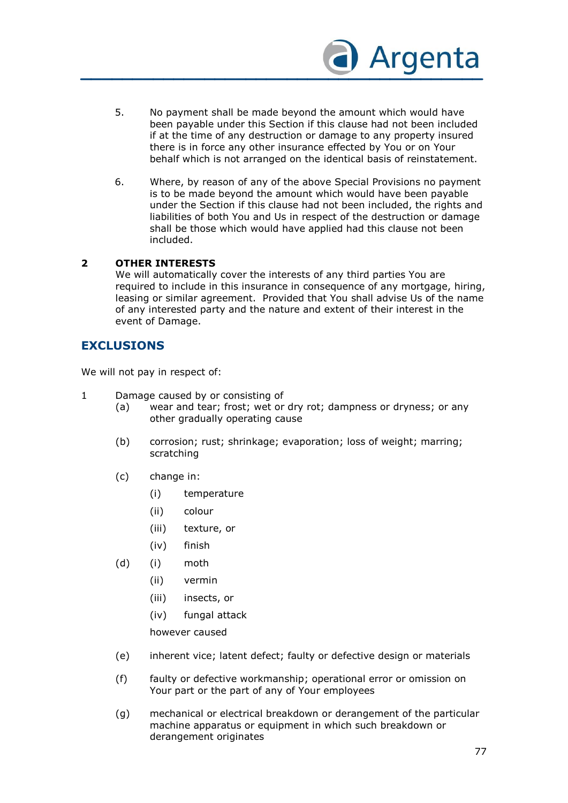

- 5. No payment shall be made beyond the amount which would have been payable under this Section if this clause had not been included if at the time of any destruction or damage to any property insured there is in force any other insurance effected by You or on Your behalf which is not arranged on the identical basis of reinstatement.
- 6. Where, by reason of any of the above Special Provisions no payment is to be made beyond the amount which would have been payable under the Section if this clause had not been included, the rights and liabilities of both You and Us in respect of the destruction or damage shall be those which would have applied had this clause not been included.

## **2 OTHER INTERESTS**

We will automatically cover the interests of any third parties You are required to include in this insurance in consequence of any mortgage, hiring, leasing or similar agreement. Provided that You shall advise Us of the name of any interested party and the nature and extent of their interest in the event of Damage.

# **EXCLUSIONS**

We will not pay in respect of:

- 1 Damage caused by or consisting of
	- (a) wear and tear; frost; wet or dry rot; dampness or dryness; or any other gradually operating cause
	- (b) corrosion; rust; shrinkage; evaporation; loss of weight; marring; scratching
	- (c) change in:
		- (i) temperature
		- (ii) colour
		- (iii) texture, or
		- (iv) finish
	- (d) (i) moth
		- (ii) vermin
		- (iii) insects, or
		- (iv) fungal attack

however caused

- (e) inherent vice; latent defect; faulty or defective design or materials
- (f) faulty or defective workmanship; operational error or omission on Your part or the part of any of Your employees
- (g) mechanical or electrical breakdown or derangement of the particular machine apparatus or equipment in which such breakdown or derangement originates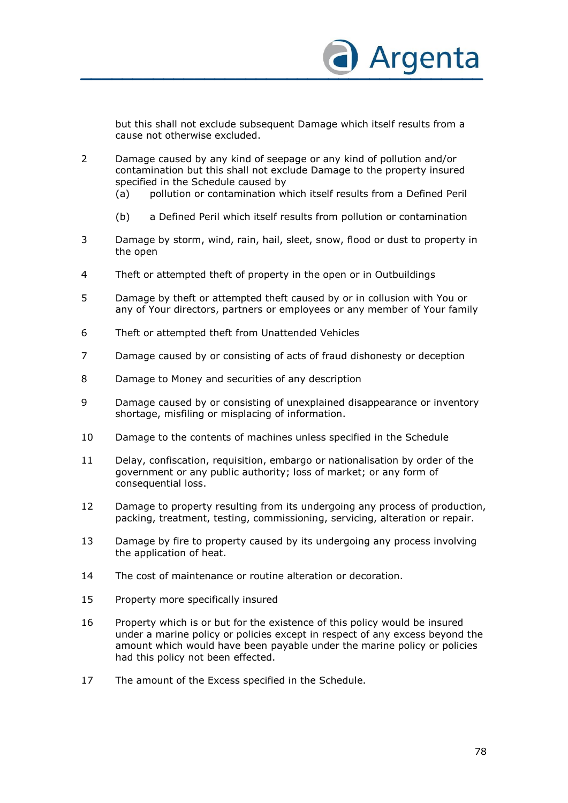

but this shall not exclude subsequent Damage which itself results from a cause not otherwise excluded.

- 2 Damage caused by any kind of seepage or any kind of pollution and/or contamination but this shall not exclude Damage to the property insured specified in the Schedule caused by
	- (a) pollution or contamination which itself results from a Defined Peril
	- (b) a Defined Peril which itself results from pollution or contamination
- 3 Damage by storm, wind, rain, hail, sleet, snow, flood or dust to property in the open
- 4 Theft or attempted theft of property in the open or in Outbuildings
- 5 Damage by theft or attempted theft caused by or in collusion with You or any of Your directors, partners or employees or any member of Your family
- 6 Theft or attempted theft from Unattended Vehicles
- 7 Damage caused by or consisting of acts of fraud dishonesty or deception
- 8 Damage to Money and securities of any description
- 9 Damage caused by or consisting of unexplained disappearance or inventory shortage, misfiling or misplacing of information.
- 10 Damage to the contents of machines unless specified in the Schedule
- 11 Delay, confiscation, requisition, embargo or nationalisation by order of the government or any public authority; loss of market; or any form of consequential loss.
- 12 Damage to property resulting from its undergoing any process of production, packing, treatment, testing, commissioning, servicing, alteration or repair.
- 13 Damage by fire to property caused by its undergoing any process involving the application of heat.
- 14 The cost of maintenance or routine alteration or decoration.
- 15 Property more specifically insured
- 16 Property which is or but for the existence of this policy would be insured under a marine policy or policies except in respect of any excess beyond the amount which would have been payable under the marine policy or policies had this policy not been effected.
- 17 The amount of the Excess specified in the Schedule.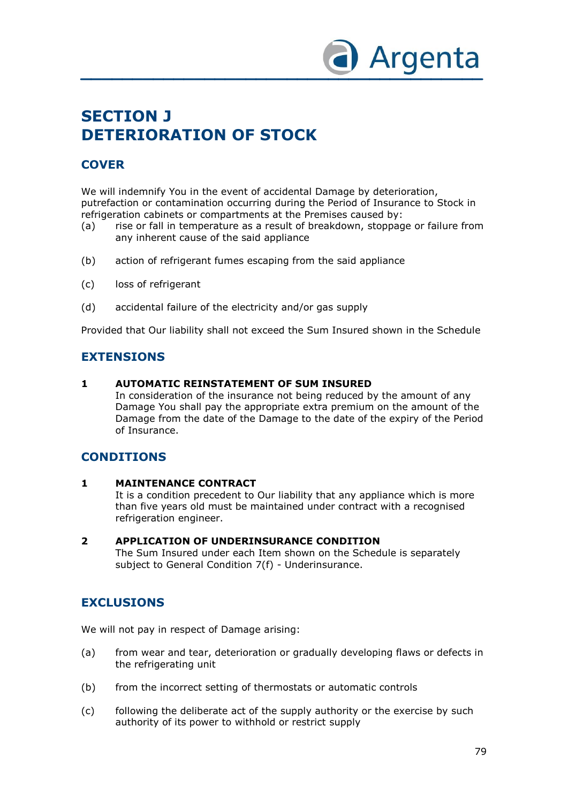

# **SECTION J DETERIORATION OF STOCK**

# **COVER**

We will indemnify You in the event of accidental Damage by deterioration, putrefaction or contamination occurring during the Period of Insurance to Stock in refrigeration cabinets or compartments at the Premises caused by:

- (a) rise or fall in temperature as a result of breakdown, stoppage or failure from any inherent cause of the said appliance
- (b) action of refrigerant fumes escaping from the said appliance
- (c) loss of refrigerant
- (d) accidental failure of the electricity and/or gas supply

Provided that Our liability shall not exceed the Sum Insured shown in the Schedule

# **EXTENSIONS**

#### **1 AUTOMATIC REINSTATEMENT OF SUM INSURED**

In consideration of the insurance not being reduced by the amount of any Damage You shall pay the appropriate extra premium on the amount of the Damage from the date of the Damage to the date of the expiry of the Period of Insurance.

# **CONDITIONS**

#### **1 MAINTENANCE CONTRACT**

It is a condition precedent to Our liability that any appliance which is more than five years old must be maintained under contract with a recognised refrigeration engineer.

#### **2 APPLICATION OF UNDERINSURANCE CONDITION**

The Sum Insured under each Item shown on the Schedule is separately subject to General Condition 7(f) - Underinsurance.

# **EXCLUSIONS**

We will not pay in respect of Damage arising:

- (a) from wear and tear, deterioration or gradually developing flaws or defects in the refrigerating unit
- (b) from the incorrect setting of thermostats or automatic controls
- (c) following the deliberate act of the supply authority or the exercise by such authority of its power to withhold or restrict supply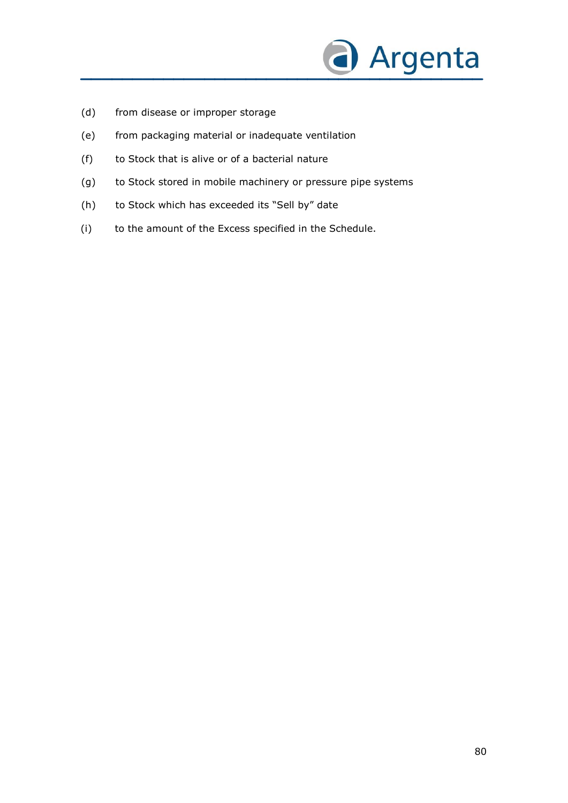

- (d) from disease or improper storage
- (e) from packaging material or inadequate ventilation
- (f) to Stock that is alive or of a bacterial nature
- (g) to Stock stored in mobile machinery or pressure pipe systems
- (h) to Stock which has exceeded its "Sell by" date
- (i) to the amount of the Excess specified in the Schedule.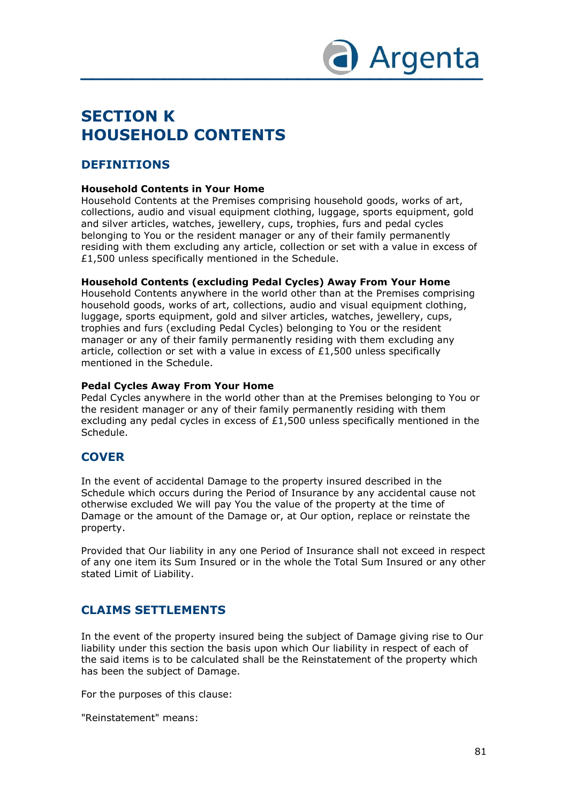

# **SECTION K HOUSEHOLD CONTENTS**

# **DEFINITIONS**

## **Household Contents in Your Home**

Household Contents at the Premises comprising household goods, works of art, collections, audio and visual equipment clothing, luggage, sports equipment, gold and silver articles, watches, jewellery, cups, trophies, furs and pedal cycles belonging to You or the resident manager or any of their family permanently residing with them excluding any article, collection or set with a value in excess of £1,500 unless specifically mentioned in the Schedule.

## **Household Contents (excluding Pedal Cycles) Away From Your Home**

Household Contents anywhere in the world other than at the Premises comprising household goods, works of art, collections, audio and visual equipment clothing, luggage, sports equipment, gold and silver articles, watches, jewellery, cups, trophies and furs (excluding Pedal Cycles) belonging to You or the resident manager or any of their family permanently residing with them excluding any article, collection or set with a value in excess of  $£1,500$  unless specifically mentioned in the Schedule.

## **Pedal Cycles Away From Your Home**

Pedal Cycles anywhere in the world other than at the Premises belonging to You or the resident manager or any of their family permanently residing with them excluding any pedal cycles in excess of  $£1,500$  unless specifically mentioned in the Schedule.

# **COVER**

In the event of accidental Damage to the property insured described in the Schedule which occurs during the Period of Insurance by any accidental cause not otherwise excluded We will pay You the value of the property at the time of Damage or the amount of the Damage or, at Our option, replace or reinstate the property.

Provided that Our liability in any one Period of Insurance shall not exceed in respect of any one item its Sum Insured or in the whole the Total Sum Insured or any other stated Limit of Liability.

# **CLAIMS SETTLEMENTS**

In the event of the property insured being the subject of Damage giving rise to Our liability under this section the basis upon which Our liability in respect of each of the said items is to be calculated shall be the Reinstatement of the property which has been the subject of Damage.

For the purposes of this clause:

"Reinstatement" means: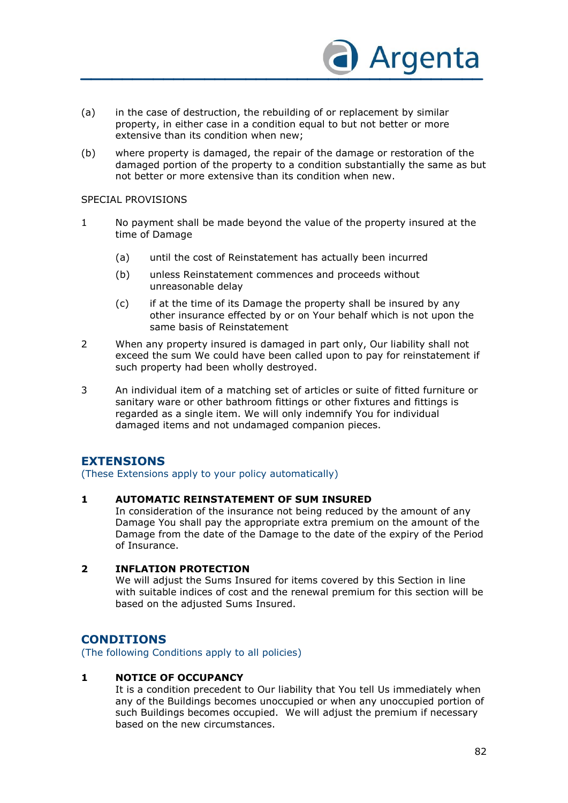

- (a) in the case of destruction, the rebuilding of or replacement by similar property, in either case in a condition equal to but not better or more extensive than its condition when new;
- (b) where property is damaged, the repair of the damage or restoration of the damaged portion of the property to a condition substantially the same as but not better or more extensive than its condition when new.

#### SPECIAL PROVISIONS

- 1 No payment shall be made beyond the value of the property insured at the time of Damage
	- (a) until the cost of Reinstatement has actually been incurred
	- (b) unless Reinstatement commences and proceeds without unreasonable delay
	- (c) if at the time of its Damage the property shall be insured by any other insurance effected by or on Your behalf which is not upon the same basis of Reinstatement
- 2 When any property insured is damaged in part only, Our liability shall not exceed the sum We could have been called upon to pay for reinstatement if such property had been wholly destroyed.
- 3 An individual item of a matching set of articles or suite of fitted furniture or sanitary ware or other bathroom fittings or other fixtures and fittings is regarded as a single item. We will only indemnify You for individual damaged items and not undamaged companion pieces.

# **EXTENSIONS**

(These Extensions apply to your policy automatically)

#### **1 AUTOMATIC REINSTATEMENT OF SUM INSURED**

In consideration of the insurance not being reduced by the amount of any Damage You shall pay the appropriate extra premium on the amount of the Damage from the date of the Damage to the date of the expiry of the Period of Insurance.

## **2 INFLATION PROTECTION**

We will adjust the Sums Insured for items covered by this Section in line with suitable indices of cost and the renewal premium for this section will be based on the adjusted Sums Insured.

## **CONDITIONS**

(The following Conditions apply to all policies)

#### **1 NOTICE OF OCCUPANCY**

It is a condition precedent to Our liability that You tell Us immediately when any of the Buildings becomes unoccupied or when any unoccupied portion of such Buildings becomes occupied. We will adjust the premium if necessary based on the new circumstances.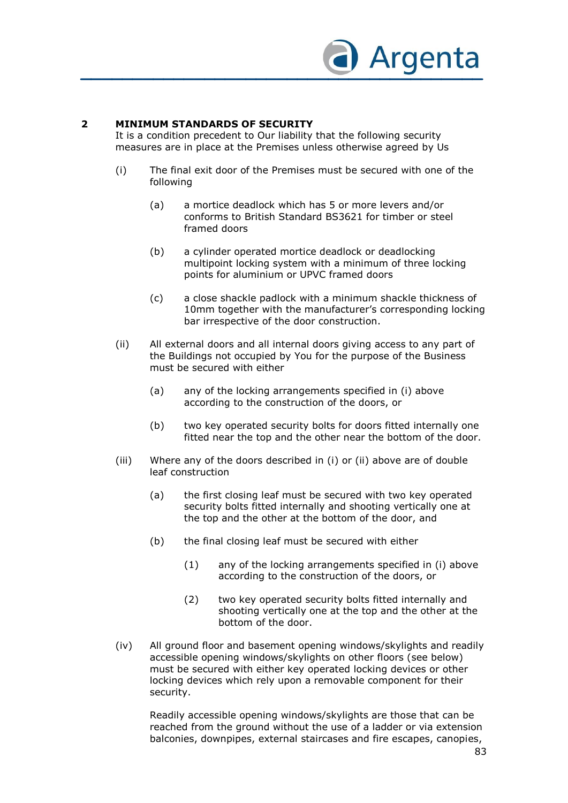

## **2 MINIMUM STANDARDS OF SECURITY**

It is a condition precedent to Our liability that the following security measures are in place at the Premises unless otherwise agreed by Us

- (i) The final exit door of the Premises must be secured with one of the following
	- (a) a mortice deadlock which has 5 or more levers and/or conforms to British Standard BS3621 for timber or steel framed doors
	- (b) a cylinder operated mortice deadlock or deadlocking multipoint locking system with a minimum of three locking points for aluminium or UPVC framed doors
	- (c) a close shackle padlock with a minimum shackle thickness of 10mm together with the manufacturer's corresponding locking bar irrespective of the door construction.
- (ii) All external doors and all internal doors giving access to any part of the Buildings not occupied by You for the purpose of the Business must be secured with either
	- (a) any of the locking arrangements specified in (i) above according to the construction of the doors, or
	- (b) two key operated security bolts for doors fitted internally one fitted near the top and the other near the bottom of the door.
- (iii) Where any of the doors described in (i) or (ii) above are of double leaf construction
	- (a) the first closing leaf must be secured with two key operated security bolts fitted internally and shooting vertically one at the top and the other at the bottom of the door, and
	- (b) the final closing leaf must be secured with either
		- (1) any of the locking arrangements specified in (i) above according to the construction of the doors, or
		- (2) two key operated security bolts fitted internally and shooting vertically one at the top and the other at the bottom of the door.
- (iv) All ground floor and basement opening windows/skylights and readily accessible opening windows/skylights on other floors (see below) must be secured with either key operated locking devices or other locking devices which rely upon a removable component for their security.

Readily accessible opening windows/skylights are those that can be reached from the ground without the use of a ladder or via extension balconies, downpipes, external staircases and fire escapes, canopies,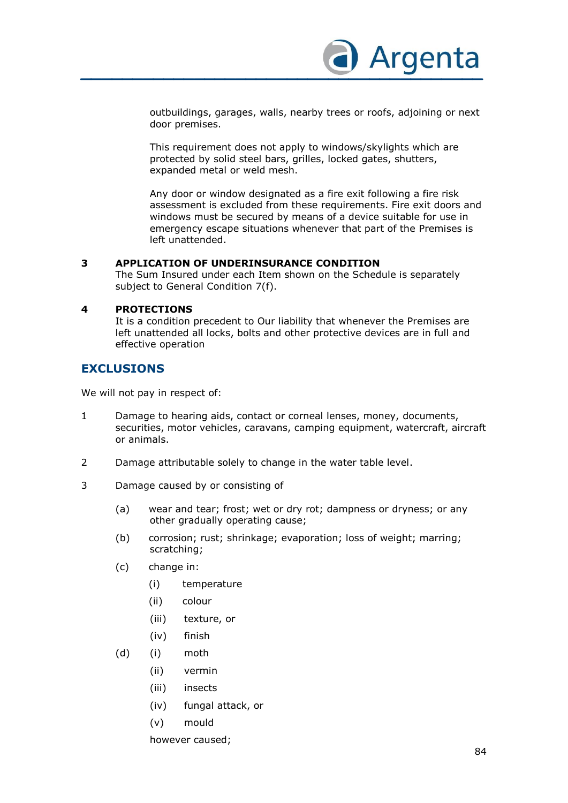

outbuildings, garages, walls, nearby trees or roofs, adjoining or next door premises.

This requirement does not apply to windows/skylights which are protected by solid steel bars, grilles, locked gates, shutters, expanded metal or weld mesh.

Any door or window designated as a fire exit following a fire risk assessment is excluded from these requirements. Fire exit doors and windows must be secured by means of a device suitable for use in emergency escape situations whenever that part of the Premises is left unattended.

#### **3 APPLICATION OF UNDERINSURANCE CONDITION**

The Sum Insured under each Item shown on the Schedule is separately subject to General Condition 7(f).

## **4 PROTECTIONS**

It is a condition precedent to Our liability that whenever the Premises are left unattended all locks, bolts and other protective devices are in full and effective operation

# **EXCLUSIONS**

We will not pay in respect of:

- 1 Damage to hearing aids, contact or corneal lenses, money, documents, securities, motor vehicles, caravans, camping equipment, watercraft, aircraft or animals.
- 2 Damage attributable solely to change in the water table level.
- 3 Damage caused by or consisting of
	- (a) wear and tear; frost; wet or dry rot; dampness or dryness; or any other gradually operating cause;
	- (b) corrosion; rust; shrinkage; evaporation; loss of weight; marring; scratching;
	- (c) change in:
		- (i) temperature
		- (ii) colour
		- (iii) texture, or
		- (iv) finish
	- (d) (i) moth
		- (ii) vermin
		- (iii) insects
		- (iv) fungal attack, or
		- (v) mould

however caused;